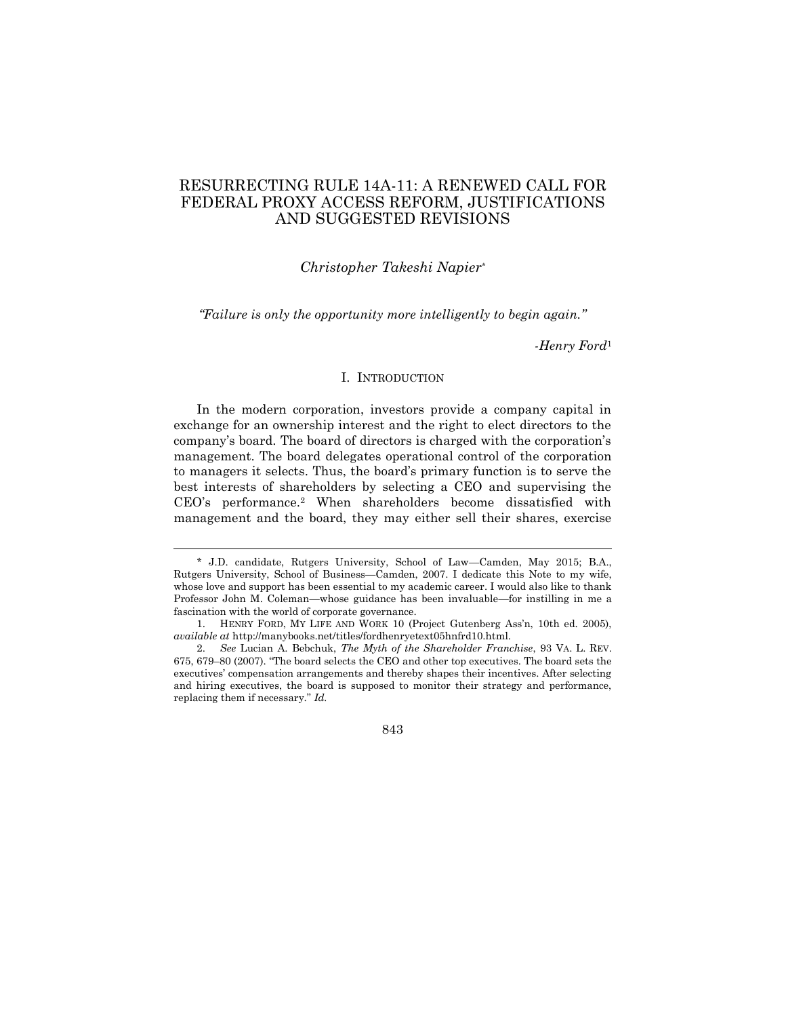# RESURRECTING RULE 14A-11: A RENEWED CALL FOR FEDERAL PROXY ACCESS REFORM, JUSTIFICATIONS AND SUGGESTED REVISIONS

## *Christopher Takeshi Napier*\*

*"Failure is only the opportunity more intelligently to begin again."*

*-Henry Ford*<sup>1</sup>

## I. INTRODUCTION

In the modern corporation, investors provide a company capital in exchange for an ownership interest and the right to elect directors to the company's board. The board of directors is charged with the corporation's management. The board delegates operational control of the corporation to managers it selects. Thus, the board's primary function is to serve the best interests of shareholders by selecting a CEO and supervising the CEO's performance.<sup>2</sup> When shareholders become dissatisfied with management and the board, they may either sell their shares, exercise

l

843

<sup>\*</sup> J.D. candidate, Rutgers University, School of Law—Camden, May 2015; B.A., Rutgers University, School of Business—Camden, 2007. I dedicate this Note to my wife, whose love and support has been essential to my academic career. I would also like to thank Professor John M. Coleman—whose guidance has been invaluable—for instilling in me a fascination with the world of corporate governance.

<sup>1.</sup> HENRY FORD, MY LIFE AND WORK 10 (Project Gutenberg Ass'n, 10th ed. 2005), *available at* http://manybooks.net/titles/fordhenryetext05hnfrd10.html.

<sup>2.</sup> *See* Lucian A. Bebchuk, *The Myth of the Shareholder Franchise*, 93 VA. L. REV. 675, 679–80 (2007). "The board selects the CEO and other top executives. The board sets the executives' compensation arrangements and thereby shapes their incentives. After selecting and hiring executives, the board is supposed to monitor their strategy and performance, replacing them if necessary." *Id.*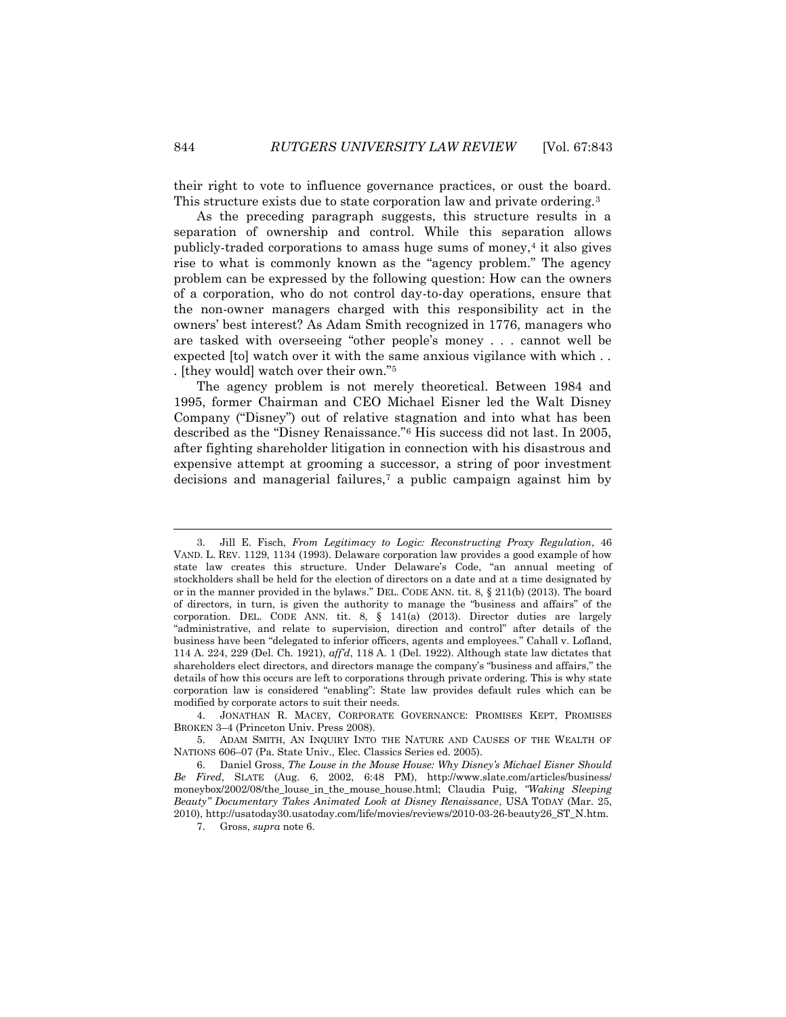their right to vote to influence governance practices, or oust the board. This structure exists due to state corporation law and private ordering.<sup>3</sup>

As the preceding paragraph suggests, this structure results in a separation of ownership and control. While this separation allows publicly-traded corporations to amass huge sums of money,<sup>4</sup> it also gives rise to what is commonly known as the "agency problem." The agency problem can be expressed by the following question: How can the owners of a corporation, who do not control day-to-day operations, ensure that the non-owner managers charged with this responsibility act in the owners' best interest? As Adam Smith recognized in 1776, managers who are tasked with overseeing "other people's money . . . cannot well be expected [to] watch over it with the same anxious vigilance with which . . . [they would] watch over their own."<sup>5</sup>

The agency problem is not merely theoretical. Between 1984 and 1995, former Chairman and CEO Michael Eisner led the Walt Disney Company ("Disney") out of relative stagnation and into what has been described as the "Disney Renaissance."<sup>6</sup> His success did not last. In 2005, after fighting shareholder litigation in connection with his disastrous and expensive attempt at grooming a successor, a string of poor investment decisions and managerial failures,<sup>7</sup> a public campaign against him by

<sup>3.</sup> Jill E. Fisch, *From Legitimacy to Logic: Reconstructing Proxy Regulation*, 46 VAND. L. REV. 1129, 1134 (1993). Delaware corporation law provides a good example of how state law creates this structure. Under Delaware's Code, "an annual meeting of stockholders shall be held for the election of directors on a date and at a time designated by or in the manner provided in the bylaws." DEL. CODE ANN. tit. 8, § 211(b) (2013). The board of directors, in turn, is given the authority to manage the "business and affairs" of the corporation. DEL. CODE ANN. tit. 8,  $\S$  141(a) (2013). Director duties are largely "administrative, and relate to supervision, direction and control" after details of the business have been "delegated to inferior officers, agents and employees." Cahall v. Lofland, 114 A. 224, 229 (Del. Ch. 1921), *aff'd*, 118 A. 1 (Del. 1922). Although state law dictates that shareholders elect directors, and directors manage the company's "business and affairs," the details of how this occurs are left to corporations through private ordering. This is why state corporation law is considered "enabling": State law provides default rules which can be modified by corporate actors to suit their needs.

<sup>4.</sup> JONATHAN R. MACEY, CORPORATE GOVERNANCE: PROMISES KEPT, PROMISES BROKEN 3–4 (Princeton Univ. Press 2008).

<sup>5.</sup> ADAM SMITH, AN INQUIRY INTO THE NATURE AND CAUSES OF THE WEALTH OF NATIONS 606–07 (Pa. State Univ., Elec. Classics Series ed. 2005).

<sup>6.</sup> Daniel Gross, *The Louse in the Mouse House: Why Disney's Michael Eisner Should Be Fired*, SLATE (Aug. 6, 2002, 6:48 PM), http://www.slate.com/articles/business/ moneybox/2002/08/the\_louse\_in\_the\_mouse\_house.html; Claudia Puig, *"Waking Sleeping Beauty" Documentary Takes Animated Look at Disney Renaissance*, USA TODAY (Mar. 25, 2010), http://usatoday30.usatoday.com/life/movies/reviews/2010-03-26-beauty26\_ST\_N.htm.

<sup>7.</sup> Gross, *supra* note 6.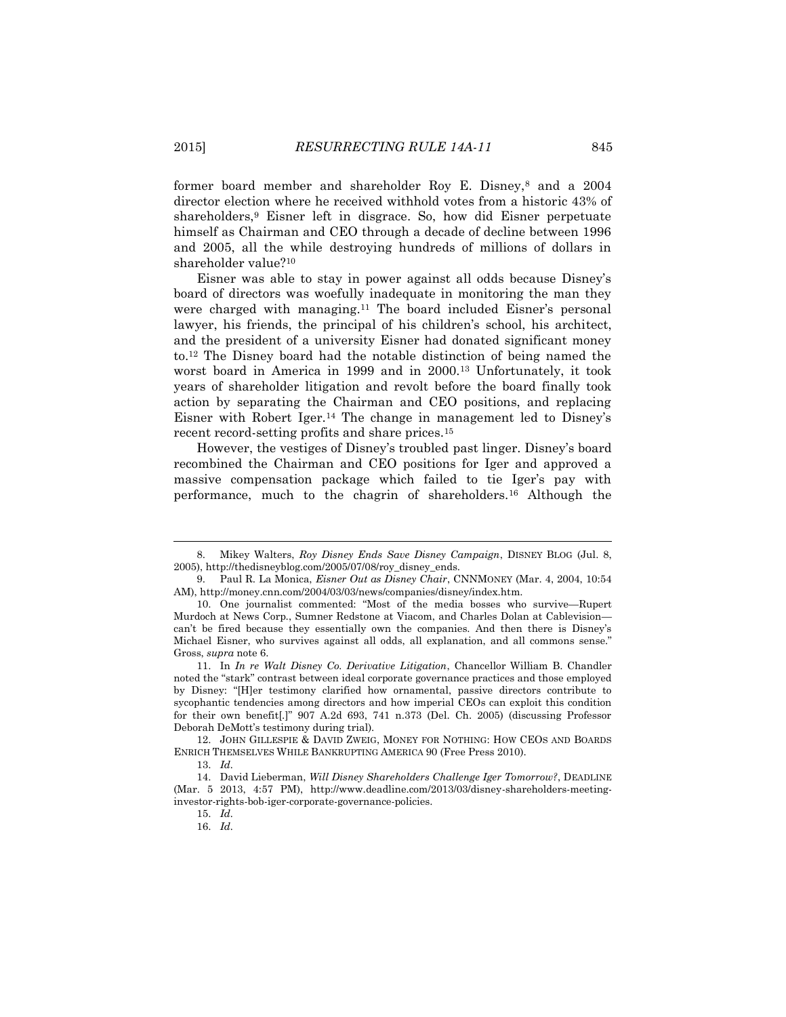former board member and shareholder Roy E. Disney,<sup>8</sup> and a 2004 director election where he received withhold votes from a historic 43% of shareholders,<sup>9</sup> Eisner left in disgrace. So, how did Eisner perpetuate himself as Chairman and CEO through a decade of decline between 1996 and 2005, all the while destroying hundreds of millions of dollars in shareholder value?<sup>10</sup>

Eisner was able to stay in power against all odds because Disney's board of directors was woefully inadequate in monitoring the man they were charged with managing.<sup>11</sup> The board included Eisner's personal lawyer, his friends, the principal of his children's school, his architect, and the president of a university Eisner had donated significant money to.<sup>12</sup> The Disney board had the notable distinction of being named the worst board in America in 1999 and in 2000.<sup>13</sup> Unfortunately, it took years of shareholder litigation and revolt before the board finally took action by separating the Chairman and CEO positions, and replacing Eisner with Robert Iger.<sup>14</sup> The change in management led to Disney's recent record-setting profits and share prices.<sup>15</sup>

However, the vestiges of Disney's troubled past linger. Disney's board recombined the Chairman and CEO positions for Iger and approved a massive compensation package which failed to tie Iger's pay with performance, much to the chagrin of shareholders.<sup>16</sup> Although the

<sup>8.</sup> Mikey Walters, *Roy Disney Ends Save Disney Campaign*, DISNEY BLOG (Jul. 8, 2005), http://thedisneyblog.com/2005/07/08/roy\_disney\_ends.

<sup>9.</sup> Paul R. La Monica, *Eisner Out as Disney Chair*, CNNMONEY (Mar. 4, 2004, 10:54 AM), http://money.cnn.com/2004/03/03/news/companies/disney/index.htm.

<sup>10.</sup> One journalist commented: "Most of the media bosses who survive—Rupert Murdoch at News Corp., Sumner Redstone at Viacom, and Charles Dolan at Cablevision can't be fired because they essentially own the companies. And then there is Disney's Michael Eisner, who survives against all odds, all explanation, and all commons sense." Gross, *supra* note 6.

<sup>11.</sup> In *In re Walt Disney Co. Derivative Litigation*, Chancellor William B. Chandler noted the "stark" contrast between ideal corporate governance practices and those employed by Disney: "[H]er testimony clarified how ornamental, passive directors contribute to sycophantic tendencies among directors and how imperial CEOs can exploit this condition for their own benefit[.]" 907 A.2d 693, 741 n.373 (Del. Ch. 2005) (discussing Professor Deborah DeMott's testimony during trial).

<sup>12.</sup> JOHN GILLESPIE & DAVID ZWEIG, MONEY FOR NOTHING: HOW CEOS AND BOARDS ENRICH THEMSELVES WHILE BANKRUPTING AMERICA 90 (Free Press 2010).

<sup>13.</sup> *Id.*

<sup>14.</sup> David Lieberman, *Will Disney Shareholders Challenge Iger Tomorrow?*, DEADLINE (Mar. 5 2013, 4:57 PM), http://www.deadline.com/2013/03/disney-shareholders-meetinginvestor-rights-bob-iger-corporate-governance-policies.

<sup>15.</sup> *Id.*

<sup>16.</sup> *Id.*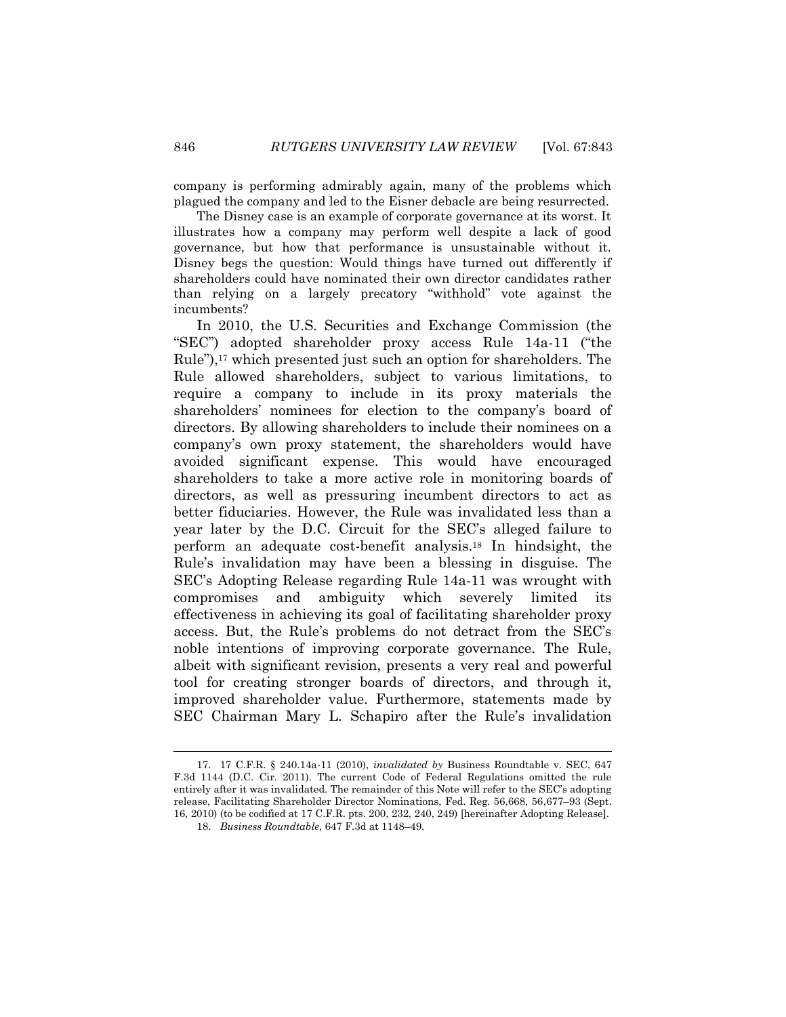company is performing admirably again, many of the problems which plagued the company and led to the Eisner debacle are being resurrected.

The Disney case is an example of corporate governance at its worst. It illustrates how a company may perform well despite a lack of good governance, but how that performance is unsustainable without it. Disney begs the question: Would things have turned out differently if shareholders could have nominated their own director candidates rather than relying on a largely precatory "withhold" vote against the incumbents?

In 2010, the U.S. Securities and Exchange Commission (the "SEC") adopted shareholder proxy access Rule 14a-11 ("the Rule"),<sup>17</sup> which presented just such an option for shareholders. The Rule allowed shareholders, subject to various limitations, to require a company to include in its proxy materials the shareholders' nominees for election to the company's board of directors. By allowing shareholders to include their nominees on a company's own proxy statement, the shareholders would have avoided significant expense. This would have encouraged shareholders to take a more active role in monitoring boards of directors, as well as pressuring incumbent directors to act as better fiduciaries. However, the Rule was invalidated less than a year later by the D.C. Circuit for the SEC's alleged failure to perform an adequate cost-benefit analysis.<sup>18</sup> In hindsight, the Rule's invalidation may have been a blessing in disguise. The SEC's Adopting Release regarding Rule 14a-11 was wrought with compromises and ambiguity which severely limited its effectiveness in achieving its goal of facilitating shareholder proxy access. But, the Rule's problems do not detract from the SEC's noble intentions of improving corporate governance. The Rule, albeit with significant revision, presents a very real and powerful tool for creating stronger boards of directors, and through it, improved shareholder value. Furthermore, statements made by SEC Chairman Mary L. Schapiro after the Rule's invalidation

 $\overline{a}$ 

<sup>17.</sup> 17 C.F.R. § 240.14a-11 (2010), *invalidated by* Business Roundtable v. SEC, 647 F.3d 1144 (D.C. Cir. 2011). The current Code of Federal Regulations omitted the rule entirely after it was invalidated. The remainder of this Note will refer to the SEC's adopting release, Facilitating Shareholder Director Nominations, Fed. Reg. 56,668, 56,677–93 (Sept. 16, 2010) (to be codified at 17 C.F.R. pts. 200, 232, 240, 249) [hereinafter Adopting Release].

<sup>18.</sup> *Business Roundtable*, 647 F.3d at 1148–49.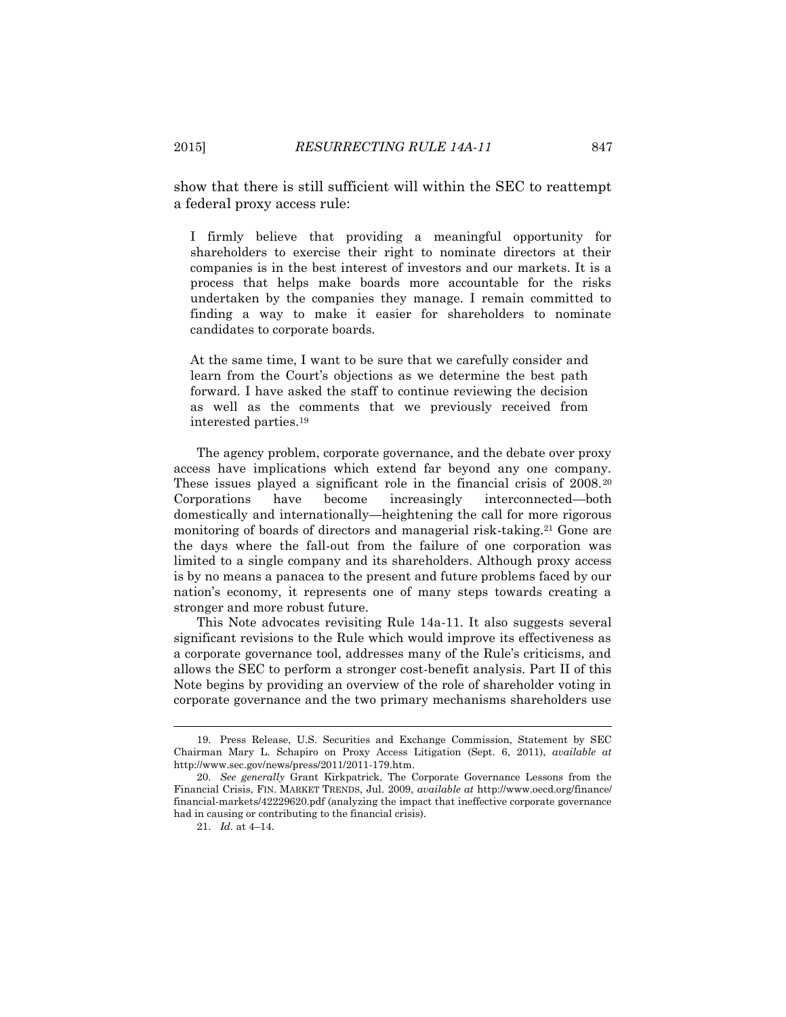show that there is still sufficient will within the SEC to reattempt a federal proxy access rule:

I firmly believe that providing a meaningful opportunity for shareholders to exercise their right to nominate directors at their companies is in the best interest of investors and our markets. It is a process that helps make boards more accountable for the risks undertaken by the companies they manage. I remain committed to finding a way to make it easier for shareholders to nominate candidates to corporate boards.

At the same time, I want to be sure that we carefully consider and learn from the Court's objections as we determine the best path forward. I have asked the staff to continue reviewing the decision as well as the comments that we previously received from interested parties.<sup>19</sup>

The agency problem, corporate governance, and the debate over proxy access have implications which extend far beyond any one company. These issues played a significant role in the financial crisis of 2008.<sup>20</sup> Corporations have become increasingly interconnected—both domestically and internationally—heightening the call for more rigorous monitoring of boards of directors and managerial risk-taking.<sup>21</sup> Gone are the days where the fall-out from the failure of one corporation was limited to a single company and its shareholders. Although proxy access is by no means a panacea to the present and future problems faced by our nation's economy, it represents one of many steps towards creating a stronger and more robust future.

This Note advocates revisiting Rule 14a-11. It also suggests several significant revisions to the Rule which would improve its effectiveness as a corporate governance tool, addresses many of the Rule's criticisms, and allows the SEC to perform a stronger cost-benefit analysis. Part II of this Note begins by providing an overview of the role of shareholder voting in corporate governance and the two primary mechanisms shareholders use

<sup>19.</sup> Press Release, U.S. Securities and Exchange Commission, Statement by SEC Chairman Mary L. Schapiro on Proxy Access Litigation (Sept. 6, 2011), *available at* http://www.sec.gov/news/press/2011/2011-179.htm.

<sup>20.</sup> *See generally* Grant Kirkpatrick, The Corporate Governance Lessons from the Financial Crisis, FIN. MARKET TRENDS, Jul. 2009, *available at* http://www.oecd.org/finance/ financial-markets/42229620.pdf (analyzing the impact that ineffective corporate governance had in causing or contributing to the financial crisis).

<sup>21.</sup> *Id.* at 4–14.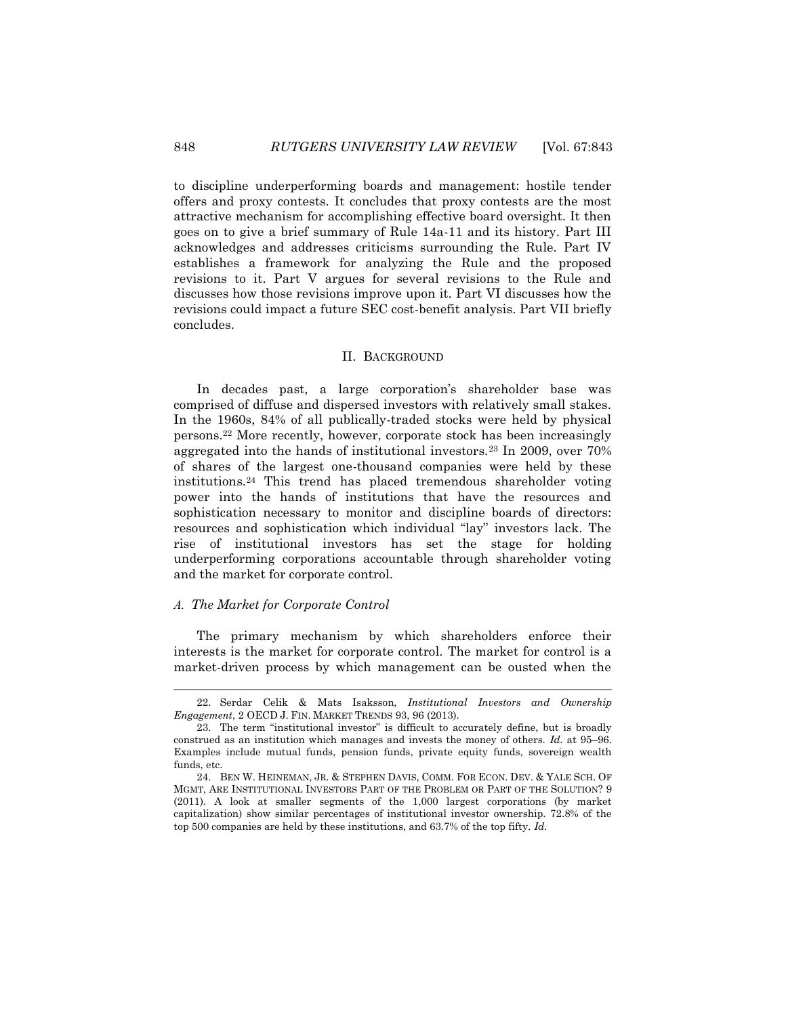to discipline underperforming boards and management: hostile tender offers and proxy contests. It concludes that proxy contests are the most attractive mechanism for accomplishing effective board oversight. It then goes on to give a brief summary of Rule 14a-11 and its history. Part III acknowledges and addresses criticisms surrounding the Rule. Part IV establishes a framework for analyzing the Rule and the proposed revisions to it. Part V argues for several revisions to the Rule and discusses how those revisions improve upon it. Part VI discusses how the revisions could impact a future SEC cost-benefit analysis. Part VII briefly concludes.

#### II. BACKGROUND

In decades past, a large corporation's shareholder base was comprised of diffuse and dispersed investors with relatively small stakes. In the 1960s, 84% of all publically-traded stocks were held by physical persons.<sup>22</sup> More recently, however, corporate stock has been increasingly aggregated into the hands of institutional investors.<sup>23</sup> In 2009, over 70% of shares of the largest one-thousand companies were held by these institutions.<sup>24</sup> This trend has placed tremendous shareholder voting power into the hands of institutions that have the resources and sophistication necessary to monitor and discipline boards of directors: resources and sophistication which individual "lay" investors lack. The rise of institutional investors has set the stage for holding underperforming corporations accountable through shareholder voting and the market for corporate control.

#### *A. The Market for Corporate Control*

The primary mechanism by which shareholders enforce their interests is the market for corporate control. The market for control is a market-driven process by which management can be ousted when the

<sup>22.</sup> Serdar Celik & Mats Isaksson, *Institutional Investors and Ownership Engagement*, 2 OECD J. FIN. MARKET TRENDS 93, 96 (2013).

<sup>23.</sup> The term "institutional investor" is difficult to accurately define, but is broadly construed as an institution which manages and invests the money of others. *Id.* at 95–96. Examples include mutual funds, pension funds, private equity funds, sovereign wealth funds, etc.

<sup>24.</sup> BEN W. HEINEMAN, JR. & STEPHEN DAVIS, COMM. FOR ECON. DEV. & YALE SCH. OF MGMT, ARE INSTITUTIONAL INVESTORS PART OF THE PROBLEM OR PART OF THE SOLUTION? 9 (2011). A look at smaller segments of the 1,000 largest corporations (by market capitalization) show similar percentages of institutional investor ownership. 72.8% of the top 500 companies are held by these institutions, and 63.7% of the top fifty. *Id.*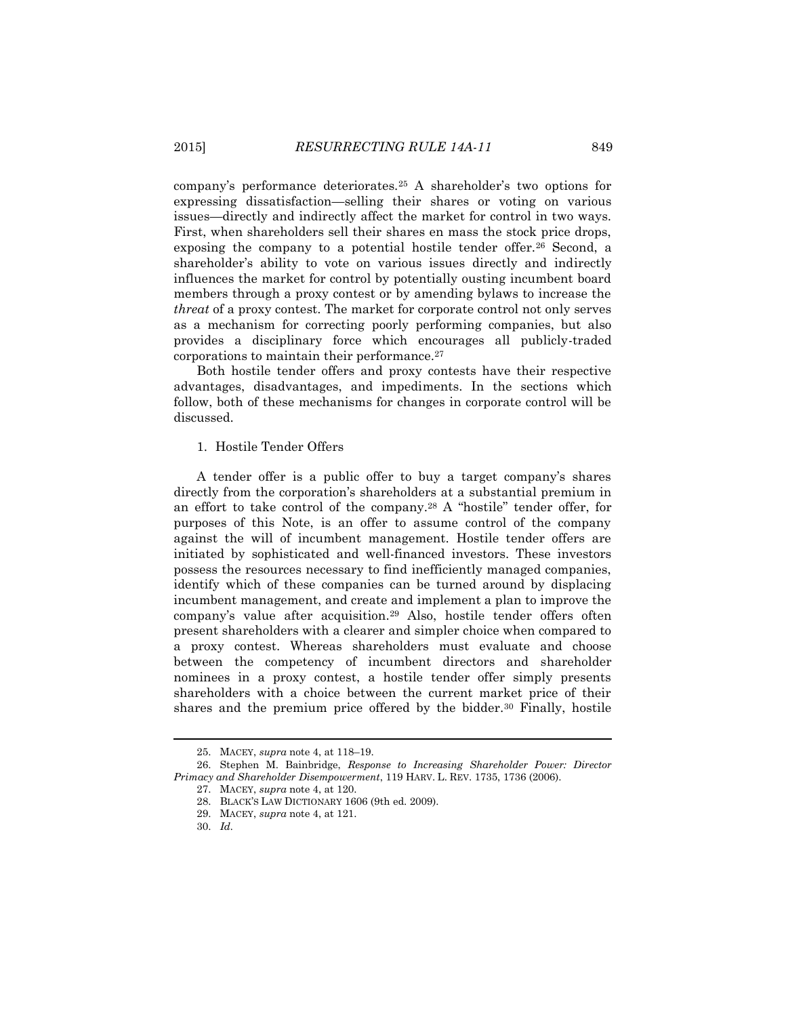company's performance deteriorates.<sup>25</sup> A shareholder's two options for expressing dissatisfaction—selling their shares or voting on various issues—directly and indirectly affect the market for control in two ways. First, when shareholders sell their shares en mass the stock price drops, exposing the company to a potential hostile tender offer.<sup>26</sup> Second, a shareholder's ability to vote on various issues directly and indirectly influences the market for control by potentially ousting incumbent board members through a proxy contest or by amending bylaws to increase the *threat* of a proxy contest. The market for corporate control not only serves as a mechanism for correcting poorly performing companies, but also provides a disciplinary force which encourages all publicly-traded corporations to maintain their performance.<sup>27</sup>

Both hostile tender offers and proxy contests have their respective advantages, disadvantages, and impediments. In the sections which follow, both of these mechanisms for changes in corporate control will be discussed.

#### 1. Hostile Tender Offers

A tender offer is a public offer to buy a target company's shares directly from the corporation's shareholders at a substantial premium in an effort to take control of the company.<sup>28</sup> A "hostile" tender offer, for purposes of this Note, is an offer to assume control of the company against the will of incumbent management. Hostile tender offers are initiated by sophisticated and well-financed investors. These investors possess the resources necessary to find inefficiently managed companies, identify which of these companies can be turned around by displacing incumbent management, and create and implement a plan to improve the company's value after acquisition.<sup>29</sup> Also, hostile tender offers often present shareholders with a clearer and simpler choice when compared to a proxy contest. Whereas shareholders must evaluate and choose between the competency of incumbent directors and shareholder nominees in a proxy contest, a hostile tender offer simply presents shareholders with a choice between the current market price of their shares and the premium price offered by the bidder.<sup>30</sup> Finally, hostile

<sup>25.</sup> MACEY, *supra* note 4, at 118–19.

<sup>26.</sup> Stephen M. Bainbridge, *Response to Increasing Shareholder Power: Director Primacy and Shareholder Disempowerment*, 119 HARV. L. REV. 1735, 1736 (2006).

<sup>27.</sup> MACEY, *supra* note 4, at 120.

<sup>28.</sup> BLACK'S LAW DICTIONARY 1606 (9th ed. 2009).

<sup>29.</sup> MACEY, *supra* note 4, at 121.

<sup>30.</sup> *Id.*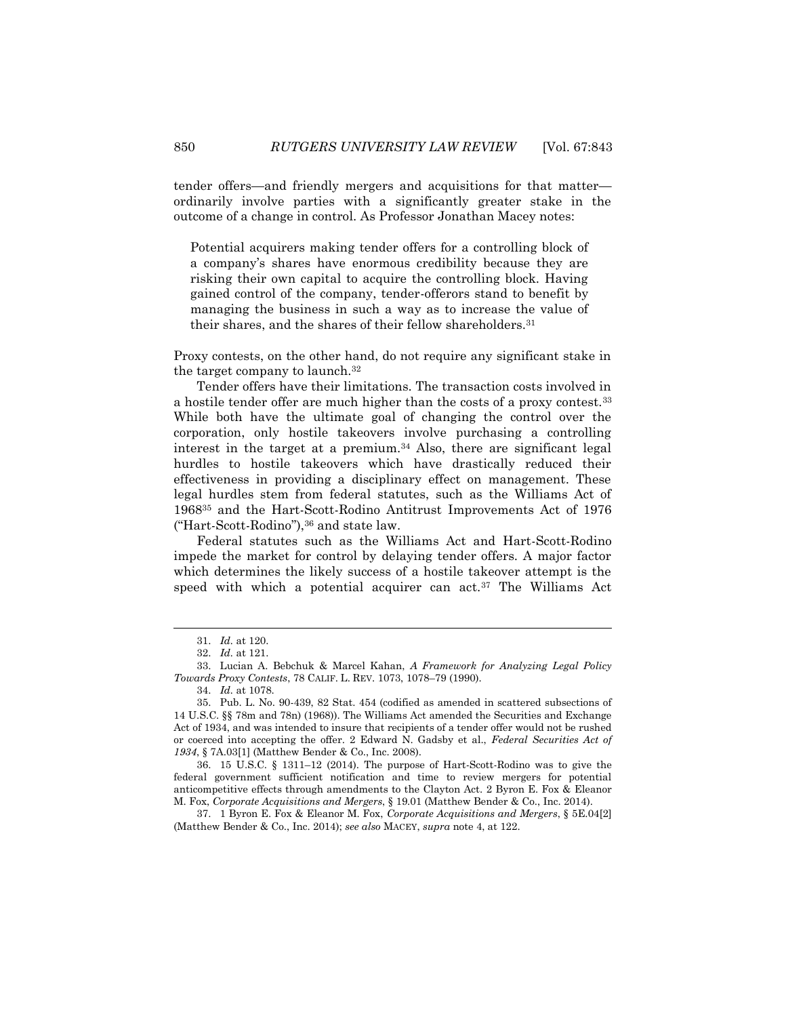tender offers—and friendly mergers and acquisitions for that matter ordinarily involve parties with a significantly greater stake in the outcome of a change in control. As Professor Jonathan Macey notes:

Potential acquirers making tender offers for a controlling block of a company's shares have enormous credibility because they are risking their own capital to acquire the controlling block. Having gained control of the company, tender-offerors stand to benefit by managing the business in such a way as to increase the value of their shares, and the shares of their fellow shareholders.<sup>31</sup>

Proxy contests, on the other hand, do not require any significant stake in the target company to launch.<sup>32</sup>

Tender offers have their limitations. The transaction costs involved in a hostile tender offer are much higher than the costs of a proxy contest.<sup>33</sup> While both have the ultimate goal of changing the control over the corporation, only hostile takeovers involve purchasing a controlling interest in the target at a premium.<sup>34</sup> Also, there are significant legal hurdles to hostile takeovers which have drastically reduced their effectiveness in providing a disciplinary effect on management. These legal hurdles stem from federal statutes, such as the Williams Act of 1968<sup>35</sup> and the Hart-Scott-Rodino Antitrust Improvements Act of 1976 ("Hart-Scott-Rodino"),<sup>36</sup> and state law.

Federal statutes such as the Williams Act and Hart-Scott-Rodino impede the market for control by delaying tender offers. A major factor which determines the likely success of a hostile takeover attempt is the speed with which a potential acquirer can act.<sup>37</sup> The Williams Act

<sup>31.</sup> *Id.* at 120.

<sup>32.</sup> *Id.* at 121.

<sup>33.</sup> Lucian A. Bebchuk & Marcel Kahan, *A Framework for Analyzing Legal Policy Towards Proxy Contests*, 78 CALIF. L. REV. 1073, 1078–79 (1990).

<sup>34.</sup> *Id.* at 1078.

<sup>35.</sup> Pub. L. No. 90-439, 82 Stat. 454 (codified as amended in scattered subsections of 14 U.S.C. §§ 78m and 78n) (1968)). The Williams Act amended the Securities and Exchange Act of 1934, and was intended to insure that recipients of a tender offer would not be rushed or coerced into accepting the offer. 2 Edward N. Gadsby et al., *Federal Securities Act of 1934*, § 7A.03[1] (Matthew Bender & Co., Inc. 2008).

<sup>36.</sup> 15 U.S.C. § 1311–12 (2014). The purpose of Hart-Scott-Rodino was to give the federal government sufficient notification and time to review mergers for potential anticompetitive effects through amendments to the Clayton Act. 2 Byron E. Fox & Eleanor M. Fox, *Corporate Acquisitions and Mergers*, § 19.01 (Matthew Bender & Co., Inc. 2014).

<sup>37.</sup> 1 Byron E. Fox & Eleanor M. Fox, *Corporate Acquisitions and Mergers*, § 5E.04[2] (Matthew Bender & Co., Inc. 2014); *see also* MACEY, *supra* note 4, at 122.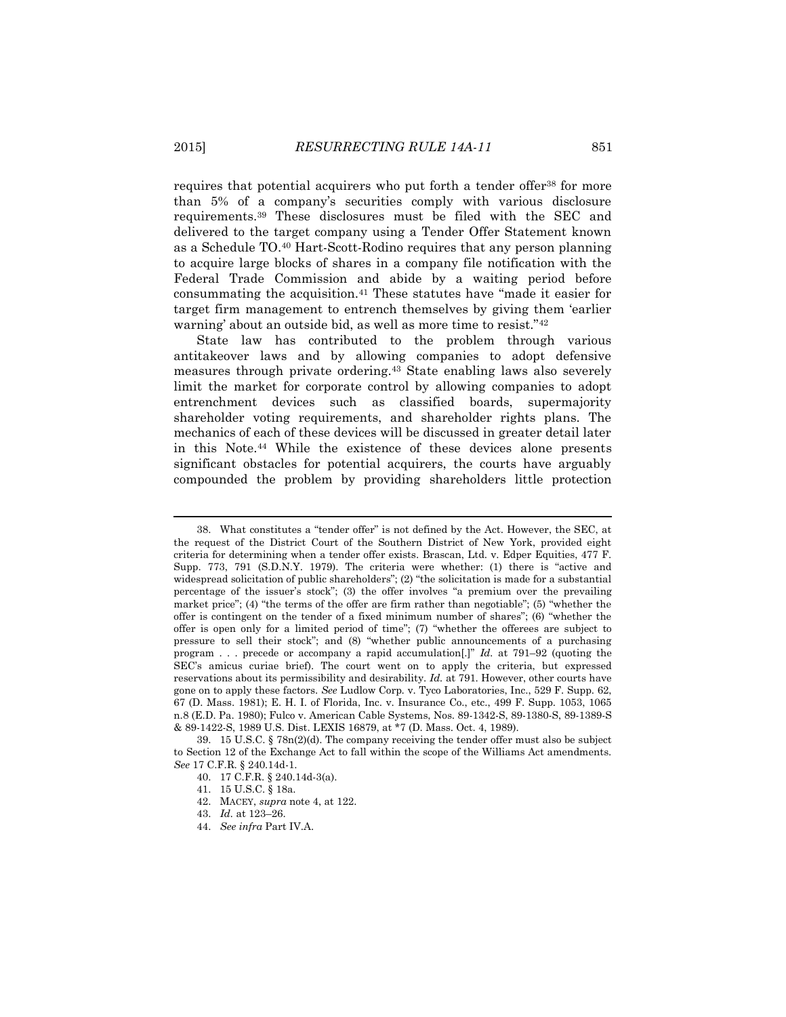requires that potential acquirers who put forth a tender offer<sup>38</sup> for more than 5% of a company's securities comply with various disclosure requirements.<sup>39</sup> These disclosures must be filed with the SEC and delivered to the target company using a Tender Offer Statement known as a Schedule TO.<sup>40</sup> Hart-Scott-Rodino requires that any person planning to acquire large blocks of shares in a company file notification with the Federal Trade Commission and abide by a waiting period before consummating the acquisition.<sup>41</sup> These statutes have "made it easier for target firm management to entrench themselves by giving them 'earlier warning' about an outside bid, as well as more time to resist."<sup>42</sup>

State law has contributed to the problem through various antitakeover laws and by allowing companies to adopt defensive measures through private ordering.<sup>43</sup> State enabling laws also severely limit the market for corporate control by allowing companies to adopt entrenchment devices such as classified boards, supermajority shareholder voting requirements, and shareholder rights plans. The mechanics of each of these devices will be discussed in greater detail later in this Note.<sup>44</sup> While the existence of these devices alone presents significant obstacles for potential acquirers, the courts have arguably compounded the problem by providing shareholders little protection

44. *See infra* Part IV.A.

<sup>38.</sup> What constitutes a "tender offer" is not defined by the Act. However, the SEC, at the request of the District Court of the Southern District of New York, provided eight criteria for determining when a tender offer exists. Brascan, Ltd. v. Edper Equities, 477 F. Supp. 773, 791 (S.D.N.Y. 1979). The criteria were whether: (1) there is "active and widespread solicitation of public shareholders"; (2) "the solicitation is made for a substantial percentage of the issuer's stock"; (3) the offer involves "a premium over the prevailing market price"; (4) "the terms of the offer are firm rather than negotiable"; (5) "whether the offer is contingent on the tender of a fixed minimum number of shares"; (6) "whether the offer is open only for a limited period of time"; (7) "whether the offerees are subject to pressure to sell their stock"; and (8) "whether public announcements of a purchasing program . . . precede or accompany a rapid accumulation[.]" *Id.* at 791–92 (quoting the SEC's amicus curiae brief). The court went on to apply the criteria, but expressed reservations about its permissibility and desirability. *Id.* at 791. However, other courts have gone on to apply these factors. *See* Ludlow Corp. v. Tyco Laboratories, Inc., 529 F. Supp. 62, 67 (D. Mass. 1981); E. H. I. of Florida, Inc. v. Insurance Co., etc., 499 F. Supp. 1053, 1065 n.8 (E.D. Pa. 1980); Fulco v. American Cable Systems, Nos. 89-1342-S, 89-1380-S, 89-1389-S & 89-1422-S, 1989 U.S. Dist. LEXIS 16879, at \*7 (D. Mass. Oct. 4, 1989).

<sup>39.</sup> 15 U.S.C. § 78n(2)(d). The company receiving the tender offer must also be subject to Section 12 of the Exchange Act to fall within the scope of the Williams Act amendments. *See* 17 C.F.R. § 240.14d-1.

<sup>40.</sup> 17 C.F.R. § 240.14d-3(a).

<sup>41.</sup> 15 U.S.C. § 18a.

<sup>42.</sup> MACEY, *supra* note 4, at 122.

<sup>43.</sup> *Id.* at 123–26.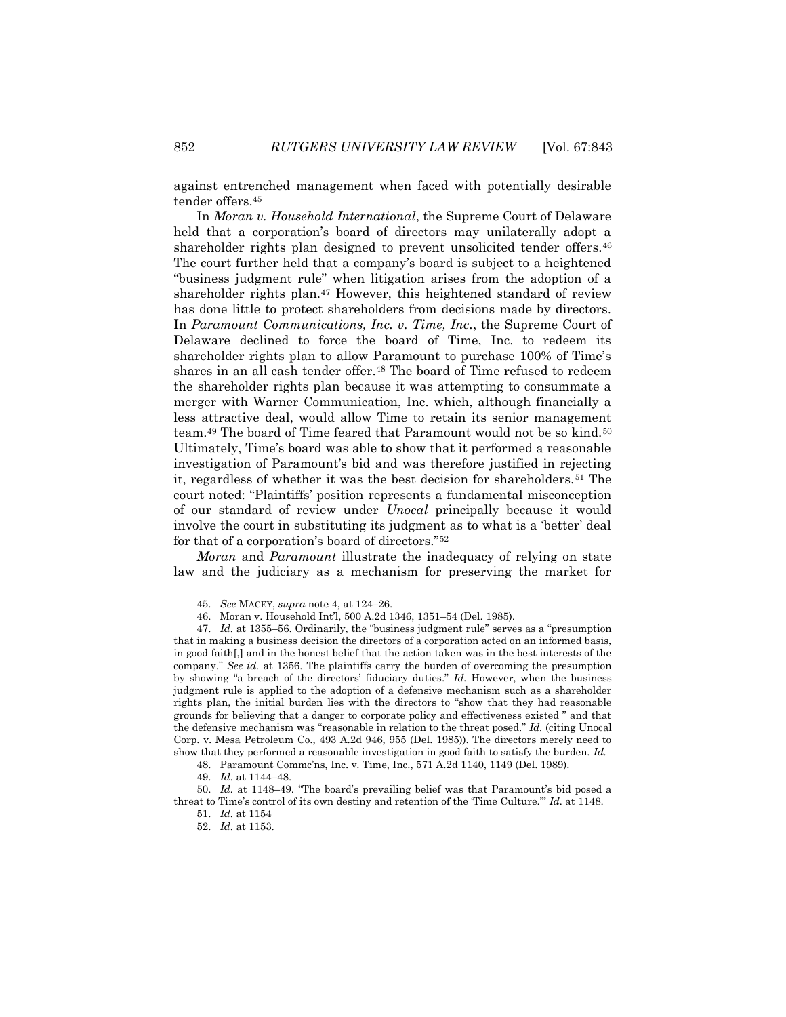against entrenched management when faced with potentially desirable tender offers.<sup>45</sup>

In *Moran v. Household International*, the Supreme Court of Delaware held that a corporation's board of directors may unilaterally adopt a shareholder rights plan designed to prevent unsolicited tender offers.<sup>46</sup> The court further held that a company's board is subject to a heightened "business judgment rule" when litigation arises from the adoption of a shareholder rights plan.<sup>47</sup> However, this heightened standard of review has done little to protect shareholders from decisions made by directors. In *Paramount Communications, Inc. v. Time, Inc.*, the Supreme Court of Delaware declined to force the board of Time, Inc. to redeem its shareholder rights plan to allow Paramount to purchase 100% of Time's shares in an all cash tender offer.<sup>48</sup> The board of Time refused to redeem the shareholder rights plan because it was attempting to consummate a merger with Warner Communication, Inc. which, although financially a less attractive deal, would allow Time to retain its senior management team.<sup>49</sup> The board of Time feared that Paramount would not be so kind.<sup>50</sup> Ultimately, Time's board was able to show that it performed a reasonable investigation of Paramount's bid and was therefore justified in rejecting it, regardless of whether it was the best decision for shareholders.<sup>51</sup> The court noted: "Plaintiffs' position represents a fundamental misconception of our standard of review under *Unocal* principally because it would involve the court in substituting its judgment as to what is a 'better' deal for that of a corporation's board of directors."<sup>52</sup>

*Moran* and *Paramount* illustrate the inadequacy of relying on state law and the judiciary as a mechanism for preserving the market for

48. Paramount Commc'ns, Inc. v. Time, Inc., 571 A.2d 1140, 1149 (Del. 1989).

<sup>45.</sup> *See* MACEY, *supra* note 4, at 124–26.

<sup>46.</sup> Moran v. Household Int'l, 500 A.2d 1346, 1351–54 (Del. 1985).

<sup>47.</sup> *Id.* at 1355–56. Ordinarily, the "business judgment rule" serves as a "presumption that in making a business decision the directors of a corporation acted on an informed basis, in good faith[,] and in the honest belief that the action taken was in the best interests of the company." *See id.* at 1356. The plaintiffs carry the burden of overcoming the presumption by showing "a breach of the directors' fiduciary duties." *Id.* However, when the business judgment rule is applied to the adoption of a defensive mechanism such as a shareholder rights plan, the initial burden lies with the directors to "show that they had reasonable grounds for believing that a danger to corporate policy and effectiveness existed " and that the defensive mechanism was "reasonable in relation to the threat posed." *Id.* (citing Unocal Corp. v. Mesa Petroleum Co., 493 A.2d 946, 955 (Del. 1985)). The directors merely need to show that they performed a reasonable investigation in good faith to satisfy the burden. *Id.*

<sup>49.</sup> *Id.* at 1144–48.

<sup>50.</sup> *Id.* at 1148–49. "The board's prevailing belief was that Paramount's bid posed a threat to Time's control of its own destiny and retention of the 'Time Culture.'" *Id.* at 1148.

<sup>51.</sup> *Id.* at 1154

<sup>52.</sup> *Id.* at 1153.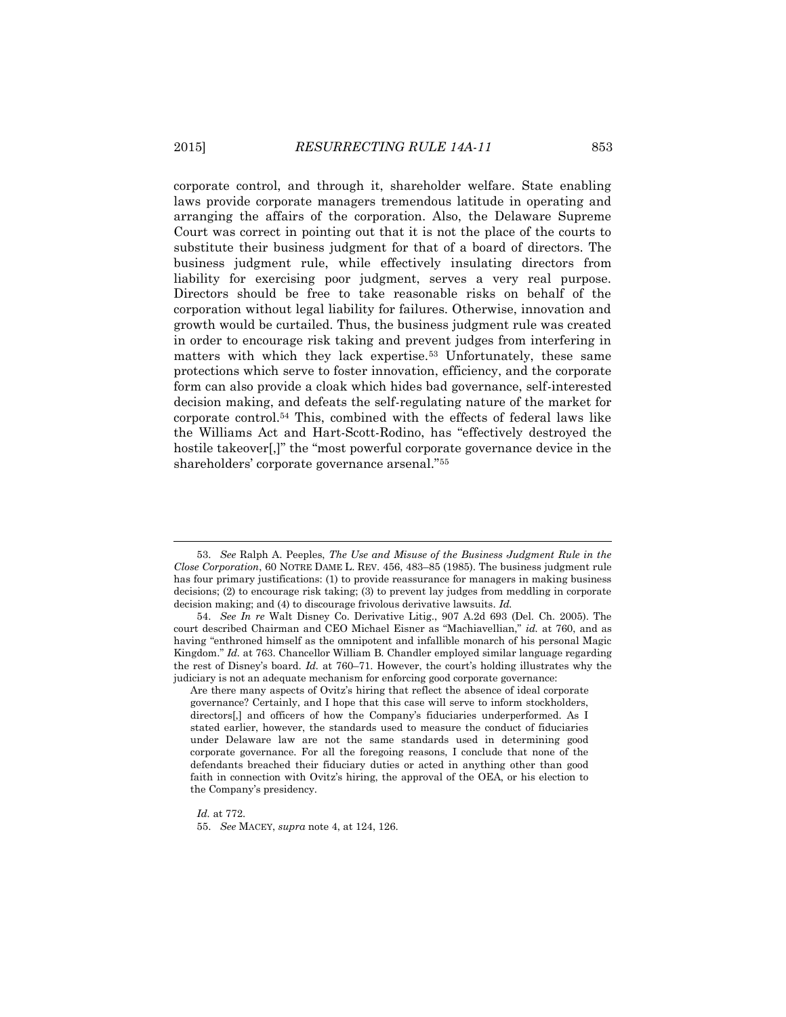corporate control, and through it, shareholder welfare. State enabling laws provide corporate managers tremendous latitude in operating and arranging the affairs of the corporation. Also, the Delaware Supreme Court was correct in pointing out that it is not the place of the courts to substitute their business judgment for that of a board of directors. The business judgment rule, while effectively insulating directors from liability for exercising poor judgment, serves a very real purpose. Directors should be free to take reasonable risks on behalf of the corporation without legal liability for failures. Otherwise, innovation and growth would be curtailed. Thus, the business judgment rule was created in order to encourage risk taking and prevent judges from interfering in matters with which they lack expertise.<sup>53</sup> Unfortunately, these same protections which serve to foster innovation, efficiency, and the corporate form can also provide a cloak which hides bad governance, self-interested decision making, and defeats the self-regulating nature of the market for corporate control.<sup>54</sup> This, combined with the effects of federal laws like the Williams Act and Hart-Scott-Rodino, has "effectively destroyed the hostile takeover<sup>[1]</sup>, the "most powerful corporate governance device in the shareholders' corporate governance arsenal."<sup>55</sup>

*Id.* at 772.

<sup>53.</sup> *See* Ralph A. Peeples, *The Use and Misuse of the Business Judgment Rule in the Close Corporation*, 60 NOTRE DAME L. REV. 456, 483–85 (1985). The business judgment rule has four primary justifications: (1) to provide reassurance for managers in making business decisions; (2) to encourage risk taking; (3) to prevent lay judges from meddling in corporate decision making; and (4) to discourage frivolous derivative lawsuits. *Id.*

<sup>54.</sup> *See In re* Walt Disney Co. Derivative Litig., 907 A.2d 693 (Del. Ch. 2005). The court described Chairman and CEO Michael Eisner as "Machiavellian," *id.* at 760, and as having "enthroned himself as the omnipotent and infallible monarch of his personal Magic Kingdom." *Id.* at 763. Chancellor William B. Chandler employed similar language regarding the rest of Disney's board. *Id.* at 760–71. However, the court's holding illustrates why the judiciary is not an adequate mechanism for enforcing good corporate governance:

Are there many aspects of Ovitz's hiring that reflect the absence of ideal corporate governance? Certainly, and I hope that this case will serve to inform stockholders, directors[,] and officers of how the Company's fiduciaries underperformed. As I stated earlier, however, the standards used to measure the conduct of fiduciaries under Delaware law are not the same standards used in determining good corporate governance. For all the foregoing reasons, I conclude that none of the defendants breached their fiduciary duties or acted in anything other than good faith in connection with Ovitz's hiring, the approval of the OEA, or his election to the Company's presidency.

<sup>55.</sup> *See* MACEY, *supra* note 4, at 124, 126.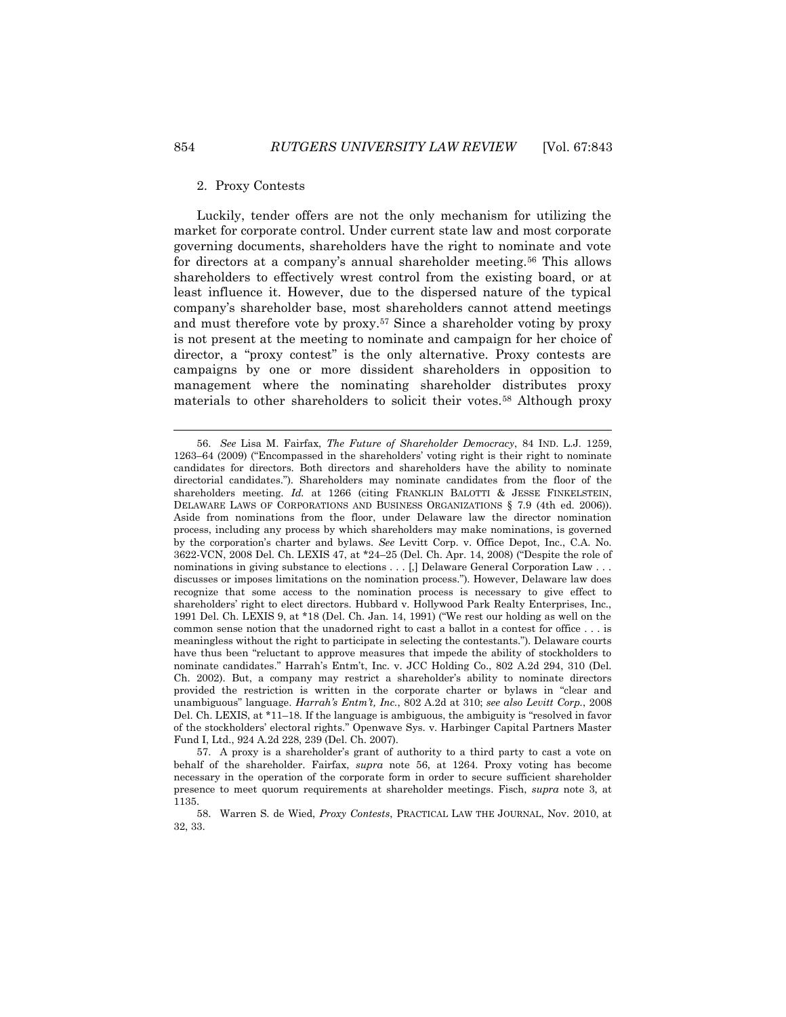#### 2. Proxy Contests

Luckily, tender offers are not the only mechanism for utilizing the market for corporate control. Under current state law and most corporate governing documents, shareholders have the right to nominate and vote for directors at a company's annual shareholder meeting.<sup>56</sup> This allows shareholders to effectively wrest control from the existing board, or at least influence it. However, due to the dispersed nature of the typical company's shareholder base, most shareholders cannot attend meetings and must therefore vote by proxy.<sup>57</sup> Since a shareholder voting by proxy is not present at the meeting to nominate and campaign for her choice of director, a "proxy contest" is the only alternative. Proxy contests are campaigns by one or more dissident shareholders in opposition to management where the nominating shareholder distributes proxy materials to other shareholders to solicit their votes.<sup>58</sup> Although proxy

 $\overline{a}$ 

<sup>56.</sup> *See* Lisa M. Fairfax, *The Future of Shareholder Democracy*, 84 IND. L.J. 1259, 1263–64 (2009) ("Encompassed in the shareholders' voting right is their right to nominate candidates for directors. Both directors and shareholders have the ability to nominate directorial candidates."). Shareholders may nominate candidates from the floor of the shareholders meeting. *Id.* at 1266 (citing FRANKLIN BALOTTI & JESSE FINKELSTEIN, DELAWARE LAWS OF CORPORATIONS AND BUSINESS ORGANIZATIONS § 7.9 (4th ed. 2006)). Aside from nominations from the floor, under Delaware law the director nomination process, including any process by which shareholders may make nominations, is governed by the corporation's charter and bylaws. *See* Levitt Corp. v. Office Depot, Inc., C.A. No. 3622-VCN, 2008 Del. Ch. LEXIS 47, at \*24–25 (Del. Ch. Apr. 14, 2008) ("Despite the role of nominations in giving substance to elections . . . [,] Delaware General Corporation Law . . . discusses or imposes limitations on the nomination process."). However, Delaware law does recognize that some access to the nomination process is necessary to give effect to shareholders' right to elect directors. Hubbard v. Hollywood Park Realty Enterprises, Inc., 1991 Del. Ch. LEXIS 9, at \*18 (Del. Ch. Jan. 14, 1991) ("We rest our holding as well on the common sense notion that the unadorned right to cast a ballot in a contest for office . . . is meaningless without the right to participate in selecting the contestants."). Delaware courts have thus been "reluctant to approve measures that impede the ability of stockholders to nominate candidates." Harrah's Entm't, Inc. v. JCC Holding Co., 802 A.2d 294, 310 (Del. Ch. 2002). But, a company may restrict a shareholder's ability to nominate directors provided the restriction is written in the corporate charter or bylaws in "clear and unambiguous" language. *Harrah's Entm't, Inc.*, 802 A.2d at 310; *see also Levitt Corp.*, 2008 Del. Ch. LEXIS, at \*11–18. If the language is ambiguous, the ambiguity is "resolved in favor of the stockholders' electoral rights." Openwave Sys. v. Harbinger Capital Partners Master Fund I, Ltd., 924 A.2d 228, 239 (Del. Ch. 2007).

<sup>57.</sup> A proxy is a shareholder's grant of authority to a third party to cast a vote on behalf of the shareholder. Fairfax, *supra* note 56, at 1264. Proxy voting has become necessary in the operation of the corporate form in order to secure sufficient shareholder presence to meet quorum requirements at shareholder meetings. Fisch, *supra* note 3, at 1135.

<sup>58.</sup> Warren S. de Wied, *Proxy Contests*, PRACTICAL LAW THE JOURNAL, Nov. 2010, at 32, 33.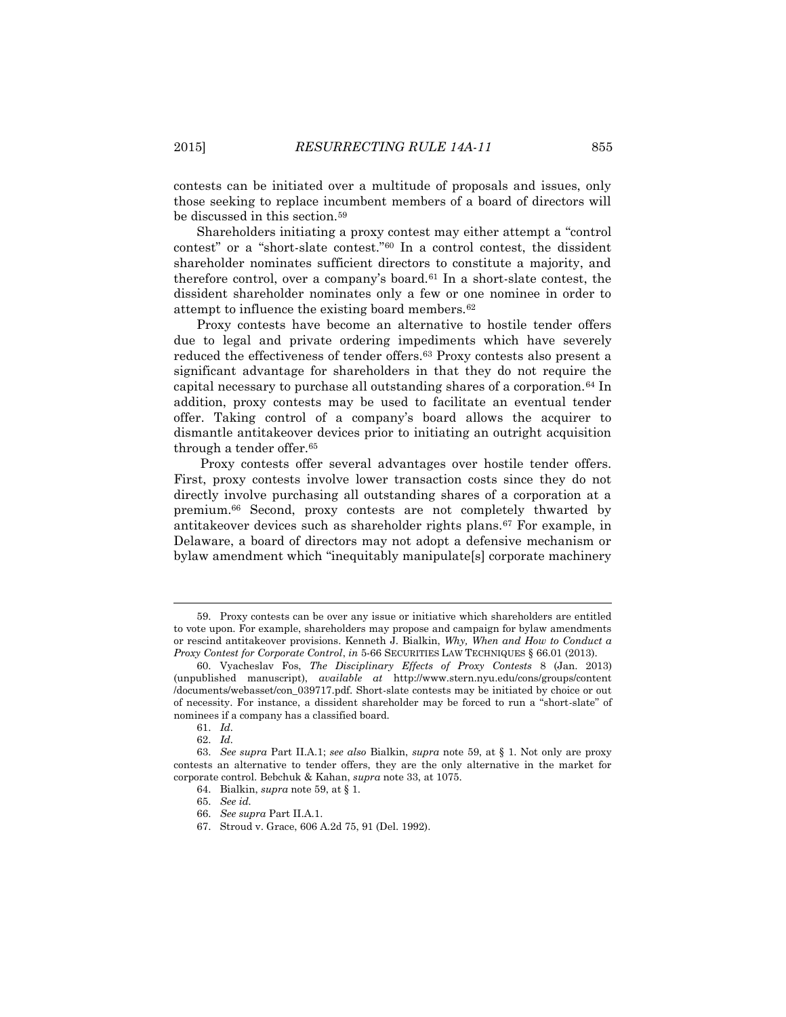contests can be initiated over a multitude of proposals and issues, only those seeking to replace incumbent members of a board of directors will be discussed in this section.<sup>59</sup>

Shareholders initiating a proxy contest may either attempt a "control contest" or a "short-slate contest."<sup>60</sup> In a control contest, the dissident shareholder nominates sufficient directors to constitute a majority, and therefore control, over a company's board.<sup>61</sup> In a short-slate contest, the dissident shareholder nominates only a few or one nominee in order to attempt to influence the existing board members.<sup>62</sup>

Proxy contests have become an alternative to hostile tender offers due to legal and private ordering impediments which have severely reduced the effectiveness of tender offers.<sup>63</sup> Proxy contests also present a significant advantage for shareholders in that they do not require the capital necessary to purchase all outstanding shares of a corporation.<sup>64</sup> In addition, proxy contests may be used to facilitate an eventual tender offer. Taking control of a company's board allows the acquirer to dismantle antitakeover devices prior to initiating an outright acquisition through a tender offer.<sup>65</sup>

Proxy contests offer several advantages over hostile tender offers. First, proxy contests involve lower transaction costs since they do not directly involve purchasing all outstanding shares of a corporation at a premium.<sup>66</sup> Second, proxy contests are not completely thwarted by antitakeover devices such as shareholder rights plans.<sup>67</sup> For example, in Delaware, a board of directors may not adopt a defensive mechanism or bylaw amendment which "inequitably manipulate[s] corporate machinery

<sup>59.</sup> Proxy contests can be over any issue or initiative which shareholders are entitled to vote upon. For example, shareholders may propose and campaign for bylaw amendments or rescind antitakeover provisions. Kenneth J. Bialkin, *Why, When and How to Conduct a Proxy Contest for Corporate Control, in* 5-66 SECURITIES LAW TECHNIQUES § 66.01 (2013).

<sup>60.</sup> Vyacheslav Fos, *The Disciplinary Effects of Proxy Contests* 8 (Jan. 2013) (unpublished manuscript), *available at* http://www.stern.nyu.edu/cons/groups/content /documents/webasset/con\_039717.pdf. Short-slate contests may be initiated by choice or out of necessity. For instance, a dissident shareholder may be forced to run a "short-slate" of nominees if a company has a classified board.

<sup>61.</sup> *Id.*

<sup>62.</sup> *Id.*

<sup>63.</sup> *See supra* Part II.A.1; *see also* Bialkin, *supra* note 59, at § 1. Not only are proxy contests an alternative to tender offers, they are the only alternative in the market for corporate control. Bebchuk & Kahan, *supra* note 33, at 1075.

<sup>64.</sup> Bialkin, *supra* note 59, at § 1.

<sup>65.</sup> *See id.*

<sup>66.</sup> *See supra* Part II.A.1.

<sup>67.</sup> Stroud v. Grace, 606 A.2d 75, 91 (Del. 1992).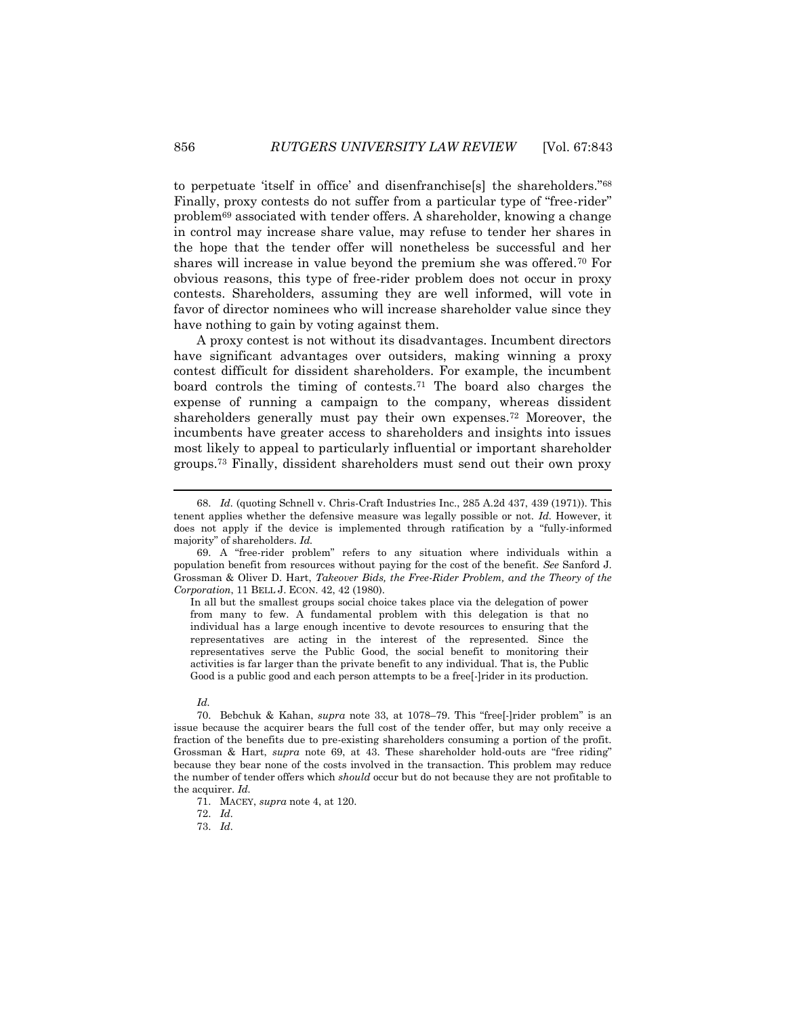to perpetuate 'itself in office' and disenfranchise [s] the shareholders."<sup>68</sup> Finally, proxy contests do not suffer from a particular type of "free-rider" problem<sup>69</sup> associated with tender offers. A shareholder, knowing a change in control may increase share value, may refuse to tender her shares in the hope that the tender offer will nonetheless be successful and her shares will increase in value beyond the premium she was offered.<sup>70</sup> For obvious reasons, this type of free-rider problem does not occur in proxy contests. Shareholders, assuming they are well informed, will vote in favor of director nominees who will increase shareholder value since they have nothing to gain by voting against them.

A proxy contest is not without its disadvantages. Incumbent directors have significant advantages over outsiders, making winning a proxy contest difficult for dissident shareholders. For example, the incumbent board controls the timing of contests.<sup>71</sup> The board also charges the expense of running a campaign to the company, whereas dissident shareholders generally must pay their own expenses.<sup>72</sup> Moreover, the incumbents have greater access to shareholders and insights into issues most likely to appeal to particularly influential or important shareholder groups.<sup>73</sup> Finally, dissident shareholders must send out their own proxy

In all but the smallest groups social choice takes place via the delegation of power from many to few. A fundamental problem with this delegation is that no individual has a large enough incentive to devote resources to ensuring that the representatives are acting in the interest of the represented. Since the representatives serve the Public Good, the social benefit to monitoring their activities is far larger than the private benefit to any individual. That is, the Public Good is a public good and each person attempts to be a free[-]rider in its production.

*Id.*

l

70. Bebchuk & Kahan, *supra* note 33, at 1078–79. This "free[-]rider problem" is an issue because the acquirer bears the full cost of the tender offer, but may only receive a fraction of the benefits due to pre-existing shareholders consuming a portion of the profit. Grossman & Hart, *supra* note 69, at 43. These shareholder hold-outs are "free riding" because they bear none of the costs involved in the transaction. This problem may reduce the number of tender offers which *should* occur but do not because they are not profitable to the acquirer. *Id.*

71. MACEY, *supra* note 4, at 120.

72. *Id.*

73. *Id.*

<sup>68.</sup> *Id.* (quoting Schnell v. Chris-Craft Industries Inc., 285 A.2d 437, 439 (1971)). This tenent applies whether the defensive measure was legally possible or not. *Id.* However, it does not apply if the device is implemented through ratification by a "fully-informed majority" of shareholders. *Id.*

<sup>69.</sup> A "free-rider problem" refers to any situation where individuals within a population benefit from resources without paying for the cost of the benefit. *See* Sanford J. Grossman & Oliver D. Hart, *Takeover Bids, the Free-Rider Problem, and the Theory of the Corporation*, 11 BELL J. ECON. 42, 42 (1980).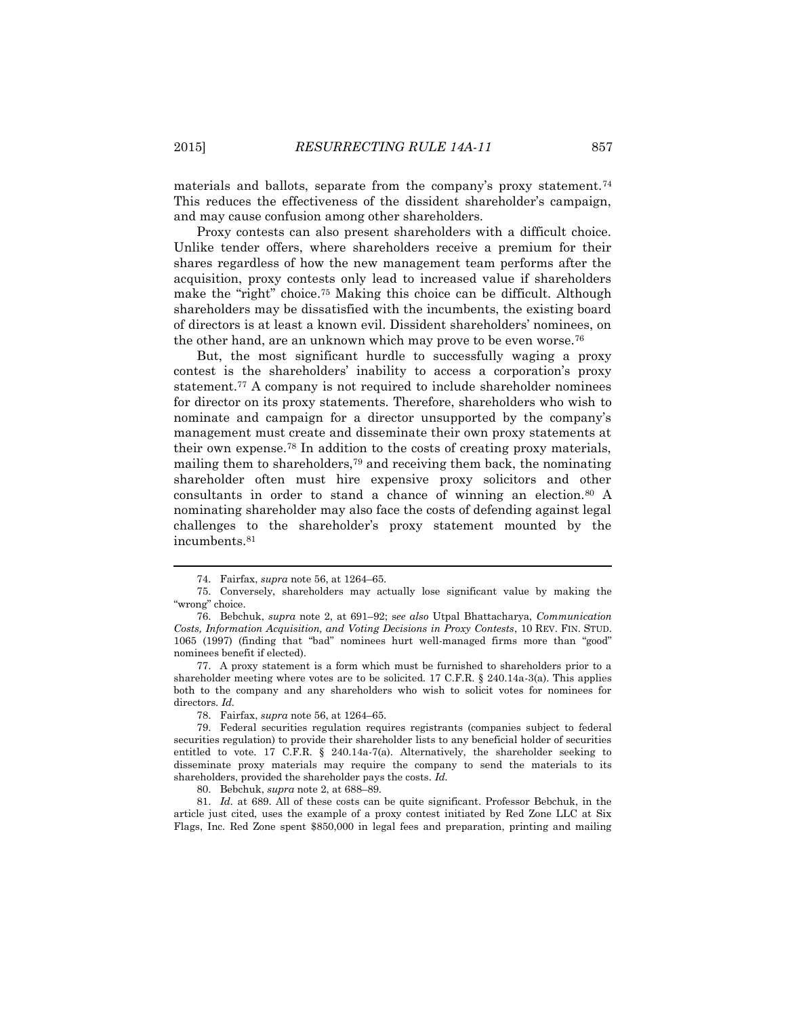materials and ballots, separate from the company's proxy statement.<sup>74</sup> This reduces the effectiveness of the dissident shareholder's campaign, and may cause confusion among other shareholders.

Proxy contests can also present shareholders with a difficult choice. Unlike tender offers, where shareholders receive a premium for their shares regardless of how the new management team performs after the acquisition, proxy contests only lead to increased value if shareholders make the "right" choice.<sup>75</sup> Making this choice can be difficult. Although shareholders may be dissatisfied with the incumbents, the existing board of directors is at least a known evil. Dissident shareholders' nominees, on the other hand, are an unknown which may prove to be even worse.<sup>76</sup>

But, the most significant hurdle to successfully waging a proxy contest is the shareholders' inability to access a corporation's proxy statement.<sup>77</sup> A company is not required to include shareholder nominees for director on its proxy statements. Therefore, shareholders who wish to nominate and campaign for a director unsupported by the company's management must create and disseminate their own proxy statements at their own expense.<sup>78</sup> In addition to the costs of creating proxy materials, mailing them to shareholders, $79$  and receiving them back, the nominating shareholder often must hire expensive proxy solicitors and other consultants in order to stand a chance of winning an election.<sup>80</sup> A nominating shareholder may also face the costs of defending against legal challenges to the shareholder's proxy statement mounted by the incumbents.<sup>81</sup>

80. Bebchuk, *supra* note 2, at 688–89.

81. *Id.* at 689. All of these costs can be quite significant. Professor Bebchuk, in the article just cited, uses the example of a proxy contest initiated by Red Zone LLC at Six Flags, Inc. Red Zone spent \$850,000 in legal fees and preparation, printing and mailing

<sup>74.</sup> Fairfax, *supra* note 56, at 1264–65.

<sup>75.</sup> Conversely, shareholders may actually lose significant value by making the "wrong" choice.

<sup>76.</sup> Bebchuk, *supra* note 2, at 691–92; s*ee also* Utpal Bhattacharya, *Communication Costs, Information Acquisition, and Voting Decisions in Proxy Contests*, 10 REV. FIN. STUD. 1065 (1997) (finding that "bad" nominees hurt well-managed firms more than "good" nominees benefit if elected).

<sup>77.</sup> A proxy statement is a form which must be furnished to shareholders prior to a shareholder meeting where votes are to be solicited. 17 C.F.R. § 240.14a-3(a). This applies both to the company and any shareholders who wish to solicit votes for nominees for directors. *Id.*

<sup>78.</sup> Fairfax, *supra* note 56, at 1264–65.

<sup>79.</sup> Federal securities regulation requires registrants (companies subject to federal securities regulation) to provide their shareholder lists to any beneficial holder of securities entitled to vote. 17 C.F.R.  $\S$  240.14a-7(a). Alternatively, the shareholder seeking to disseminate proxy materials may require the company to send the materials to its shareholders, provided the shareholder pays the costs. *Id.*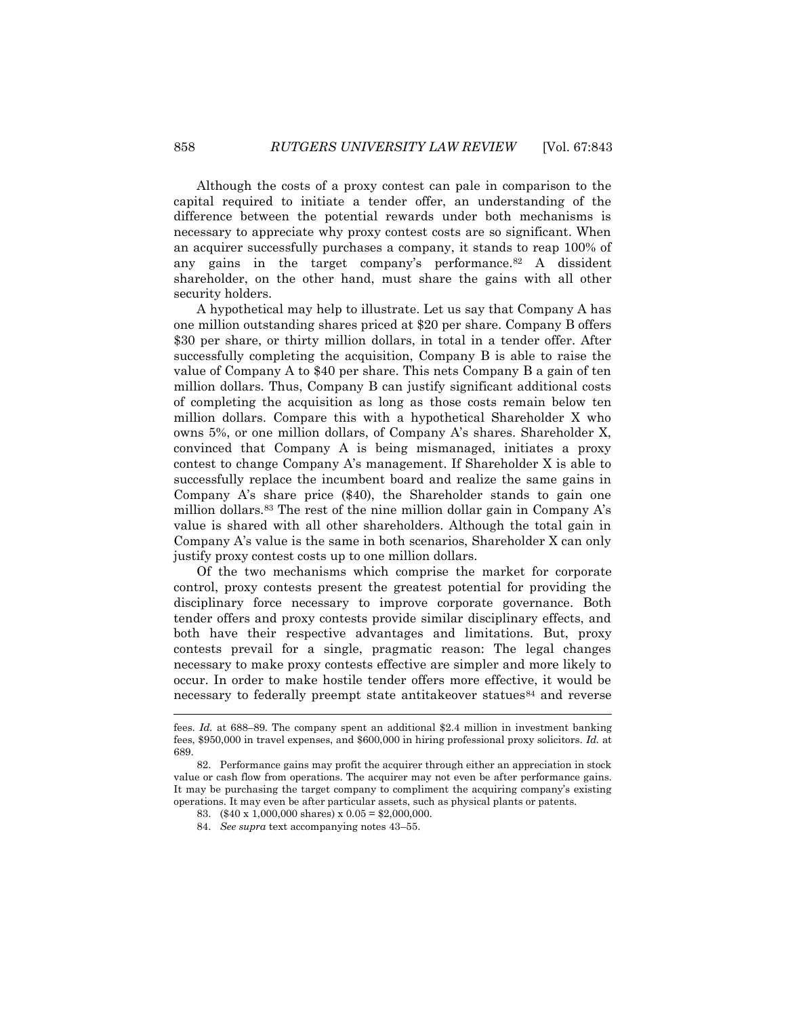Although the costs of a proxy contest can pale in comparison to the capital required to initiate a tender offer, an understanding of the difference between the potential rewards under both mechanisms is necessary to appreciate why proxy contest costs are so significant. When an acquirer successfully purchases a company, it stands to reap 100% of any gains in the target company's performance.<sup>82</sup> A dissident shareholder, on the other hand, must share the gains with all other security holders.

A hypothetical may help to illustrate. Let us say that Company A has one million outstanding shares priced at \$20 per share. Company B offers \$30 per share, or thirty million dollars, in total in a tender offer. After successfully completing the acquisition, Company B is able to raise the value of Company A to \$40 per share. This nets Company B a gain of ten million dollars. Thus, Company B can justify significant additional costs of completing the acquisition as long as those costs remain below ten million dollars. Compare this with a hypothetical Shareholder X who owns 5%, or one million dollars, of Company A's shares. Shareholder X, convinced that Company A is being mismanaged, initiates a proxy contest to change Company A's management. If Shareholder X is able to successfully replace the incumbent board and realize the same gains in Company A's share price (\$40), the Shareholder stands to gain one million dollars.<sup>83</sup> The rest of the nine million dollar gain in Company A's value is shared with all other shareholders. Although the total gain in Company A's value is the same in both scenarios, Shareholder X can only justify proxy contest costs up to one million dollars.

Of the two mechanisms which comprise the market for corporate control, proxy contests present the greatest potential for providing the disciplinary force necessary to improve corporate governance. Both tender offers and proxy contests provide similar disciplinary effects, and both have their respective advantages and limitations. But, proxy contests prevail for a single, pragmatic reason: The legal changes necessary to make proxy contests effective are simpler and more likely to occur. In order to make hostile tender offers more effective, it would be necessary to federally preempt state antitakeover statues<sup>84</sup> and reverse

fees. *Id.* at 688–89. The company spent an additional \$2.4 million in investment banking fees, \$950,000 in travel expenses, and \$600,000 in hiring professional proxy solicitors. *Id.* at 689.

<sup>82.</sup> Performance gains may profit the acquirer through either an appreciation in stock value or cash flow from operations. The acquirer may not even be after performance gains. It may be purchasing the target company to compliment the acquiring company's existing operations. It may even be after particular assets, such as physical plants or patents.

<sup>83.</sup> (\$40 x 1,000,000 shares) x 0.05 = \$2,000,000.

<sup>84.</sup> *See supra* text accompanying notes 43–55.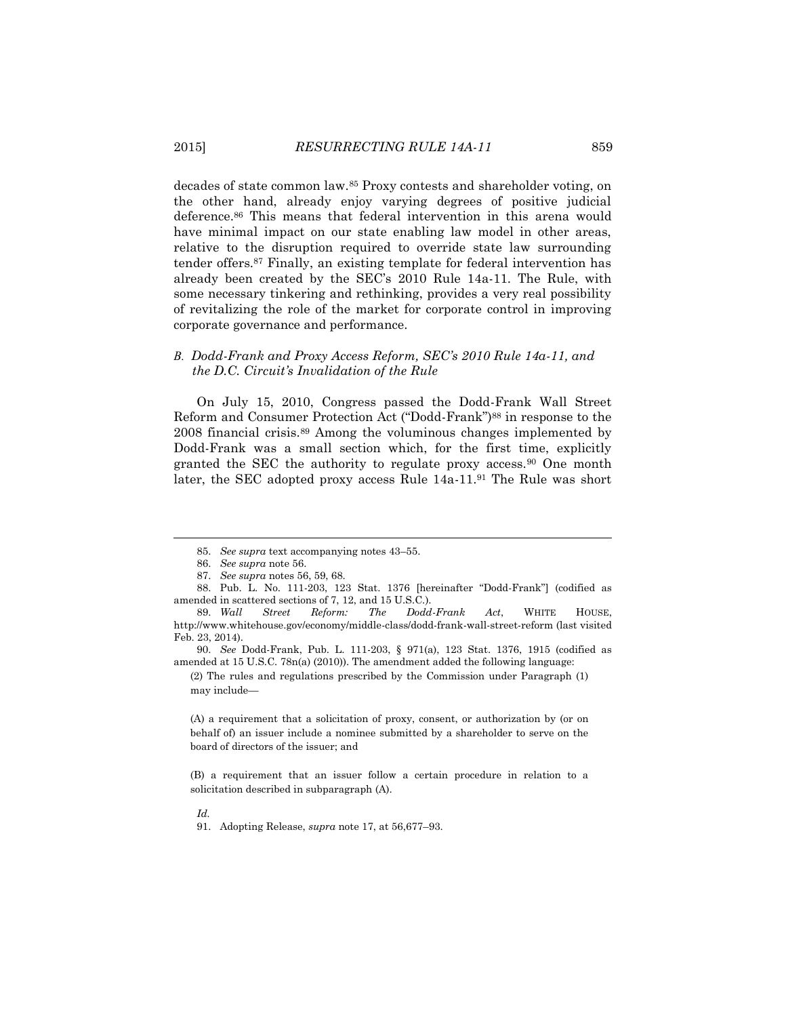decades of state common law.<sup>85</sup> Proxy contests and shareholder voting, on the other hand, already enjoy varying degrees of positive judicial deference.<sup>86</sup> This means that federal intervention in this arena would have minimal impact on our state enabling law model in other areas, relative to the disruption required to override state law surrounding tender offers.<sup>87</sup> Finally, an existing template for federal intervention has already been created by the SEC's 2010 Rule 14a-11. The Rule, with some necessary tinkering and rethinking, provides a very real possibility of revitalizing the role of the market for corporate control in improving corporate governance and performance.

### *B. Dodd-Frank and Proxy Access Reform, SEC's 2010 Rule 14a-11, and the D.C. Circuit's Invalidation of the Rule*

On July 15, 2010, Congress passed the Dodd-Frank Wall Street Reform and Consumer Protection Act ("Dodd-Frank")<sup>88</sup> in response to the 2008 financial crisis.<sup>89</sup> Among the voluminous changes implemented by Dodd-Frank was a small section which, for the first time, explicitly granted the SEC the authority to regulate proxy access.<sup>90</sup> One month later, the SEC adopted proxy access Rule 14a-11.<sup>91</sup> The Rule was short

l

(2) The rules and regulations prescribed by the Commission under Paragraph (1) may include—

(A) a requirement that a solicitation of proxy, consent, or authorization by (or on behalf of) an issuer include a nominee submitted by a shareholder to serve on the board of directors of the issuer; and

(B) a requirement that an issuer follow a certain procedure in relation to a solicitation described in subparagraph (A).

*Id.*

91. Adopting Release, *supra* note 17, at 56,677–93.

<sup>85.</sup> *See supra* text accompanying notes 43–55.

<sup>86.</sup> *See supra* note 56.

<sup>87.</sup> *See supra* notes 56, 59, 68.

<sup>88.</sup> Pub. L. No. 111-203, 123 Stat. 1376 [hereinafter "Dodd-Frank"] (codified as amended in scattered sections of 7, 12, and 15 U.S.C.).

<sup>89.</sup> *Wall Street Reform: The Dodd-Frank Act*, WHITE HOUSE, http://www.whitehouse.gov/economy/middle-class/dodd-frank-wall-street-reform (last visited Feb. 23, 2014).

<sup>90.</sup> *See* Dodd-Frank, Pub. L. 111-203, § 971(a), 123 Stat. 1376, 1915 (codified as amended at 15 U.S.C. 78n(a) (2010)). The amendment added the following language: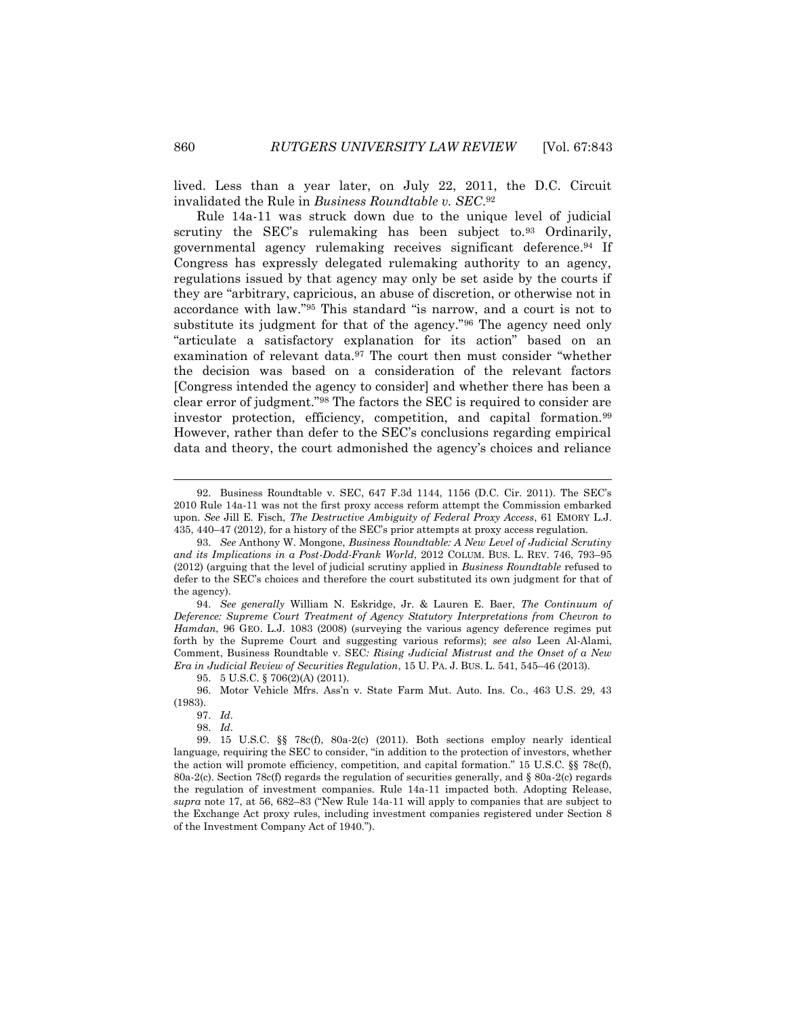lived. Less than a year later, on July 22, 2011, the D.C. Circuit invalidated the Rule in *Business Roundtable v. SEC*. 92

Rule 14a-11 was struck down due to the unique level of judicial scrutiny the SEC's rulemaking has been subject to.<sup>93</sup> Ordinarily, governmental agency rulemaking receives significant deference.<sup>94</sup> If Congress has expressly delegated rulemaking authority to an agency, regulations issued by that agency may only be set aside by the courts if they are "arbitrary, capricious, an abuse of discretion, or otherwise not in accordance with law."<sup>95</sup> This standard "is narrow, and a court is not to substitute its judgment for that of the agency."<sup>96</sup> The agency need only "articulate a satisfactory explanation for its action" based on an examination of relevant data.<sup>97</sup> The court then must consider "whether the decision was based on a consideration of the relevant factors [Congress intended the agency to consider] and whether there has been a clear error of judgment."<sup>98</sup> The factors the SEC is required to consider are investor protection, efficiency, competition, and capital formation.<sup>99</sup> However, rather than defer to the SEC's conclusions regarding empirical data and theory, the court admonished the agency's choices and reliance

95. 5 U.S.C. § 706(2)(A) (2011).

96. Motor Vehicle Mfrs. Ass'n v. State Farm Mut. Auto. Ins. Co., 463 U.S. 29, 43 (1983).

98. *Id.*

<sup>92.</sup> Business Roundtable v. SEC, 647 F.3d 1144, 1156 (D.C. Cir. 2011). The SEC's 2010 Rule 14a-11 was not the first proxy access reform attempt the Commission embarked upon. *See* Jill E. Fisch, *The Destructive Ambiguity of Federal Proxy Access*, 61 EMORY L.J. 435, 440–47 (2012), for a history of the SEC's prior attempts at proxy access regulation.

<sup>93.</sup> *See* Anthony W. Mongone, *Business Roundtable: A New Level of Judicial Scrutiny and its Implications in a Post-Dodd-Frank World*, 2012 COLUM. BUS. L. REV. 746, 793–95 (2012) (arguing that the level of judicial scrutiny applied in *Business Roundtable* refused to defer to the SEC's choices and therefore the court substituted its own judgment for that of the agency).

<sup>94.</sup> *See generally* William N. Eskridge, Jr. & Lauren E. Baer, *The Continuum of Deference: Supreme Court Treatment of Agency Statutory Interpretations from Chevron to Hamdan*, 96 GEO. L.J. 1083 (2008) (surveying the various agency deference regimes put forth by the Supreme Court and suggesting various reforms); *see also* Leen Al-Alami, Comment, Business Roundtable v. SEC*: Rising Judicial Mistrust and the Onset of a New Era in Judicial Review of Securities Regulation*, 15 U. PA. J. BUS. L. 541, 545–46 (2013).

<sup>97.</sup> *Id.*

<sup>99.</sup> 15 U.S.C. §§ 78c(f), 80a-2(c) (2011). Both sections employ nearly identical language, requiring the SEC to consider, "in addition to the protection of investors, whether the action will promote efficiency, competition, and capital formation." 15 U.S.C. §§ 78c(f), 80a-2(c). Section 78c(f) regards the regulation of securities generally, and § 80a-2(c) regards the regulation of investment companies. Rule 14a-11 impacted both. Adopting Release, *supra* note 17, at 56, 682–83 ("New Rule 14a-11 will apply to companies that are subject to the Exchange Act proxy rules, including investment companies registered under Section 8 of the Investment Company Act of 1940.").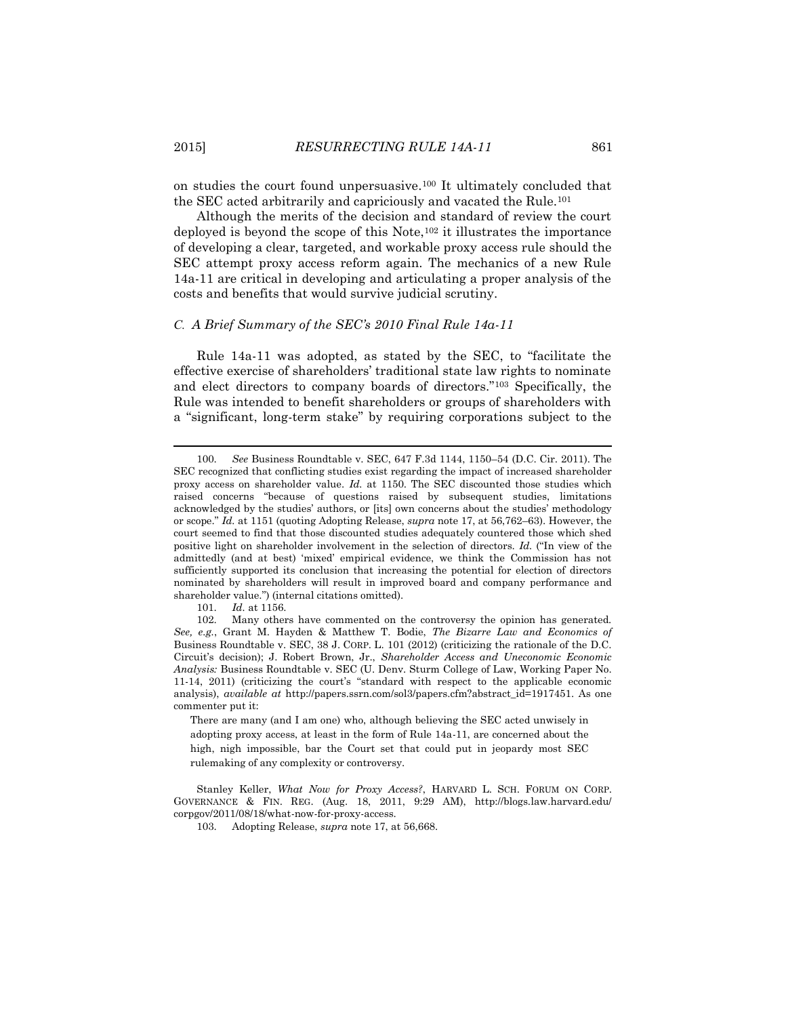on studies the court found unpersuasive.<sup>100</sup> It ultimately concluded that the SEC acted arbitrarily and capriciously and vacated the Rule.<sup>101</sup>

Although the merits of the decision and standard of review the court deployed is beyond the scope of this Note,<sup>102</sup> it illustrates the importance of developing a clear, targeted, and workable proxy access rule should the SEC attempt proxy access reform again. The mechanics of a new Rule 14a-11 are critical in developing and articulating a proper analysis of the costs and benefits that would survive judicial scrutiny.

#### *C. A Brief Summary of the SEC's 2010 Final Rule 14a-11*

Rule 14a-11 was adopted, as stated by the SEC, to "facilitate the effective exercise of shareholders' traditional state law rights to nominate and elect directors to company boards of directors."<sup>103</sup> Specifically, the Rule was intended to benefit shareholders or groups of shareholders with a "significant, long-term stake" by requiring corporations subject to the

<sup>100.</sup> *See* Business Roundtable v. SEC, 647 F.3d 1144, 1150–54 (D.C. Cir. 2011). The SEC recognized that conflicting studies exist regarding the impact of increased shareholder proxy access on shareholder value. *Id.* at 1150. The SEC discounted those studies which raised concerns "because of questions raised by subsequent studies, limitations acknowledged by the studies' authors, or [its] own concerns about the studies' methodology or scope." *Id.* at 1151 (quoting Adopting Release, *supra* note 17, at 56,762–63). However, the court seemed to find that those discounted studies adequately countered those which shed positive light on shareholder involvement in the selection of directors. *Id.* ("In view of the admittedly (and at best) 'mixed' empirical evidence, we think the Commission has not sufficiently supported its conclusion that increasing the potential for election of directors nominated by shareholders will result in improved board and company performance and shareholder value.") (internal citations omitted).

<sup>101.</sup> *Id.* at 1156.

<sup>102.</sup> Many others have commented on the controversy the opinion has generated. *See, e.g.*, Grant M. Hayden & Matthew T. Bodie, *The Bizarre Law and Economics of*  Business Roundtable v. SEC, 38 J. CORP. L. 101 (2012) (criticizing the rationale of the D.C. Circuit's decision); J. Robert Brown, Jr., *Shareholder Access and Uneconomic Economic Analysis:* Business Roundtable v. SEC (U. Denv. Sturm College of Law, Working Paper No. 11-14, 2011) (criticizing the court's "standard with respect to the applicable economic analysis), *available at* http://papers.ssrn.com/sol3/papers.cfm?abstract\_id=1917451. As one commenter put it:

There are many (and I am one) who, although believing the SEC acted unwisely in adopting proxy access, at least in the form of Rule 14a-11, are concerned about the high, nigh impossible, bar the Court set that could put in jeopardy most SEC rulemaking of any complexity or controversy.

Stanley Keller, *What Now for Proxy Access?*, HARVARD L. SCH. FORUM ON CORP. GOVERNANCE & FIN. REG. (Aug. 18, 2011, 9:29 AM), http://blogs.law.harvard.edu/ corpgov/2011/08/18/what-now-for-proxy-access.

<sup>103.</sup> Adopting Release, *supra* note 17, at 56,668.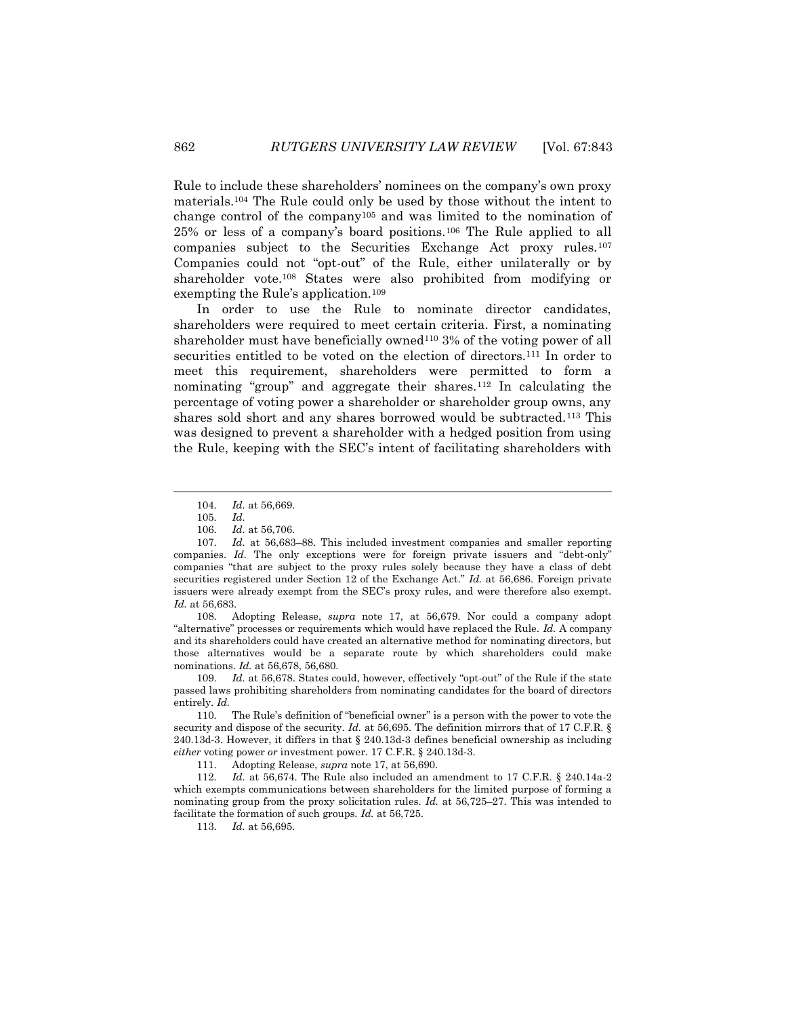Rule to include these shareholders' nominees on the company's own proxy materials.<sup>104</sup> The Rule could only be used by those without the intent to change control of the company<sup>105</sup> and was limited to the nomination of 25% or less of a company's board positions.<sup>106</sup> The Rule applied to all companies subject to the Securities Exchange Act proxy rules.<sup>107</sup> Companies could not "opt-out" of the Rule, either unilaterally or by shareholder vote.<sup>108</sup> States were also prohibited from modifying or exempting the Rule's application.<sup>109</sup>

In order to use the Rule to nominate director candidates, shareholders were required to meet certain criteria. First, a nominating shareholder must have beneficially owned<sup>110</sup>  $3%$  of the voting power of all securities entitled to be voted on the election of directors.<sup>111</sup> In order to meet this requirement, shareholders were permitted to form a nominating "group" and aggregate their shares.<sup>112</sup> In calculating the percentage of voting power a shareholder or shareholder group owns, any shares sold short and any shares borrowed would be subtracted.<sup>113</sup> This was designed to prevent a shareholder with a hedged position from using the Rule, keeping with the SEC's intent of facilitating shareholders with

l

108. Adopting Release, *supra* note 17, at 56,679. Nor could a company adopt "alternative" processes or requirements which would have replaced the Rule. *Id.* A company and its shareholders could have created an alternative method for nominating directors, but those alternatives would be a separate route by which shareholders could make nominations. *Id.* at 56,678, 56,680.

109. *Id.* at 56,678. States could, however, effectively "opt-out" of the Rule if the state passed laws prohibiting shareholders from nominating candidates for the board of directors entirely. *Id.*

110. The Rule's definition of "beneficial owner" is a person with the power to vote the security and dispose of the security. *Id.* at 56,695. The definition mirrors that of 17 C.F.R. § 240.13d-3. However, it differs in that § 240.13d-3 defines beneficial ownership as including *either* voting power *or* investment power. 17 C.F.R. § 240.13d-3.

111. Adopting Release, *supra* note 17, at 56,690.

112. *Id.* at 56,674. The Rule also included an amendment to 17 C.F.R. § 240.14a-2 which exempts communications between shareholders for the limited purpose of forming a nominating group from the proxy solicitation rules. *Id.* at 56,725–27. This was intended to facilitate the formation of such groups. *Id.* at 56,725.

113. *Id.* at 56,695.

<sup>104.</sup> *Id.* at 56,669.

<sup>105.</sup> *Id.*

<sup>106.</sup> *Id.* at 56,706.

<sup>107.</sup> *Id.* at 56,683–88. This included investment companies and smaller reporting companies. *Id.* The only exceptions were for foreign private issuers and "debt-only" companies "that are subject to the proxy rules solely because they have a class of debt securities registered under Section 12 of the Exchange Act." *Id.* at 56,686. Foreign private issuers were already exempt from the SEC's proxy rules, and were therefore also exempt. *Id.* at 56,683.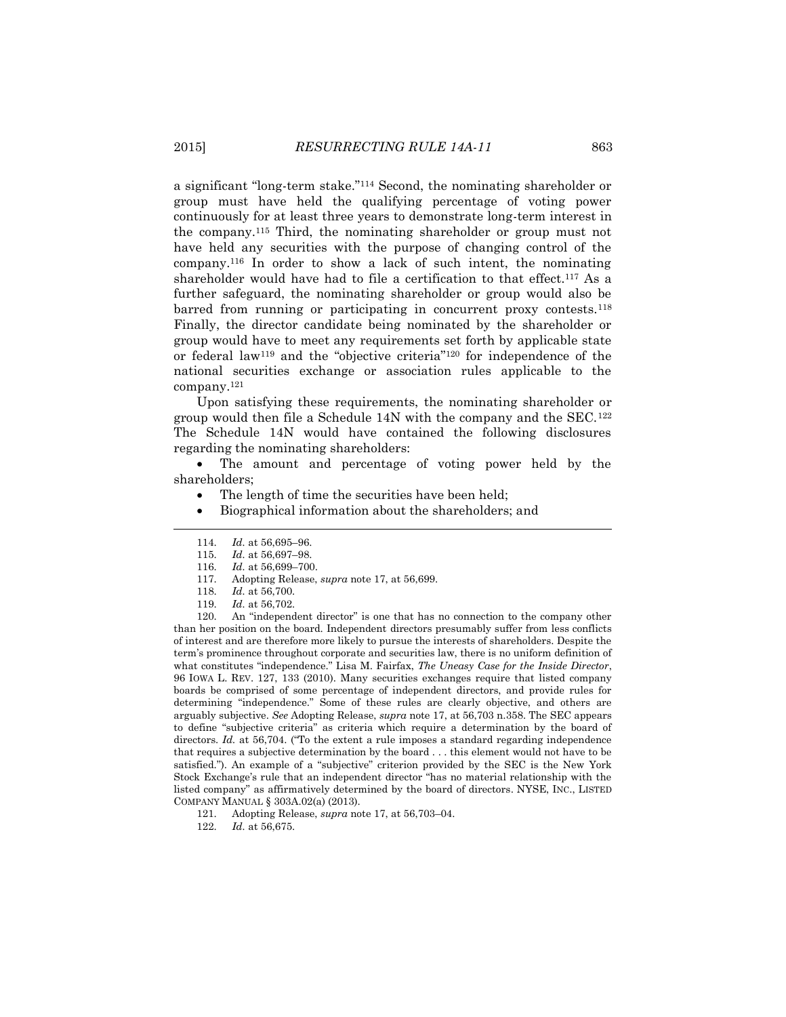a significant "long-term stake."<sup>114</sup> Second, the nominating shareholder or group must have held the qualifying percentage of voting power continuously for at least three years to demonstrate long-term interest in the company.<sup>115</sup> Third, the nominating shareholder or group must not have held any securities with the purpose of changing control of the company.<sup>116</sup> In order to show a lack of such intent, the nominating shareholder would have had to file a certification to that effect.<sup>117</sup> As a further safeguard, the nominating shareholder or group would also be barred from running or participating in concurrent proxy contests.<sup>118</sup> Finally, the director candidate being nominated by the shareholder or group would have to meet any requirements set forth by applicable state or federal law<sup>119</sup> and the "objective criteria"<sup>120</sup> for independence of the national securities exchange or association rules applicable to the company.<sup>121</sup>

Upon satisfying these requirements, the nominating shareholder or group would then file a Schedule 14N with the company and the SEC.<sup>122</sup> The Schedule 14N would have contained the following disclosures regarding the nominating shareholders:

 The amount and percentage of voting power held by the shareholders;

- The length of time the securities have been held;
- Biographical information about the shareholders; and

l

- 115. *Id.* at 56,697–98.
- 116. *Id.* at 56,699–700.
- 117. Adopting Release, *supra* note 17, at 56,699.
- 118. *Id.* at 56,700.
- 119. *Id.* at 56,702.

120. An "independent director" is one that has no connection to the company other than her position on the board. Independent directors presumably suffer from less conflicts of interest and are therefore more likely to pursue the interests of shareholders. Despite the term's prominence throughout corporate and securities law, there is no uniform definition of what constitutes "independence." Lisa M. Fairfax, *The Uneasy Case for the Inside Director*, 96 IOWA L. REV. 127, 133 (2010). Many securities exchanges require that listed company boards be comprised of some percentage of independent directors, and provide rules for determining "independence." Some of these rules are clearly objective, and others are arguably subjective. *See* Adopting Release, *supra* note 17, at 56,703 n.358. The SEC appears to define "subjective criteria" as criteria which require a determination by the board of directors. *Id.* at 56,704. ("To the extent a rule imposes a standard regarding independence that requires a subjective determination by the board . . . this element would not have to be satisfied."). An example of a "subjective" criterion provided by the SEC is the New York Stock Exchange's rule that an independent director "has no material relationship with the listed company" as affirmatively determined by the board of directors. NYSE, INC., LISTED COMPANY MANUAL § 303A.02(a) (2013).

- 121. Adopting Release, *supra* note 17, at 56,703–04.
- 122. *Id.* at 56,675.

<sup>114.</sup> *Id.* at 56,695–96.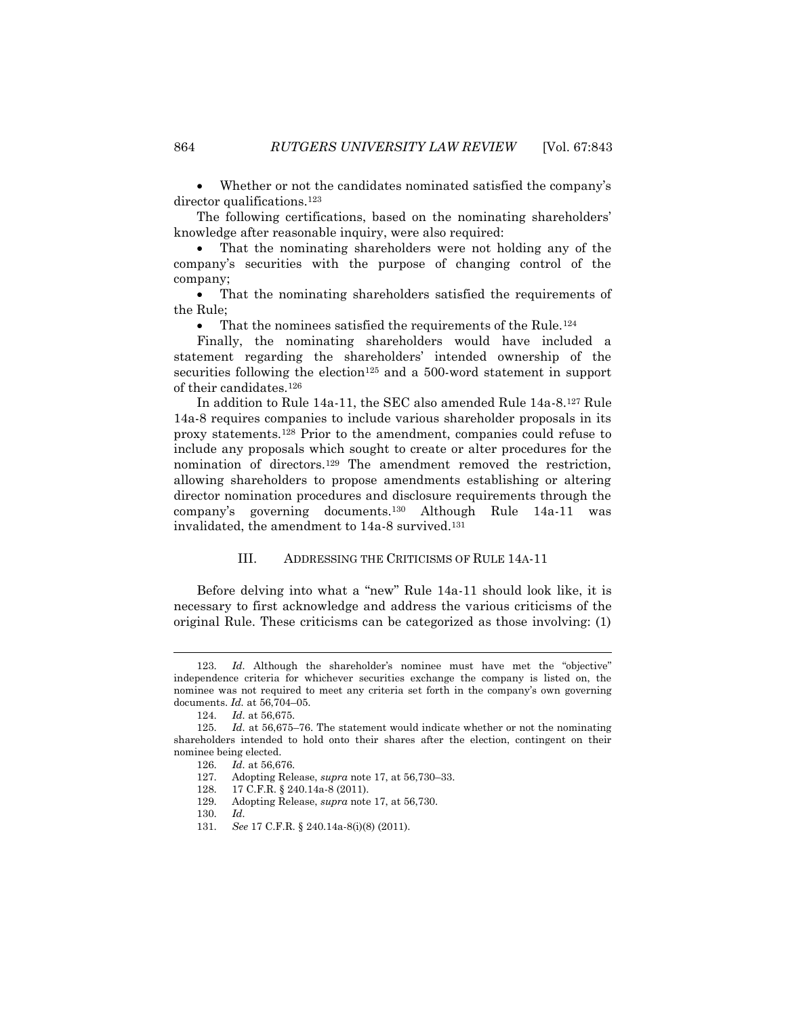Whether or not the candidates nominated satisfied the company's director qualifications.<sup>123</sup>

The following certifications, based on the nominating shareholders' knowledge after reasonable inquiry, were also required:

• That the nominating shareholders were not holding any of the company's securities with the purpose of changing control of the company;

 That the nominating shareholders satisfied the requirements of the Rule;

• That the nominees satisfied the requirements of the Rule.<sup>124</sup>

Finally, the nominating shareholders would have included a statement regarding the shareholders' intended ownership of the securities following the election<sup>125</sup> and a 500-word statement in support of their candidates.<sup>126</sup>

In addition to Rule 14a-11, the SEC also amended Rule 14a-8.<sup>127</sup> Rule 14a-8 requires companies to include various shareholder proposals in its proxy statements.<sup>128</sup> Prior to the amendment, companies could refuse to include any proposals which sought to create or alter procedures for the nomination of directors.<sup>129</sup> The amendment removed the restriction, allowing shareholders to propose amendments establishing or altering director nomination procedures and disclosure requirements through the company's governing documents.<sup>130</sup> Although Rule 14a-11 was invalidated, the amendment to 14a-8 survived.<sup>131</sup>

#### III. ADDRESSING THE CRITICISMS OF RULE 14A-11

Before delving into what a "new" Rule 14a-11 should look like, it is necessary to first acknowledge and address the various criticisms of the original Rule. These criticisms can be categorized as those involving: (1)

<sup>123.</sup> *Id.* Although the shareholder's nominee must have met the "objective" independence criteria for whichever securities exchange the company is listed on, the nominee was not required to meet any criteria set forth in the company's own governing documents. *Id.* at 56,704–05.

<sup>124.</sup> *Id.* at 56,675.

<sup>125.</sup> *Id.* at 56,675–76. The statement would indicate whether or not the nominating shareholders intended to hold onto their shares after the election, contingent on their nominee being elected.

<sup>126.</sup> *Id.* at 56,676.

<sup>127.</sup> Adopting Release, *supra* note 17, at 56,730–33.

<sup>128.</sup> 17 C.F.R. § 240.14a-8 (2011).

<sup>129.</sup> Adopting Release, *supra* note 17, at 56,730.

<sup>130.</sup> *Id.*

<sup>131.</sup> *See* 17 C.F.R. § 240.14a-8(i)(8) (2011).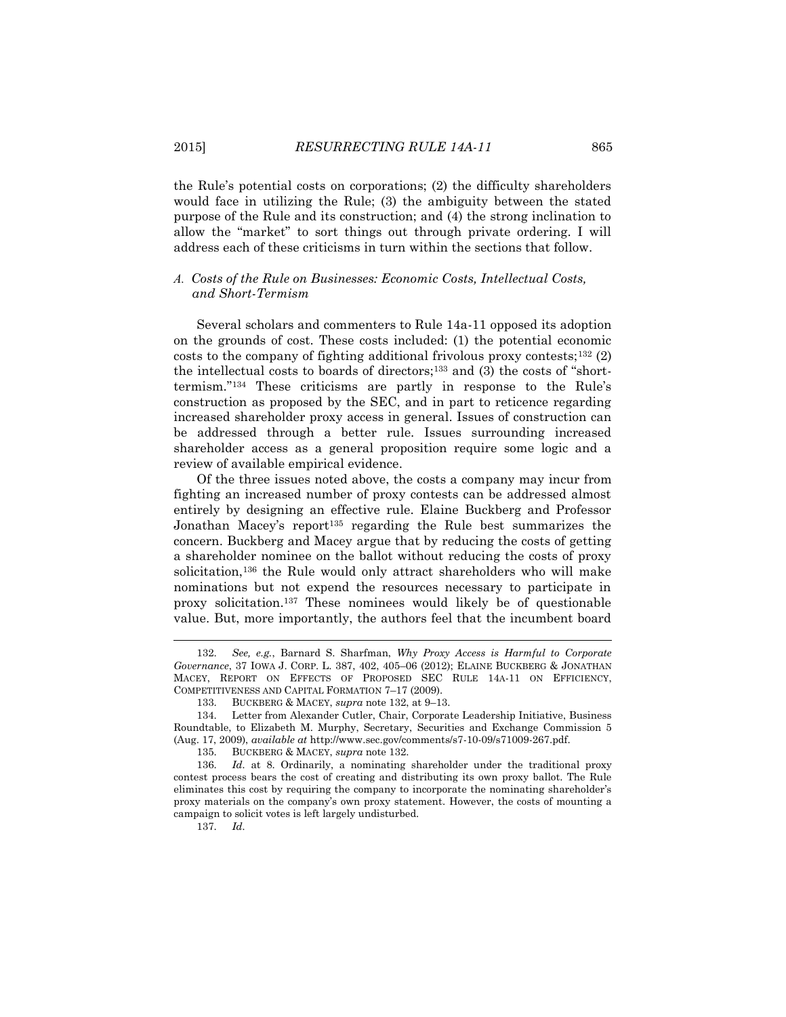the Rule's potential costs on corporations; (2) the difficulty shareholders would face in utilizing the Rule; (3) the ambiguity between the stated purpose of the Rule and its construction; and (4) the strong inclination to allow the "market" to sort things out through private ordering. I will address each of these criticisms in turn within the sections that follow.

## *A. Costs of the Rule on Businesses: Economic Costs, Intellectual Costs, and Short-Termism*

Several scholars and commenters to Rule 14a-11 opposed its adoption on the grounds of cost. These costs included: (1) the potential economic costs to the company of fighting additional frivolous proxy contests;<sup>132</sup> (2) the intellectual costs to boards of directors;<sup>133</sup> and (3) the costs of "shorttermism."<sup>134</sup> These criticisms are partly in response to the Rule's construction as proposed by the SEC, and in part to reticence regarding increased shareholder proxy access in general. Issues of construction can be addressed through a better rule. Issues surrounding increased shareholder access as a general proposition require some logic and a review of available empirical evidence.

Of the three issues noted above, the costs a company may incur from fighting an increased number of proxy contests can be addressed almost entirely by designing an effective rule. Elaine Buckberg and Professor Jonathan Macey's report<sup>135</sup> regarding the Rule best summarizes the concern. Buckberg and Macey argue that by reducing the costs of getting a shareholder nominee on the ballot without reducing the costs of proxy solicitation,<sup>136</sup> the Rule would only attract shareholders who will make nominations but not expend the resources necessary to participate in proxy solicitation.<sup>137</sup> These nominees would likely be of questionable value. But, more importantly, the authors feel that the incumbent board

137. *Id.*

<sup>132.</sup> *See, e.g.*, Barnard S. Sharfman, *Why Proxy Access is Harmful to Corporate Governance*, 37 IOWA J. CORP. L. 387, 402, 405–06 (2012); ELAINE BUCKBERG & JONATHAN MACEY, REPORT ON EFFECTS OF PROPOSED SEC RULE 14A-11 ON EFFICIENCY, COMPETITIVENESS AND CAPITAL FORMATION 7–17 (2009).

<sup>133.</sup> BUCKBERG & MACEY, *supra* note 132, at 9–13.

<sup>134.</sup> Letter from Alexander Cutler, Chair, Corporate Leadership Initiative, Business Roundtable, to Elizabeth M. Murphy, Secretary, Securities and Exchange Commission 5 (Aug. 17, 2009), *available at* http://www.sec.gov/comments/s7-10-09/s71009-267.pdf.

<sup>135.</sup> BUCKBERG & MACEY, *supra* note 132.

<sup>136.</sup> *Id.* at 8. Ordinarily, a nominating shareholder under the traditional proxy contest process bears the cost of creating and distributing its own proxy ballot. The Rule eliminates this cost by requiring the company to incorporate the nominating shareholder's proxy materials on the company's own proxy statement. However, the costs of mounting a campaign to solicit votes is left largely undisturbed.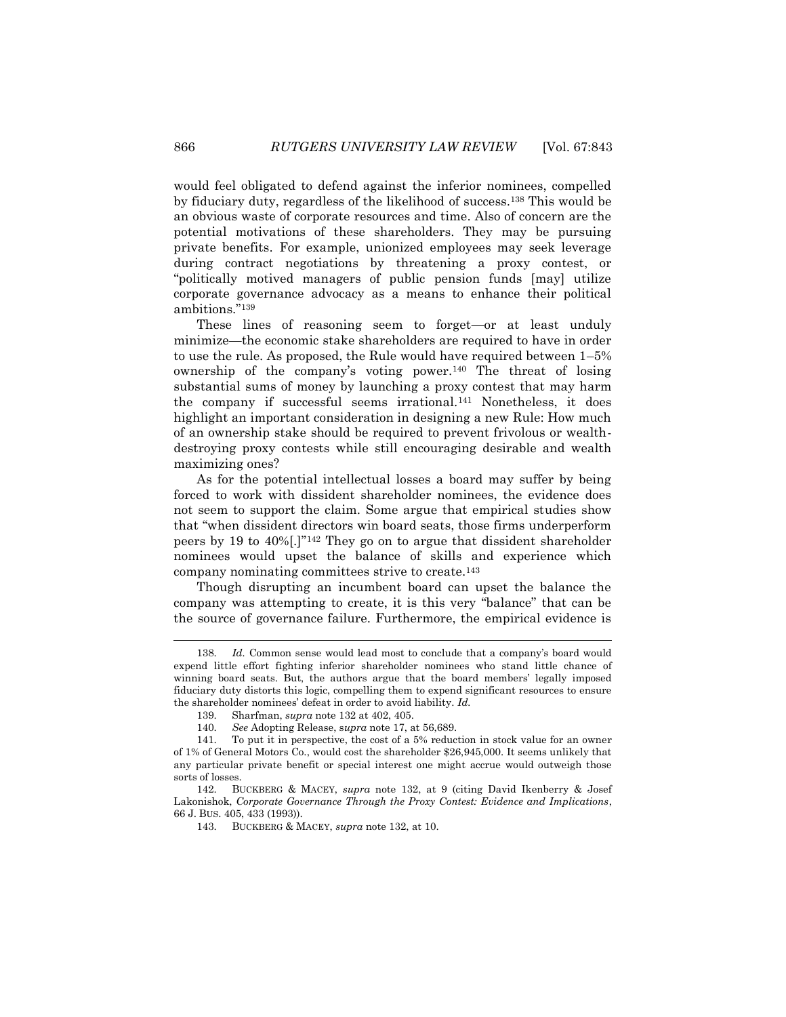would feel obligated to defend against the inferior nominees, compelled by fiduciary duty, regardless of the likelihood of success.<sup>138</sup> This would be an obvious waste of corporate resources and time. Also of concern are the potential motivations of these shareholders. They may be pursuing private benefits. For example, unionized employees may seek leverage during contract negotiations by threatening a proxy contest, or "politically motived managers of public pension funds [may] utilize corporate governance advocacy as a means to enhance their political ambitions."<sup>139</sup>

These lines of reasoning seem to forget—or at least unduly minimize—the economic stake shareholders are required to have in order to use the rule. As proposed, the Rule would have required between 1–5% ownership of the company's voting power.<sup>140</sup> The threat of losing substantial sums of money by launching a proxy contest that may harm the company if successful seems irrational.<sup>141</sup> Nonetheless, it does highlight an important consideration in designing a new Rule: How much of an ownership stake should be required to prevent frivolous or wealthdestroying proxy contests while still encouraging desirable and wealth maximizing ones?

As for the potential intellectual losses a board may suffer by being forced to work with dissident shareholder nominees, the evidence does not seem to support the claim. Some argue that empirical studies show that "when dissident directors win board seats, those firms underperform peers by 19 to 40%[.]"<sup>142</sup> They go on to argue that dissident shareholder nominees would upset the balance of skills and experience which company nominating committees strive to create.<sup>143</sup>

Though disrupting an incumbent board can upset the balance the company was attempting to create, it is this very "balance" that can be the source of governance failure. Furthermore, the empirical evidence is

<sup>138.</sup> *Id.* Common sense would lead most to conclude that a company's board would expend little effort fighting inferior shareholder nominees who stand little chance of winning board seats. But, the authors argue that the board members' legally imposed fiduciary duty distorts this logic, compelling them to expend significant resources to ensure the shareholder nominees' defeat in order to avoid liability. *Id.*

<sup>139.</sup> Sharfman, *supra* note 132 at 402, 405.

<sup>140.</sup> *See* Adopting Release, s*upra* note 17, at 56,689.

<sup>141.</sup> To put it in perspective, the cost of a 5% reduction in stock value for an owner of 1% of General Motors Co., would cost the shareholder \$26,945,000. It seems unlikely that any particular private benefit or special interest one might accrue would outweigh those sorts of losses.

<sup>142.</sup> BUCKBERG & MACEY, *supra* note 132, at 9 (citing David Ikenberry & Josef Lakonishok, *Corporate Governance Through the Proxy Contest: Evidence and Implications*, 66 J. BUS. 405, 433 (1993)).

<sup>143.</sup> BUCKBERG & MACEY, *supra* note 132, at 10.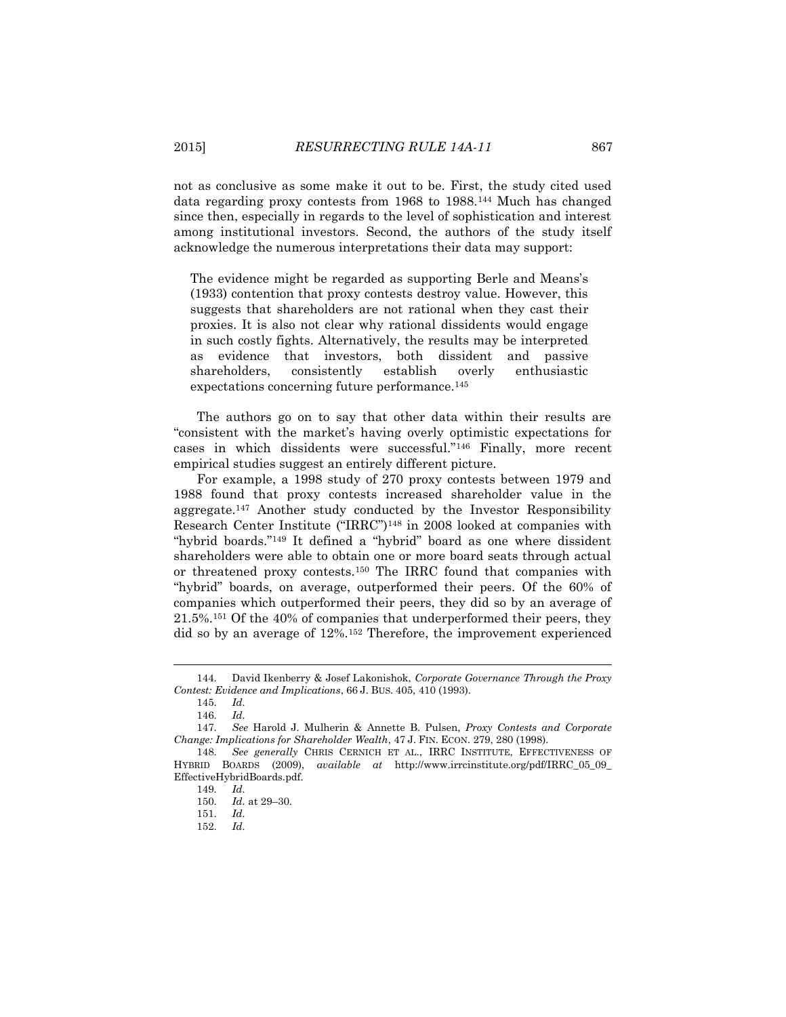not as conclusive as some make it out to be. First, the study cited used data regarding proxy contests from 1968 to 1988.<sup>144</sup> Much has changed since then, especially in regards to the level of sophistication and interest among institutional investors. Second, the authors of the study itself acknowledge the numerous interpretations their data may support:

The evidence might be regarded as supporting Berle and Means's (1933) contention that proxy contests destroy value. However, this suggests that shareholders are not rational when they cast their proxies. It is also not clear why rational dissidents would engage in such costly fights. Alternatively, the results may be interpreted as evidence that investors, both dissident and passive shareholders, consistently establish overly enthusiastic expectations concerning future performance.<sup>145</sup>

The authors go on to say that other data within their results are "consistent with the market's having overly optimistic expectations for cases in which dissidents were successful."<sup>146</sup> Finally, more recent empirical studies suggest an entirely different picture.

For example, a 1998 study of 270 proxy contests between 1979 and 1988 found that proxy contests increased shareholder value in the aggregate.<sup>147</sup> Another study conducted by the Investor Responsibility Research Center Institute ("IRRC")<sup>148</sup> in 2008 looked at companies with "hybrid boards."<sup>149</sup> It defined a "hybrid" board as one where dissident shareholders were able to obtain one or more board seats through actual or threatened proxy contests.<sup>150</sup> The IRRC found that companies with "hybrid" boards, on average, outperformed their peers. Of the 60% of companies which outperformed their peers, they did so by an average of 21.5%.<sup>151</sup> Of the 40% of companies that underperformed their peers, they did so by an average of 12%.<sup>152</sup> Therefore, the improvement experienced

<sup>144.</sup> David Ikenberry & Josef Lakonishok, *Corporate Governance Through the Proxy Contest: Evidence and Implications*, 66 J. BUS. 405, 410 (1993).

<sup>145.</sup> *Id.*

<sup>146.</sup> *Id.*

<sup>147.</sup> *See* Harold J. Mulherin & Annette B. Pulsen, *Proxy Contests and Corporate Change: Implications for Shareholder Wealth*, 47 J. FIN. ECON. 279, 280 (1998).

<sup>148.</sup> *See generally* CHRIS CERNICH ET AL., IRRC INSTITUTE, EFFECTIVENESS OF HYBRID BOARDS (2009), *available at* http://www.irrcinstitute.org/pdf/IRRC\_05\_09\_ EffectiveHybridBoards.pdf.

<sup>149.</sup> *Id.*

<sup>150.</sup> *Id.* at 29–30.

<sup>151.</sup> *Id.*

<sup>152.</sup> *Id.*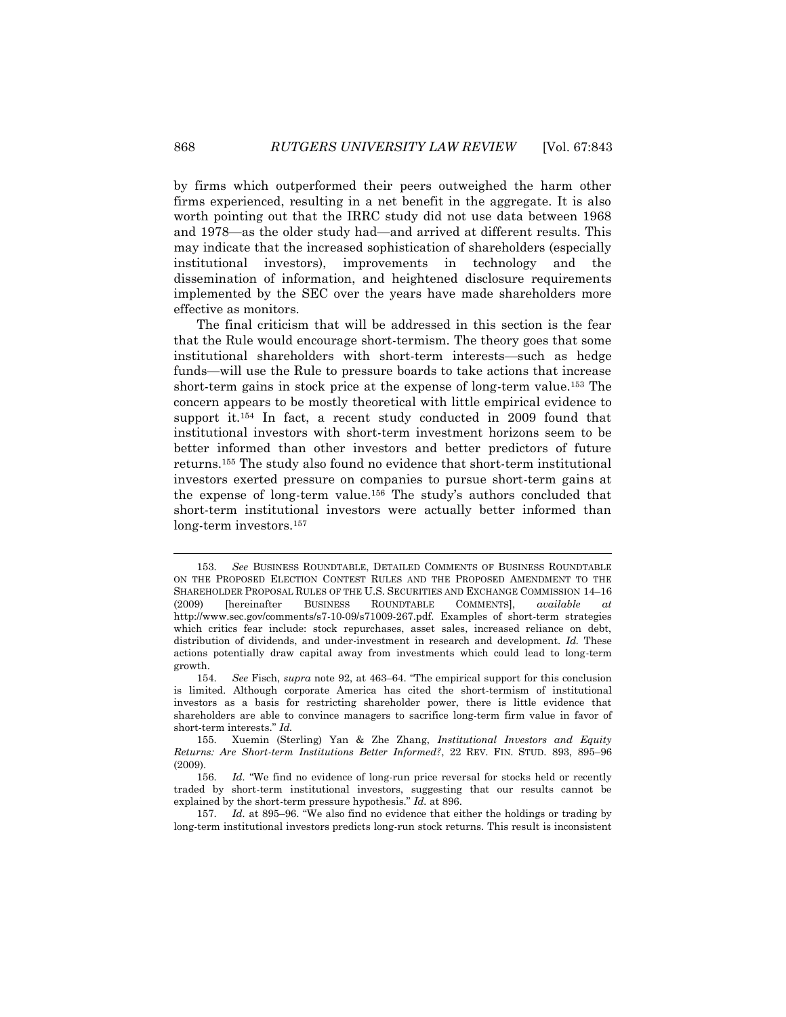by firms which outperformed their peers outweighed the harm other firms experienced, resulting in a net benefit in the aggregate. It is also worth pointing out that the IRRC study did not use data between 1968 and 1978—as the older study had—and arrived at different results. This may indicate that the increased sophistication of shareholders (especially institutional investors), improvements in technology and the dissemination of information, and heightened disclosure requirements implemented by the SEC over the years have made shareholders more effective as monitors.

The final criticism that will be addressed in this section is the fear that the Rule would encourage short-termism. The theory goes that some institutional shareholders with short-term interests—such as hedge funds—will use the Rule to pressure boards to take actions that increase short-term gains in stock price at the expense of long-term value.<sup>153</sup> The concern appears to be mostly theoretical with little empirical evidence to support it.<sup>154</sup> In fact, a recent study conducted in 2009 found that institutional investors with short-term investment horizons seem to be better informed than other investors and better predictors of future returns.<sup>155</sup> The study also found no evidence that short-term institutional investors exerted pressure on companies to pursue short-term gains at the expense of long-term value.<sup>156</sup> The study's authors concluded that short-term institutional investors were actually better informed than long-term investors.<sup>157</sup>

<sup>153.</sup> *See* BUSINESS ROUNDTABLE, DETAILED COMMENTS OF BUSINESS ROUNDTABLE ON THE PROPOSED ELECTION CONTEST RULES AND THE PROPOSED AMENDMENT TO THE SHAREHOLDER PROPOSAL RULES OF THE U.S. SECURITIES AND EXCHANGE COMMISSION 14–16 (2009) [hereinafter BUSINESS ROUNDTABLE COMMENTS], *available at*  http://www.sec.gov/comments/s7-10-09/s71009-267.pdf. Examples of short-term strategies which critics fear include: stock repurchases, asset sales, increased reliance on debt, distribution of dividends, and under-investment in research and development. *Id.* These actions potentially draw capital away from investments which could lead to long-term growth.

<sup>154.</sup> *See* Fisch, *supra* note 92, at 463–64. "The empirical support for this conclusion is limited. Although corporate America has cited the short-termism of institutional investors as a basis for restricting shareholder power, there is little evidence that shareholders are able to convince managers to sacrifice long-term firm value in favor of short-term interests." *Id.*

<sup>155.</sup> Xuemin (Sterling) Yan & Zhe Zhang, *Institutional Investors and Equity Returns: Are Short-term Institutions Better Informed?*, 22 REV. FIN. STUD. 893, 895–96 (2009).

<sup>156.</sup> *Id.* "We find no evidence of long-run price reversal for stocks held or recently traded by short-term institutional investors, suggesting that our results cannot be explained by the short-term pressure hypothesis." *Id.* at 896.

<sup>157.</sup> *Id.* at 895–96. "We also find no evidence that either the holdings or trading by long-term institutional investors predicts long-run stock returns. This result is inconsistent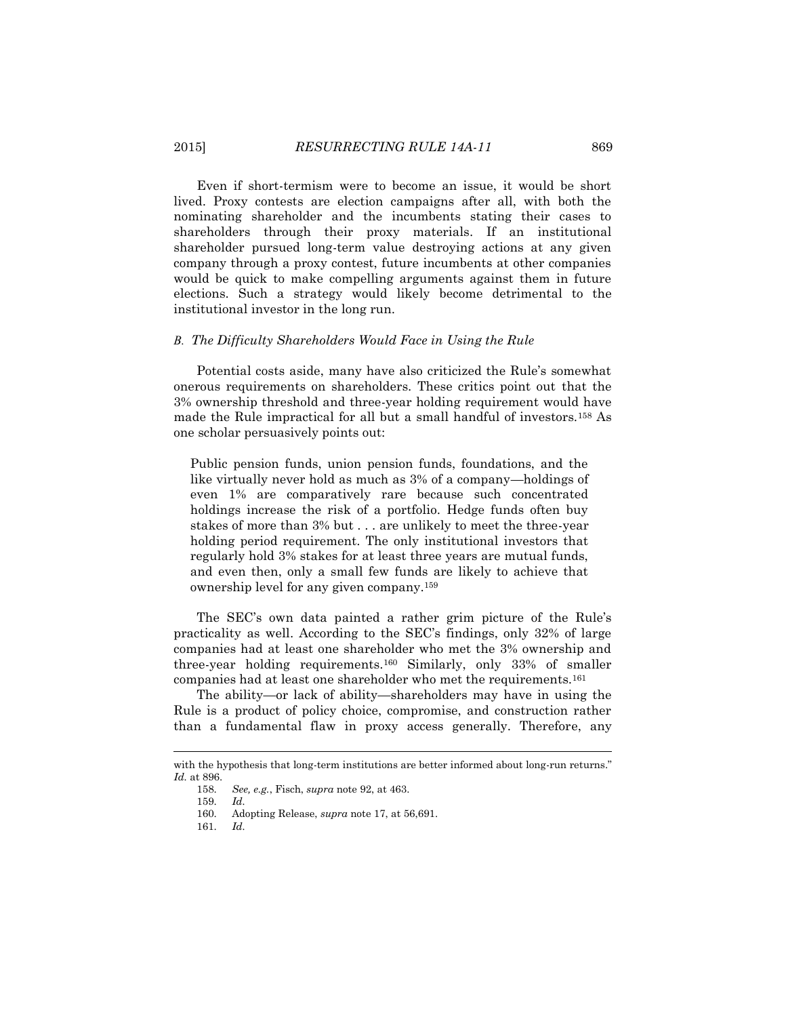Even if short-termism were to become an issue, it would be short lived. Proxy contests are election campaigns after all, with both the nominating shareholder and the incumbents stating their cases to shareholders through their proxy materials. If an institutional shareholder pursued long-term value destroying actions at any given company through a proxy contest, future incumbents at other companies would be quick to make compelling arguments against them in future elections. Such a strategy would likely become detrimental to the institutional investor in the long run.

#### *B. The Difficulty Shareholders Would Face in Using the Rule*

Potential costs aside, many have also criticized the Rule's somewhat onerous requirements on shareholders. These critics point out that the 3% ownership threshold and three-year holding requirement would have made the Rule impractical for all but a small handful of investors.<sup>158</sup> As one scholar persuasively points out:

Public pension funds, union pension funds, foundations, and the like virtually never hold as much as 3% of a company—holdings of even 1% are comparatively rare because such concentrated holdings increase the risk of a portfolio. Hedge funds often buy stakes of more than 3% but . . . are unlikely to meet the three-year holding period requirement. The only institutional investors that regularly hold 3% stakes for at least three years are mutual funds, and even then, only a small few funds are likely to achieve that ownership level for any given company.<sup>159</sup>

The SEC's own data painted a rather grim picture of the Rule's practicality as well. According to the SEC's findings, only 32% of large companies had at least one shareholder who met the 3% ownership and three-year holding requirements.<sup>160</sup> Similarly, only 33% of smaller companies had at least one shareholder who met the requirements.<sup>161</sup>

The ability—or lack of ability—shareholders may have in using the Rule is a product of policy choice, compromise, and construction rather than a fundamental flaw in proxy access generally. Therefore, any

 $\overline{a}$ 

with the hypothesis that long-term institutions are better informed about long-run returns." *Id.* at 896.

<sup>158.</sup> *See, e.g.*, Fisch, *supra* note 92, at 463.

<sup>159.</sup> *Id.*

<sup>160.</sup> Adopting Release, *supra* note 17, at 56,691.

<sup>161.</sup> *Id.*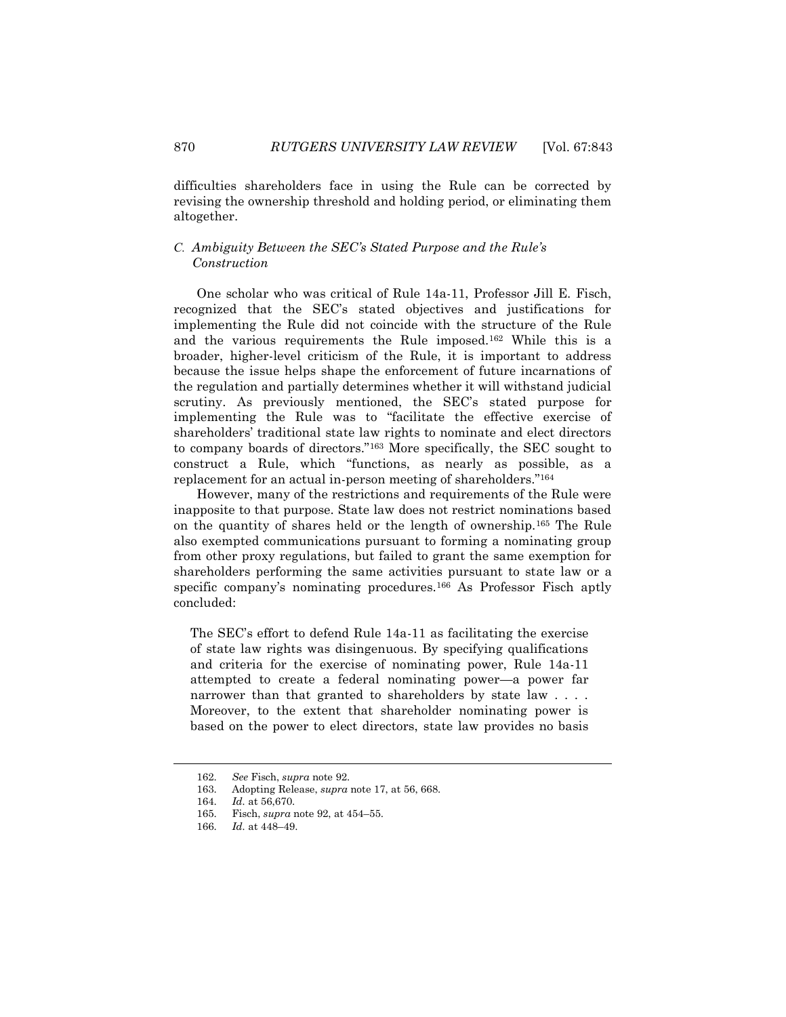difficulties shareholders face in using the Rule can be corrected by revising the ownership threshold and holding period, or eliminating them altogether.

## *C. Ambiguity Between the SEC's Stated Purpose and the Rule's Construction*

One scholar who was critical of Rule 14a-11, Professor Jill E. Fisch, recognized that the SEC's stated objectives and justifications for implementing the Rule did not coincide with the structure of the Rule and the various requirements the Rule imposed.<sup>162</sup> While this is a broader, higher-level criticism of the Rule, it is important to address because the issue helps shape the enforcement of future incarnations of the regulation and partially determines whether it will withstand judicial scrutiny. As previously mentioned, the SEC's stated purpose for implementing the Rule was to "facilitate the effective exercise of shareholders' traditional state law rights to nominate and elect directors to company boards of directors."<sup>163</sup> More specifically, the SEC sought to construct a Rule, which "functions, as nearly as possible, as a replacement for an actual in-person meeting of shareholders."<sup>164</sup>

However, many of the restrictions and requirements of the Rule were inapposite to that purpose. State law does not restrict nominations based on the quantity of shares held or the length of ownership.<sup>165</sup> The Rule also exempted communications pursuant to forming a nominating group from other proxy regulations, but failed to grant the same exemption for shareholders performing the same activities pursuant to state law or a specific company's nominating procedures.<sup>166</sup> As Professor Fisch aptly concluded:

The SEC's effort to defend Rule 14a-11 as facilitating the exercise of state law rights was disingenuous. By specifying qualifications and criteria for the exercise of nominating power, Rule 14a-11 attempted to create a federal nominating power—a power far narrower than that granted to shareholders by state law . . . . Moreover, to the extent that shareholder nominating power is based on the power to elect directors, state law provides no basis

<sup>162.</sup> *See* Fisch, *supra* note 92.

<sup>163.</sup> Adopting Release, *supra* note 17, at 56, 668.

<sup>164.</sup> *Id.* at 56,670.

<sup>165.</sup> Fisch, *supra* note 92, at 454–55.

<sup>166.</sup> *Id.* at 448–49.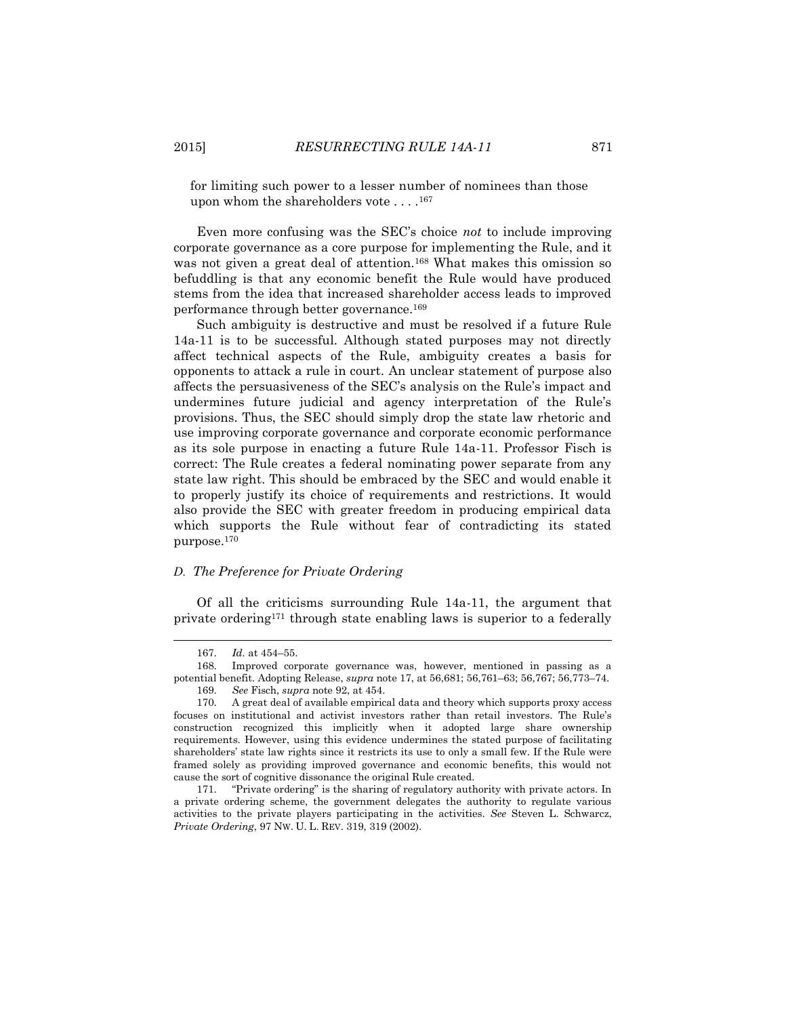for limiting such power to a lesser number of nominees than those upon whom the shareholders vote  $\dots$ .<sup>167</sup>

Even more confusing was the SEC's choice *not* to include improving corporate governance as a core purpose for implementing the Rule, and it was not given a great deal of attention.<sup>168</sup> What makes this omission so befuddling is that any economic benefit the Rule would have produced stems from the idea that increased shareholder access leads to improved performance through better governance.<sup>169</sup>

Such ambiguity is destructive and must be resolved if a future Rule 14a-11 is to be successful. Although stated purposes may not directly affect technical aspects of the Rule, ambiguity creates a basis for opponents to attack a rule in court. An unclear statement of purpose also affects the persuasiveness of the SEC's analysis on the Rule's impact and undermines future judicial and agency interpretation of the Rule's provisions. Thus, the SEC should simply drop the state law rhetoric and use improving corporate governance and corporate economic performance as its sole purpose in enacting a future Rule 14a-11. Professor Fisch is correct: The Rule creates a federal nominating power separate from any state law right. This should be embraced by the SEC and would enable it to properly justify its choice of requirements and restrictions. It would also provide the SEC with greater freedom in producing empirical data which supports the Rule without fear of contradicting its stated purpose.<sup>170</sup>

## *D. The Preference for Private Ordering*

Of all the criticisms surrounding Rule 14a-11, the argument that private ordering<sup>171</sup> through state enabling laws is superior to a federally

<sup>167.</sup> *Id.* at 454–55.

<sup>168.</sup> Improved corporate governance was, however, mentioned in passing as a potential benefit. Adopting Release, *supra* note 17, at 56,681; 56,761–63; 56,767; 56,773–74.

<sup>169.</sup> *See* Fisch, *supra* note 92, at 454.

<sup>170.</sup> A great deal of available empirical data and theory which supports proxy access focuses on institutional and activist investors rather than retail investors. The Rule's construction recognized this implicitly when it adopted large share ownership requirements. However, using this evidence undermines the stated purpose of facilitating shareholders' state law rights since it restricts its use to only a small few. If the Rule were framed solely as providing improved governance and economic benefits, this would not cause the sort of cognitive dissonance the original Rule created.

<sup>171.</sup> "Private ordering" is the sharing of regulatory authority with private actors. In a private ordering scheme, the government delegates the authority to regulate various activities to the private players participating in the activities. *See* Steven L. Schwarcz, *Private Ordering*, 97 NW. U. L. REV. 319, 319 (2002).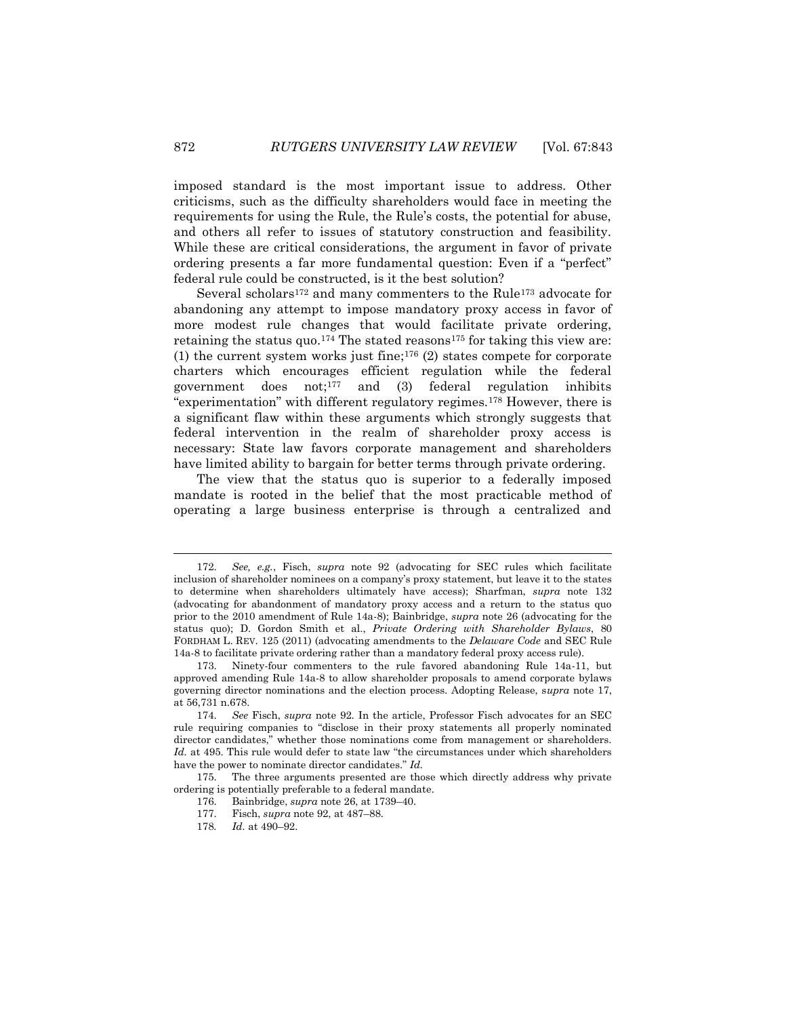imposed standard is the most important issue to address. Other criticisms, such as the difficulty shareholders would face in meeting the requirements for using the Rule, the Rule's costs, the potential for abuse, and others all refer to issues of statutory construction and feasibility. While these are critical considerations, the argument in favor of private ordering presents a far more fundamental question: Even if a "perfect" federal rule could be constructed, is it the best solution?

Several scholars<sup>172</sup> and many commenters to the Rule<sup>173</sup> advocate for abandoning any attempt to impose mandatory proxy access in favor of more modest rule changes that would facilitate private ordering, retaining the status quo.<sup>174</sup> The stated reasons<sup>175</sup> for taking this view are: (1) the current system works just fine;<sup>176</sup> (2) states compete for corporate charters which encourages efficient regulation while the federal government does not;<sup>177</sup> and (3) federal regulation inhibits "experimentation" with different regulatory regimes.<sup>178</sup> However, there is a significant flaw within these arguments which strongly suggests that federal intervention in the realm of shareholder proxy access is necessary: State law favors corporate management and shareholders have limited ability to bargain for better terms through private ordering.

The view that the status quo is superior to a federally imposed mandate is rooted in the belief that the most practicable method of operating a large business enterprise is through a centralized and

<sup>172.</sup> *See, e.g.*, Fisch, *supra* note 92 (advocating for SEC rules which facilitate inclusion of shareholder nominees on a company's proxy statement, but leave it to the states to determine when shareholders ultimately have access); Sharfman, *supra* note 132 (advocating for abandonment of mandatory proxy access and a return to the status quo prior to the 2010 amendment of Rule 14a-8); Bainbridge, *supra* note 26 (advocating for the status quo); D. Gordon Smith et al., *Private Ordering with Shareholder Bylaws*, 80 FORDHAM L. REV. 125 (2011) (advocating amendments to the *Delaware Code* and SEC Rule 14a-8 to facilitate private ordering rather than a mandatory federal proxy access rule).

<sup>173.</sup> Ninety-four commenters to the rule favored abandoning Rule 14a-11, but approved amending Rule 14a-8 to allow shareholder proposals to amend corporate bylaws governing director nominations and the election process. Adopting Release, s*upra* note 17, at 56,731 n.678.

<sup>174.</sup> *See* Fisch, *supra* note 92. In the article, Professor Fisch advocates for an SEC rule requiring companies to "disclose in their proxy statements all properly nominated director candidates," whether those nominations come from management or shareholders. *Id.* at 495. This rule would defer to state law "the circumstances under which shareholders have the power to nominate director candidates." *Id.*

<sup>175.</sup> The three arguments presented are those which directly address why private ordering is potentially preferable to a federal mandate.

<sup>176.</sup> Bainbridge, *supra* note 26, at 1739–40.

<sup>177.</sup> Fisch, *supra* note 92, at 487–88.

<sup>178</sup>*. Id.* at 490–92.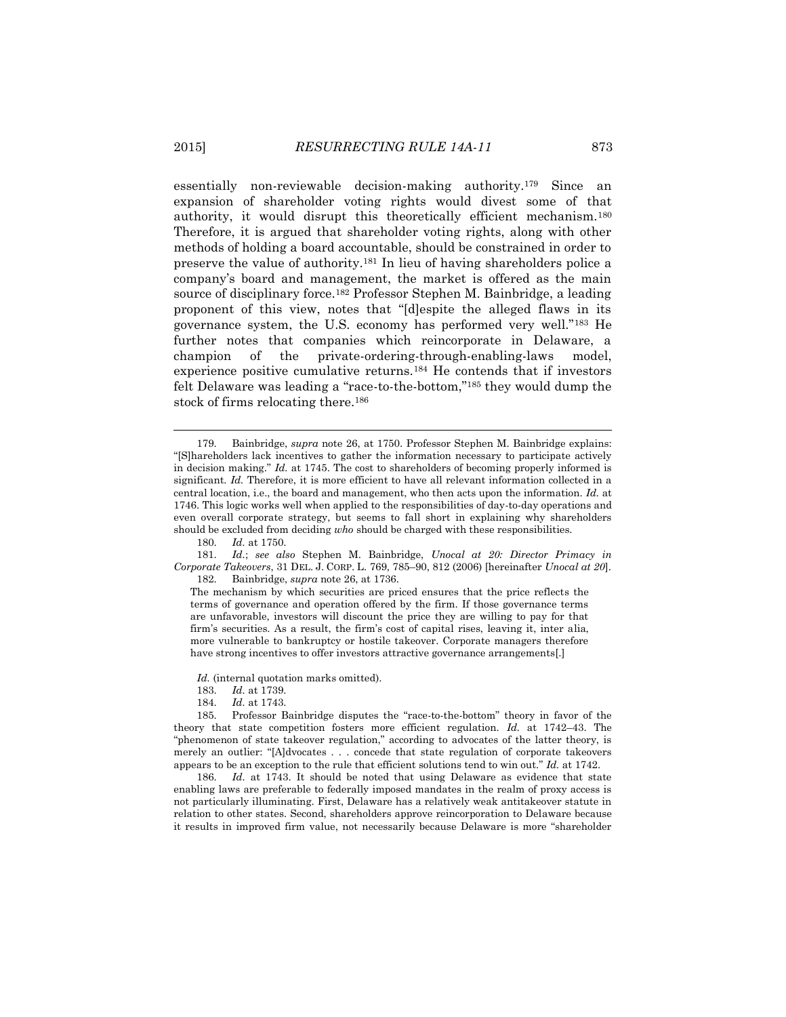essentially non-reviewable decision-making authority.<sup>179</sup> Since an expansion of shareholder voting rights would divest some of that authority, it would disrupt this theoretically efficient mechanism.<sup>180</sup> Therefore, it is argued that shareholder voting rights, along with other methods of holding a board accountable, should be constrained in order to preserve the value of authority.<sup>181</sup> In lieu of having shareholders police a company's board and management, the market is offered as the main source of disciplinary force.<sup>182</sup> Professor Stephen M. Bainbridge, a leading proponent of this view, notes that "[d]espite the alleged flaws in its governance system, the U.S. economy has performed very well."<sup>183</sup> He further notes that companies which reincorporate in Delaware, a champion of the private-ordering-through-enabling-laws model, experience positive cumulative returns.<sup>184</sup> He contends that if investors felt Delaware was leading a "race-to-the-bottom,"<sup>185</sup> they would dump the stock of firms relocating there.<sup>186</sup>

180. *Id.* at 1750.

181. *Id.*; *see also* Stephen M. Bainbridge, *Unocal at 20: Director Primacy in Corporate Takeovers*, 31 DEL. J. CORP. L. 769, 785–90, 812 (2006) [hereinafter *Unocal at 20*]. 182. Bainbridge, *supra* note 26, at 1736.

The mechanism by which securities are priced ensures that the price reflects the terms of governance and operation offered by the firm. If those governance terms are unfavorable, investors will discount the price they are willing to pay for that firm's securities. As a result, the firm's cost of capital rises, leaving it, inter alia, more vulnerable to bankruptcy or hostile takeover. Corporate managers therefore have strong incentives to offer investors attractive governance arrangements.

Id. (internal quotation marks omitted).

186. *Id.* at 1743. It should be noted that using Delaware as evidence that state enabling laws are preferable to federally imposed mandates in the realm of proxy access is not particularly illuminating. First, Delaware has a relatively weak antitakeover statute in relation to other states. Second, shareholders approve reincorporation to Delaware because it results in improved firm value, not necessarily because Delaware is more "shareholder

 $\overline{a}$ 

<sup>179.</sup> Bainbridge, *supra* note 26, at 1750. Professor Stephen M. Bainbridge explains: "[S]hareholders lack incentives to gather the information necessary to participate actively in decision making." *Id.* at 1745. The cost to shareholders of becoming properly informed is significant. *Id.* Therefore, it is more efficient to have all relevant information collected in a central location, i.e., the board and management, who then acts upon the information. *Id.* at 1746. This logic works well when applied to the responsibilities of day-to-day operations and even overall corporate strategy, but seems to fall short in explaining why shareholders should be excluded from deciding *who* should be charged with these responsibilities.

<sup>183.</sup> *Id.* at 1739.

<sup>184.</sup> *Id.* at 1743.

<sup>185.</sup> Professor Bainbridge disputes the "race-to-the-bottom" theory in favor of the theory that state competition fosters more efficient regulation. *Id.* at 1742–43. The "phenomenon of state takeover regulation," according to advocates of the latter theory, is merely an outlier: "[A]dvocates . . . concede that state regulation of corporate takeovers appears to be an exception to the rule that efficient solutions tend to win out." *Id.* at 1742.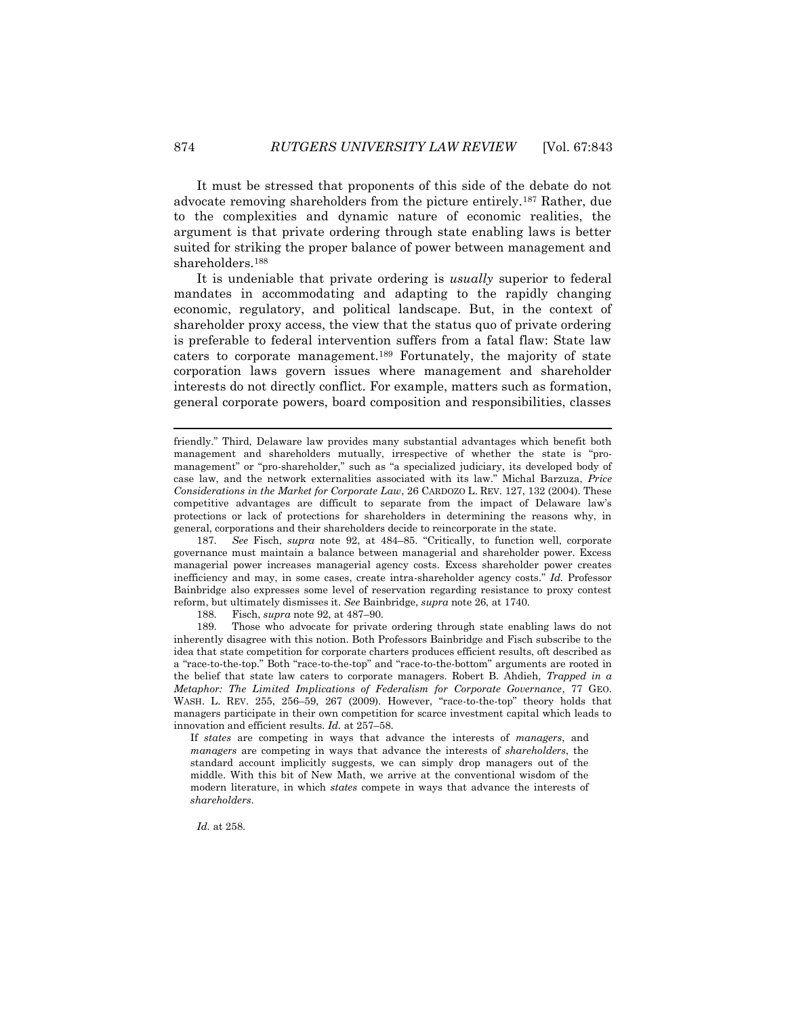It must be stressed that proponents of this side of the debate do not advocate removing shareholders from the picture entirely.<sup>187</sup> Rather, due to the complexities and dynamic nature of economic realities, the argument is that private ordering through state enabling laws is better suited for striking the proper balance of power between management and shareholders.<sup>188</sup>

It is undeniable that private ordering is *usually* superior to federal mandates in accommodating and adapting to the rapidly changing economic, regulatory, and political landscape. But, in the context of shareholder proxy access, the view that the status quo of private ordering is preferable to federal intervention suffers from a fatal flaw: State law caters to corporate management.<sup>189</sup> Fortunately, the majority of state corporation laws govern issues where management and shareholder interests do not directly conflict. For example, matters such as formation, general corporate powers, board composition and responsibilities, classes

187. *See* Fisch, *supra* note 92, at 484–85. "Critically, to function well, corporate governance must maintain a balance between managerial and shareholder power. Excess managerial power increases managerial agency costs. Excess shareholder power creates inefficiency and may, in some cases, create intra-shareholder agency costs." *Id.* Professor Bainbridge also expresses some level of reservation regarding resistance to proxy contest reform, but ultimately dismisses it. *See* Bainbridge, *supra* note 26, at 1740.

188. Fisch, *supra* note 92, at 487–90.

189. Those who advocate for private ordering through state enabling laws do not inherently disagree with this notion. Both Professors Bainbridge and Fisch subscribe to the idea that state competition for corporate charters produces efficient results, oft described as a "race-to-the-top." Both "race-to-the-top" and "race-to-the-bottom" arguments are rooted in the belief that state law caters to corporate managers. Robert B. Ahdieh, *Trapped in a Metaphor: The Limited Implications of Federalism for Corporate Governance*, 77 GEO. WASH. L. REV. 255, 256–59, 267 (2009). However, "race-to-the-top" theory holds that managers participate in their own competition for scarce investment capital which leads to innovation and efficient results. *Id.* at 257–58.

If *states* are competing in ways that advance the interests of *managers*, and *managers* are competing in ways that advance the interests of *shareholders*, the standard account implicitly suggests, we can simply drop managers out of the middle. With this bit of New Math, we arrive at the conventional wisdom of the modern literature, in which *states* compete in ways that advance the interests of *shareholders*.

*Id.* at 258.

friendly." Third, Delaware law provides many substantial advantages which benefit both management and shareholders mutually, irrespective of whether the state is "promanagement" or "pro-shareholder," such as "a specialized judiciary, its developed body of case law, and the network externalities associated with its law." Michal Barzuza, *Price Considerations in the Market for Corporate Law*, 26 CARDOZO L. REV. 127, 132 (2004). These competitive advantages are difficult to separate from the impact of Delaware law's protections or lack of protections for shareholders in determining the reasons why, in general, corporations and their shareholders decide to reincorporate in the state.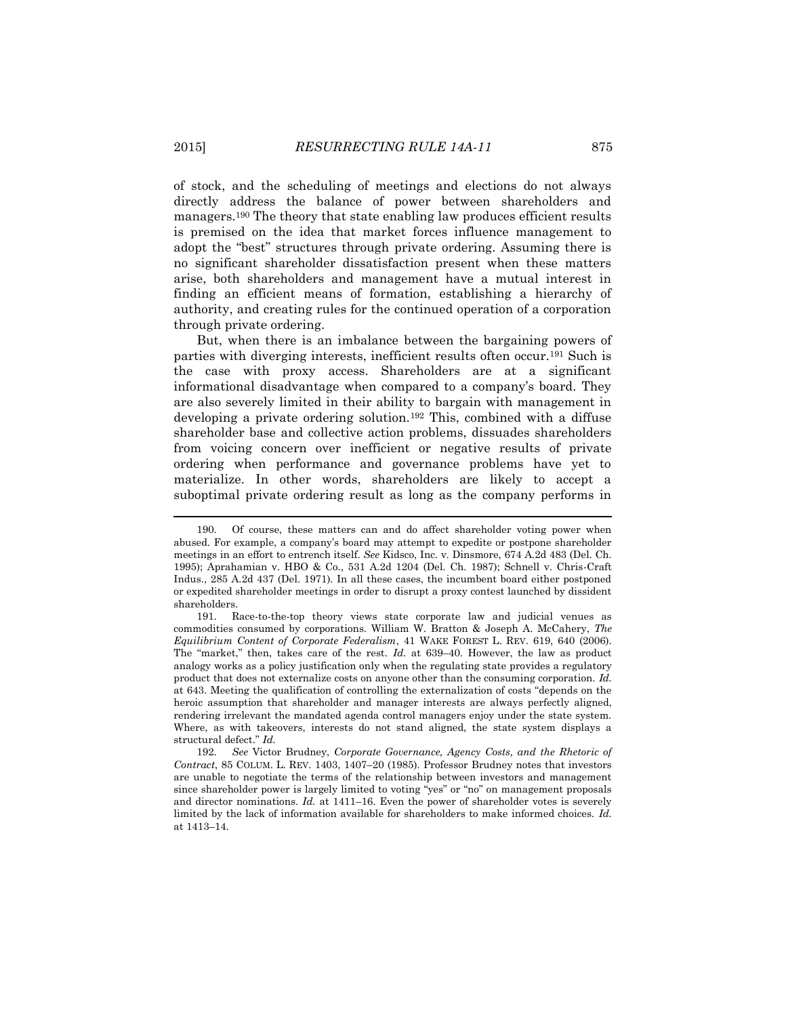of stock, and the scheduling of meetings and elections do not always directly address the balance of power between shareholders and managers.<sup>190</sup> The theory that state enabling law produces efficient results is premised on the idea that market forces influence management to adopt the "best" structures through private ordering. Assuming there is no significant shareholder dissatisfaction present when these matters arise, both shareholders and management have a mutual interest in finding an efficient means of formation, establishing a hierarchy of authority, and creating rules for the continued operation of a corporation through private ordering.

But, when there is an imbalance between the bargaining powers of parties with diverging interests, inefficient results often occur.<sup>191</sup> Such is the case with proxy access. Shareholders are at a significant informational disadvantage when compared to a company's board. They are also severely limited in their ability to bargain with management in developing a private ordering solution.<sup>192</sup> This, combined with a diffuse shareholder base and collective action problems, dissuades shareholders from voicing concern over inefficient or negative results of private ordering when performance and governance problems have yet to materialize. In other words, shareholders are likely to accept a suboptimal private ordering result as long as the company performs in

<sup>190.</sup> Of course, these matters can and do affect shareholder voting power when abused. For example, a company's board may attempt to expedite or postpone shareholder meetings in an effort to entrench itself. *See* Kidsco, Inc. v. Dinsmore, 674 A.2d 483 (Del. Ch. 1995); Aprahamian v. HBO & Co., 531 A.2d 1204 (Del. Ch. 1987); Schnell v. Chris-Craft Indus., 285 A.2d 437 (Del. 1971). In all these cases, the incumbent board either postponed or expedited shareholder meetings in order to disrupt a proxy contest launched by dissident shareholders.

<sup>191.</sup> Race-to-the-top theory views state corporate law and judicial venues as commodities consumed by corporations. William W. Bratton & Joseph A. McCahery, *The Equilibrium Content of Corporate Federalism*, 41 WAKE FOREST L. REV. 619, 640 (2006). The "market," then, takes care of the rest. *Id.* at 639–40. However, the law as product analogy works as a policy justification only when the regulating state provides a regulatory product that does not externalize costs on anyone other than the consuming corporation. *Id.* at 643. Meeting the qualification of controlling the externalization of costs "depends on the heroic assumption that shareholder and manager interests are always perfectly aligned, rendering irrelevant the mandated agenda control managers enjoy under the state system. Where, as with takeovers, interests do not stand aligned, the state system displays a structural defect." *Id.*

<sup>192.</sup> *See* Victor Brudney, *Corporate Governance, Agency Costs, and the Rhetoric of Contract*, 85 COLUM. L. REV. 1403, 1407–20 (1985). Professor Brudney notes that investors are unable to negotiate the terms of the relationship between investors and management since shareholder power is largely limited to voting "yes" or "no" on management proposals and director nominations. *Id.* at 1411–16. Even the power of shareholder votes is severely limited by the lack of information available for shareholders to make informed choices. *Id.* at 1413–14.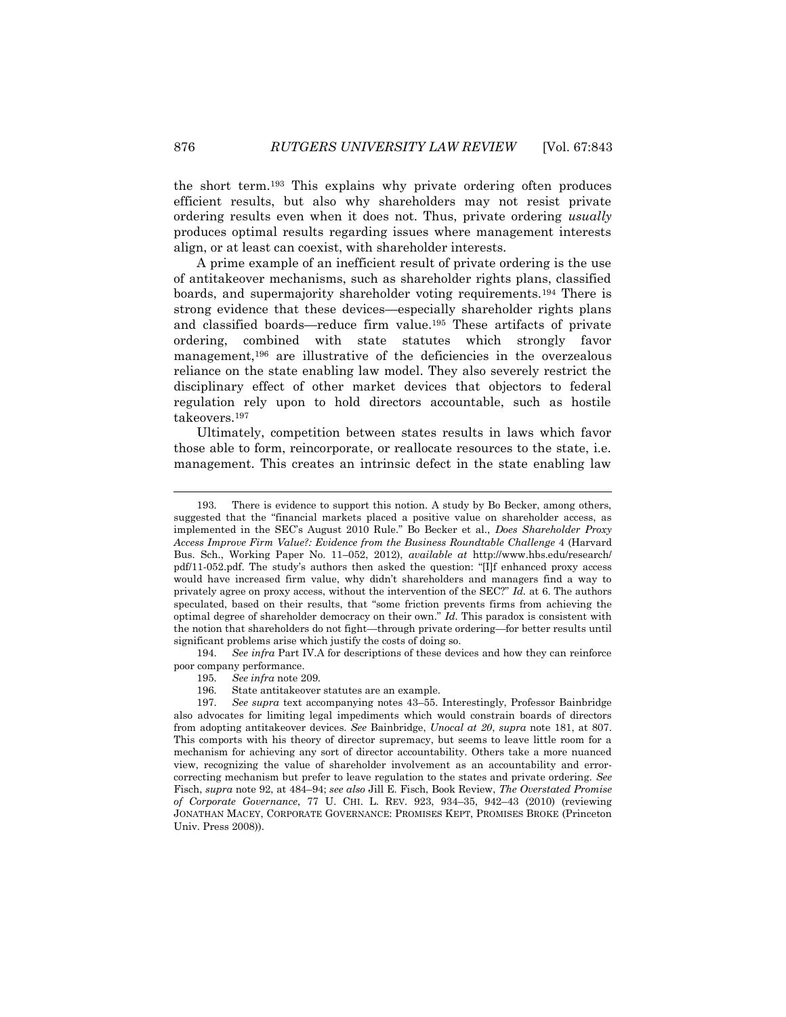the short term.<sup>193</sup> This explains why private ordering often produces efficient results, but also why shareholders may not resist private ordering results even when it does not. Thus, private ordering *usually* produces optimal results regarding issues where management interests align, or at least can coexist, with shareholder interests.

A prime example of an inefficient result of private ordering is the use of antitakeover mechanisms, such as shareholder rights plans, classified boards, and supermajority shareholder voting requirements.<sup>194</sup> There is strong evidence that these devices—especially shareholder rights plans and classified boards—reduce firm value.<sup>195</sup> These artifacts of private ordering, combined with state statutes which strongly favor management,<sup>196</sup> are illustrative of the deficiencies in the overzealous reliance on the state enabling law model. They also severely restrict the disciplinary effect of other market devices that objectors to federal regulation rely upon to hold directors accountable, such as hostile takeovers.<sup>197</sup>

Ultimately, competition between states results in laws which favor those able to form, reincorporate, or reallocate resources to the state, i.e. management. This creates an intrinsic defect in the state enabling law

194. *See infra* Part IV.A for descriptions of these devices and how they can reinforce poor company performance.

- 195. *See infra* note 209.
- 196. State antitakeover statutes are an example.

<sup>193.</sup> There is evidence to support this notion. A study by Bo Becker, among others, suggested that the "financial markets placed a positive value on shareholder access, as implemented in the SEC's August 2010 Rule." Bo Becker et al., *Does Shareholder Proxy Access Improve Firm Value?: Evidence from the Business Roundtable Challenge* 4 (Harvard Bus. Sch., Working Paper No. 11–052, 2012), *available at* http://www.hbs.edu/research/ pdf/11-052.pdf. The study's authors then asked the question: "[I]f enhanced proxy access would have increased firm value, why didn't shareholders and managers find a way to privately agree on proxy access, without the intervention of the SEC?" *Id.* at 6. The authors speculated, based on their results, that "some friction prevents firms from achieving the optimal degree of shareholder democracy on their own." *Id*. This paradox is consistent with the notion that shareholders do not fight—through private ordering—for better results until significant problems arise which justify the costs of doing so.

<sup>197.</sup> *See supra* text accompanying notes 43–55. Interestingly, Professor Bainbridge also advocates for limiting legal impediments which would constrain boards of directors from adopting antitakeover devices. *See* Bainbridge, *Unocal at 20*, *supra* note 181, at 807. This comports with his theory of director supremacy, but seems to leave little room for a mechanism for achieving any sort of director accountability. Others take a more nuanced view, recognizing the value of shareholder involvement as an accountability and errorcorrecting mechanism but prefer to leave regulation to the states and private ordering. *See*  Fisch, *supra* note 92, at 484–94; *see also* Jill E. Fisch, Book Review, *The Overstated Promise of Corporate Governance*, 77 U. CHI. L. REV. 923, 934–35, 942–43 (2010) (reviewing JONATHAN MACEY, CORPORATE GOVERNANCE: PROMISES KEPT, PROMISES BROKE (Princeton Univ. Press 2008)).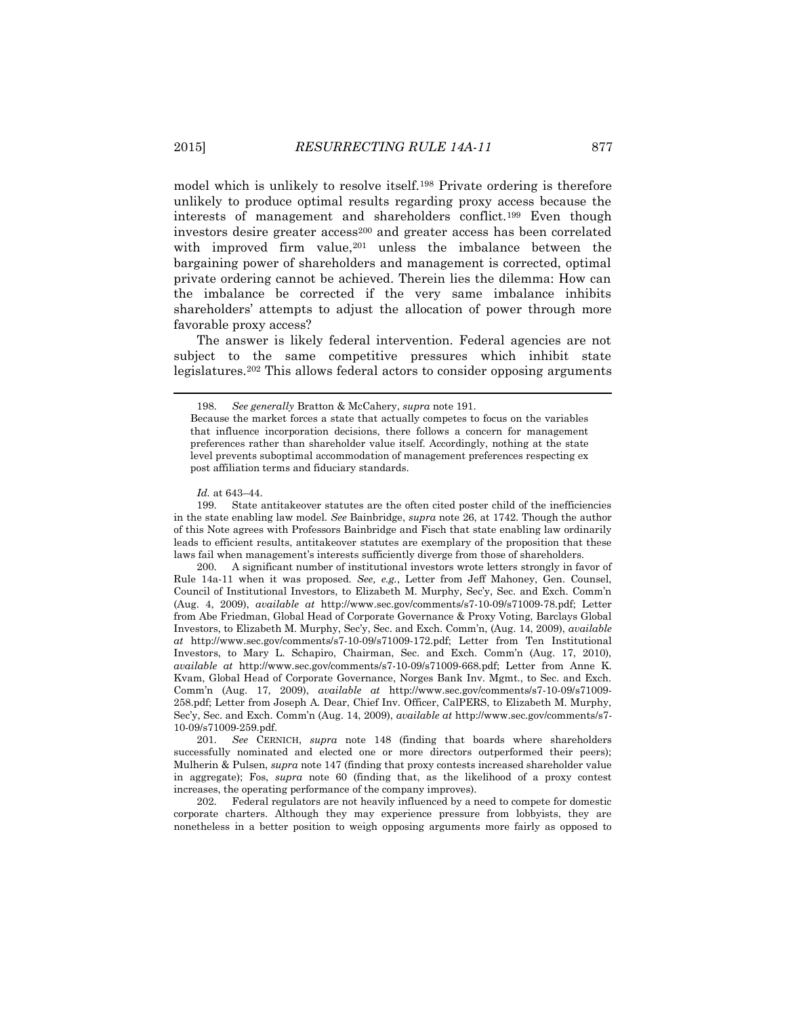model which is unlikely to resolve itself.<sup>198</sup> Private ordering is therefore unlikely to produce optimal results regarding proxy access because the interests of management and shareholders conflict.<sup>199</sup> Even though investors desire greater access<sup>200</sup> and greater access has been correlated with improved firm value,<sup>201</sup> unless the imbalance between the bargaining power of shareholders and management is corrected, optimal private ordering cannot be achieved. Therein lies the dilemma: How can the imbalance be corrected if the very same imbalance inhibits shareholders' attempts to adjust the allocation of power through more favorable proxy access?

The answer is likely federal intervention. Federal agencies are not subject to the same competitive pressures which inhibit state legislatures.<sup>202</sup> This allows federal actors to consider opposing arguments

*Id.* at 643–44.

199. State antitakeover statutes are the often cited poster child of the inefficiencies in the state enabling law model. *See* Bainbridge, *supra* note 26, at 1742. Though the author of this Note agrees with Professors Bainbridge and Fisch that state enabling law ordinarily leads to efficient results, antitakeover statutes are exemplary of the proposition that these laws fail when management's interests sufficiently diverge from those of shareholders.

200. A significant number of institutional investors wrote letters strongly in favor of Rule 14a-11 when it was proposed. *See, e.g.*, Letter from Jeff Mahoney, Gen. Counsel, Council of Institutional Investors, to Elizabeth M. Murphy, Sec'y, Sec. and Exch. Comm'n (Aug. 4, 2009), *available at* http://www.sec.gov/comments/s7-10-09/s71009-78.pdf; Letter from Abe Friedman, Global Head of Corporate Governance & Proxy Voting, Barclays Global Investors, to Elizabeth M. Murphy, Sec'y, Sec. and Exch. Comm'n, (Aug. 14, 2009), *available at* http://www.sec.gov/comments/s7-10-09/s71009-172.pdf; Letter from Ten Institutional Investors, to Mary L. Schapiro, Chairman, Sec. and Exch. Comm'n (Aug. 17, 2010), *available at* http://www.sec.gov/comments/s7-10-09/s71009-668.pdf; Letter from Anne K. Kvam, Global Head of Corporate Governance, Norges Bank Inv. Mgmt., to Sec. and Exch. Comm'n (Aug. 17, 2009), *available at* http://www.sec.gov/comments/s7-10-09/s71009- 258.pdf; Letter from Joseph A. Dear, Chief Inv. Officer, CalPERS, to Elizabeth M. Murphy, Sec'y, Sec. and Exch. Comm'n (Aug. 14, 2009), *available at* http://www.sec.gov/comments/s7- 10-09/s71009-259.pdf.

201. *See* CERNICH, *supra* note 148 (finding that boards where shareholders successfully nominated and elected one or more directors outperformed their peers); Mulherin & Pulsen, *supra* note 147 (finding that proxy contests increased shareholder value in aggregate); Fos, *supra* note 60 (finding that, as the likelihood of a proxy contest increases, the operating performance of the company improves).

202. Federal regulators are not heavily influenced by a need to compete for domestic corporate charters. Although they may experience pressure from lobbyists, they are nonetheless in a better position to weigh opposing arguments more fairly as opposed to

<sup>198.</sup> *See generally* Bratton & McCahery, *supra* note 191.

Because the market forces a state that actually competes to focus on the variables that influence incorporation decisions, there follows a concern for management preferences rather than shareholder value itself. Accordingly, nothing at the state level prevents suboptimal accommodation of management preferences respecting ex post affiliation terms and fiduciary standards.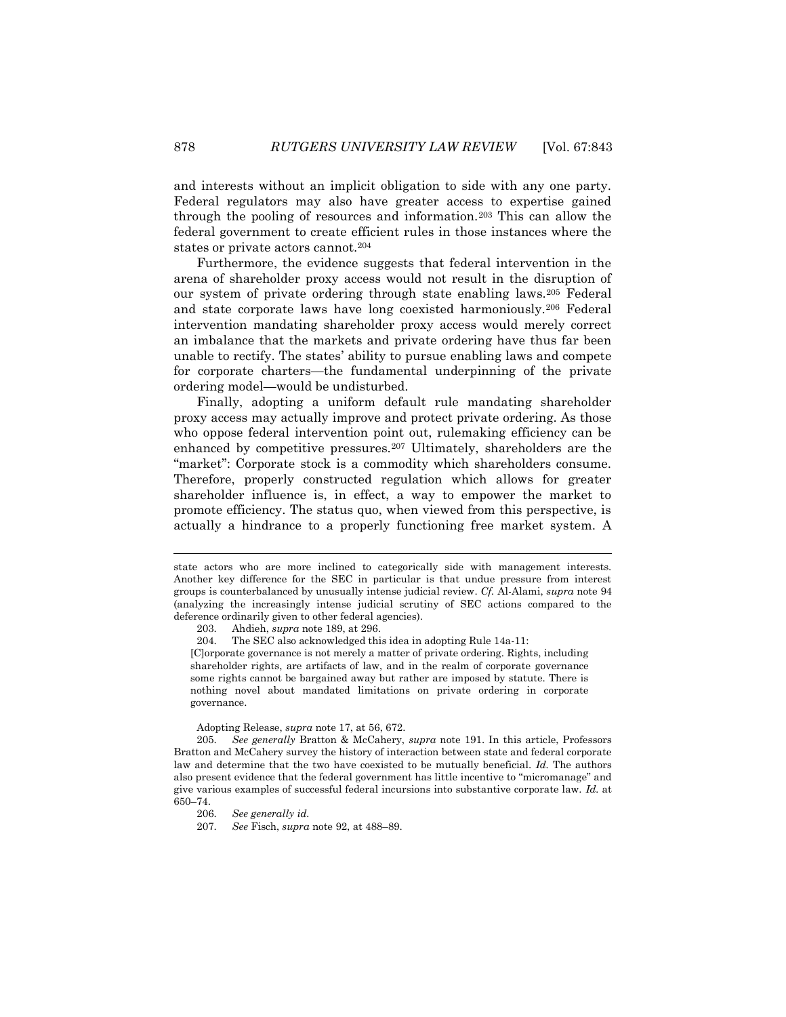and interests without an implicit obligation to side with any one party. Federal regulators may also have greater access to expertise gained through the pooling of resources and information.<sup>203</sup> This can allow the federal government to create efficient rules in those instances where the states or private actors cannot.<sup>204</sup>

Furthermore, the evidence suggests that federal intervention in the arena of shareholder proxy access would not result in the disruption of our system of private ordering through state enabling laws.<sup>205</sup> Federal and state corporate laws have long coexisted harmoniously.<sup>206</sup> Federal intervention mandating shareholder proxy access would merely correct an imbalance that the markets and private ordering have thus far been unable to rectify. The states' ability to pursue enabling laws and compete for corporate charters—the fundamental underpinning of the private ordering model—would be undisturbed.

Finally, adopting a uniform default rule mandating shareholder proxy access may actually improve and protect private ordering. As those who oppose federal intervention point out, rulemaking efficiency can be enhanced by competitive pressures.<sup>207</sup> Ultimately, shareholders are the "market": Corporate stock is a commodity which shareholders consume. Therefore, properly constructed regulation which allows for greater shareholder influence is, in effect, a way to empower the market to promote efficiency. The status quo, when viewed from this perspective, is actually a hindrance to a properly functioning free market system. A

[C]orporate governance is not merely a matter of private ordering. Rights, including shareholder rights, are artifacts of law, and in the realm of corporate governance some rights cannot be bargained away but rather are imposed by statute. There is nothing novel about mandated limitations on private ordering in corporate governance.

Adopting Release, *supra* note 17, at 56, 672.

205. *See generally* Bratton & McCahery, *supra* note 191. In this article, Professors Bratton and McCahery survey the history of interaction between state and federal corporate law and determine that the two have coexisted to be mutually beneficial. *Id.* The authors also present evidence that the federal government has little incentive to "micromanage" and give various examples of successful federal incursions into substantive corporate law. *Id.* at 650–74.

- 206. *See generally id.*
- 207. *See* Fisch, *supra* note 92, at 488–89.

state actors who are more inclined to categorically side with management interests. Another key difference for the SEC in particular is that undue pressure from interest groups is counterbalanced by unusually intense judicial review. *Cf.* Al-Alami, *supra* note 94 (analyzing the increasingly intense judicial scrutiny of SEC actions compared to the deference ordinarily given to other federal agencies).

<sup>203.</sup> Ahdieh, *supra* note 189, at 296.

<sup>204.</sup> The SEC also acknowledged this idea in adopting Rule 14a-11: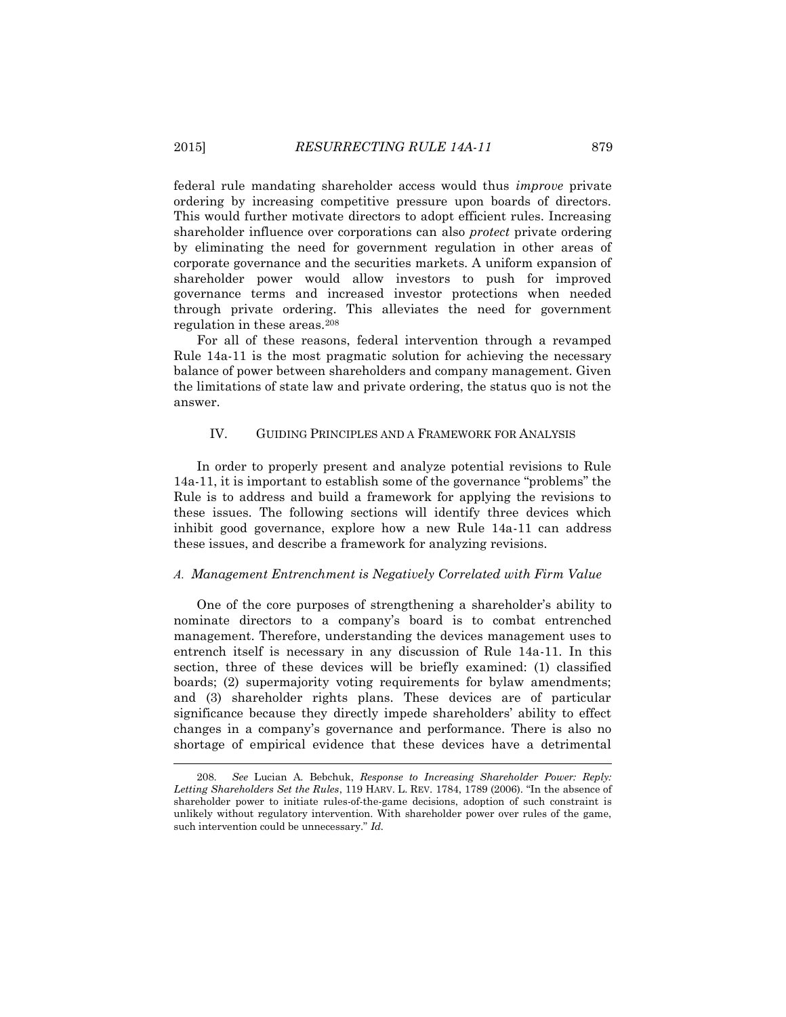federal rule mandating shareholder access would thus *improve* private ordering by increasing competitive pressure upon boards of directors. This would further motivate directors to adopt efficient rules. Increasing shareholder influence over corporations can also *protect* private ordering by eliminating the need for government regulation in other areas of corporate governance and the securities markets. A uniform expansion of shareholder power would allow investors to push for improved governance terms and increased investor protections when needed through private ordering. This alleviates the need for government regulation in these areas.<sup>208</sup>

For all of these reasons, federal intervention through a revamped Rule 14a-11 is the most pragmatic solution for achieving the necessary balance of power between shareholders and company management. Given the limitations of state law and private ordering, the status quo is not the answer.

#### IV. GUIDING PRINCIPLES AND A FRAMEWORK FOR ANALYSIS

In order to properly present and analyze potential revisions to Rule 14a-11, it is important to establish some of the governance "problems" the Rule is to address and build a framework for applying the revisions to these issues. The following sections will identify three devices which inhibit good governance, explore how a new Rule 14a-11 can address these issues, and describe a framework for analyzing revisions.

#### *A. Management Entrenchment is Negatively Correlated with Firm Value*

One of the core purposes of strengthening a shareholder's ability to nominate directors to a company's board is to combat entrenched management. Therefore, understanding the devices management uses to entrench itself is necessary in any discussion of Rule 14a-11. In this section, three of these devices will be briefly examined: (1) classified boards; (2) supermajority voting requirements for bylaw amendments; and (3) shareholder rights plans. These devices are of particular significance because they directly impede shareholders' ability to effect changes in a company's governance and performance. There is also no shortage of empirical evidence that these devices have a detrimental

<sup>208.</sup> *See* Lucian A. Bebchuk, *Response to Increasing Shareholder Power: Reply: Letting Shareholders Set the Rules*, 119 HARV. L. REV. 1784, 1789 (2006). "In the absence of shareholder power to initiate rules-of-the-game decisions, adoption of such constraint is unlikely without regulatory intervention. With shareholder power over rules of the game, such intervention could be unnecessary." *Id.*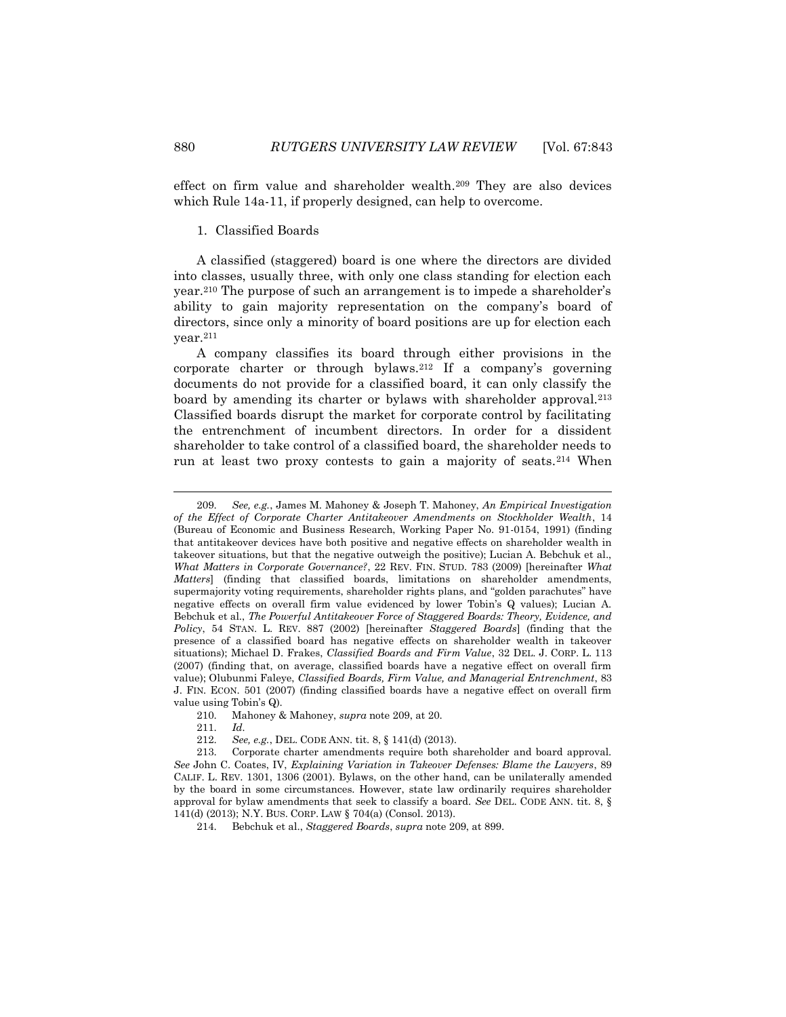effect on firm value and shareholder wealth.<sup>209</sup> They are also devices which Rule 14a-11, if properly designed, can help to overcome.

#### 1. Classified Boards

A classified (staggered) board is one where the directors are divided into classes, usually three, with only one class standing for election each year.<sup>210</sup> The purpose of such an arrangement is to impede a shareholder's ability to gain majority representation on the company's board of directors, since only a minority of board positions are up for election each year.<sup>211</sup>

A company classifies its board through either provisions in the corporate charter or through bylaws.<sup>212</sup> If a company's governing documents do not provide for a classified board, it can only classify the board by amending its charter or bylaws with shareholder approval.<sup>213</sup> Classified boards disrupt the market for corporate control by facilitating the entrenchment of incumbent directors. In order for a dissident shareholder to take control of a classified board, the shareholder needs to run at least two proxy contests to gain a majority of seats.<sup>214</sup> When

<sup>209.</sup> *See, e.g.*, James M. Mahoney & Joseph T. Mahoney, *An Empirical Investigation of the Effect of Corporate Charter Antitakeover Amendments on Stockholder Wealth*, 14 (Bureau of Economic and Business Research, Working Paper No. 91-0154, 1991) (finding that antitakeover devices have both positive and negative effects on shareholder wealth in takeover situations, but that the negative outweigh the positive); Lucian A. Bebchuk et al., *What Matters in Corporate Governance?*, 22 REV. FIN. STUD. 783 (2009) [hereinafter *What Matters*] (finding that classified boards, limitations on shareholder amendments, supermajority voting requirements, shareholder rights plans, and "golden parachutes" have negative effects on overall firm value evidenced by lower Tobin's Q values); Lucian A. Bebchuk et al., *The Powerful Antitakeover Force of Staggered Boards: Theory, Evidence, and Policy*, 54 STAN. L. REV. 887 (2002) [hereinafter *Staggered Boards*] (finding that the presence of a classified board has negative effects on shareholder wealth in takeover situations); Michael D. Frakes, *Classified Boards and Firm Value*, 32 DEL. J. CORP. L. 113 (2007) (finding that, on average, classified boards have a negative effect on overall firm value); Olubunmi Faleye, *Classified Boards, Firm Value, and Managerial Entrenchment*, 83 J. FIN. ECON. 501 (2007) (finding classified boards have a negative effect on overall firm value using Tobin's Q).

<sup>210.</sup> Mahoney & Mahoney, *supra* note 209, at 20.

<sup>211.</sup> *Id.*

<sup>212.</sup> *See, e.g.*, DEL. CODE ANN. tit. 8, § 141(d) (2013).

<sup>213.</sup> Corporate charter amendments require both shareholder and board approval. *See* John C. Coates, IV, *Explaining Variation in Takeover Defenses: Blame the Lawyers*, 89 CALIF. L. REV. 1301, 1306 (2001). Bylaws, on the other hand, can be unilaterally amended by the board in some circumstances. However, state law ordinarily requires shareholder approval for bylaw amendments that seek to classify a board. *See* DEL. CODE ANN. tit. 8, § 141(d) (2013); N.Y. BUS. CORP. LAW § 704(a) (Consol. 2013).

<sup>214.</sup> Bebchuk et al., *Staggered Boards*, *supra* note 209, at 899.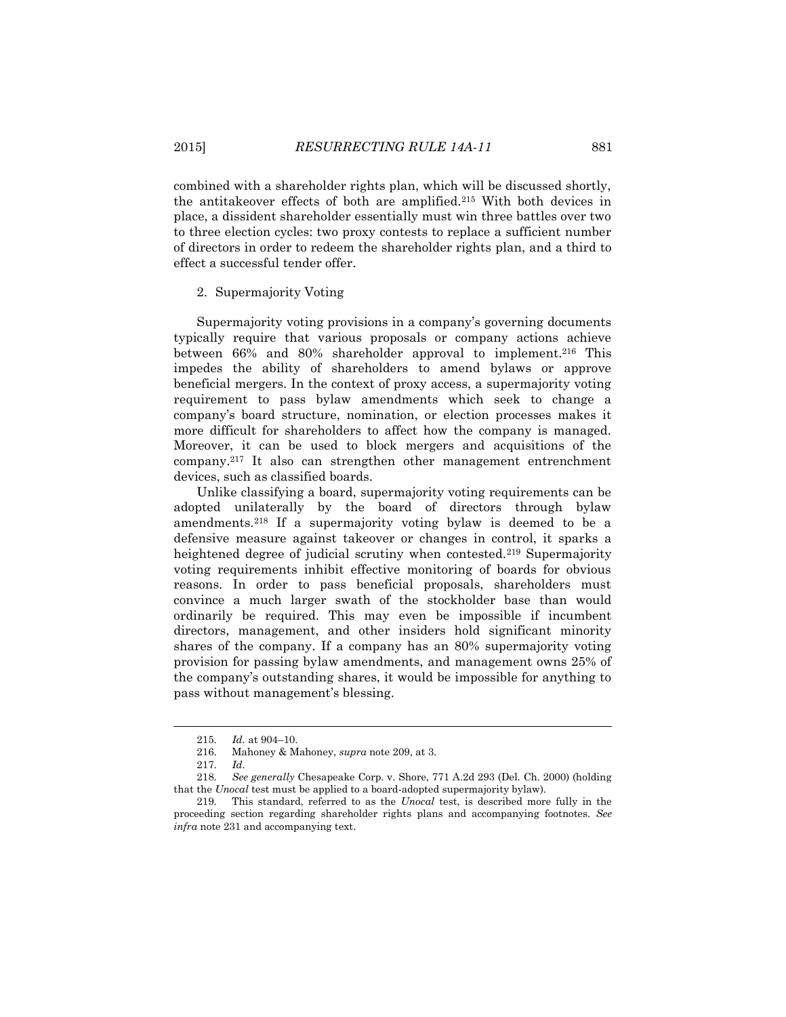combined with a shareholder rights plan, which will be discussed shortly, the antitakeover effects of both are amplified.<sup>215</sup> With both devices in place, a dissident shareholder essentially must win three battles over two to three election cycles: two proxy contests to replace a sufficient number of directors in order to redeem the shareholder rights plan, and a third to effect a successful tender offer.

#### 2. Supermajority Voting

Supermajority voting provisions in a company's governing documents typically require that various proposals or company actions achieve between 66% and 80% shareholder approval to implement.<sup>216</sup> This impedes the ability of shareholders to amend bylaws or approve beneficial mergers. In the context of proxy access, a supermajority voting requirement to pass bylaw amendments which seek to change a company's board structure, nomination, or election processes makes it more difficult for shareholders to affect how the company is managed. Moreover, it can be used to block mergers and acquisitions of the company.<sup>217</sup> It also can strengthen other management entrenchment devices, such as classified boards.

Unlike classifying a board, supermajority voting requirements can be adopted unilaterally by the board of directors through bylaw amendments.<sup>218</sup> If a supermajority voting bylaw is deemed to be a defensive measure against takeover or changes in control, it sparks a heightened degree of judicial scrutiny when contested.<sup>219</sup> Supermajority voting requirements inhibit effective monitoring of boards for obvious reasons. In order to pass beneficial proposals, shareholders must convince a much larger swath of the stockholder base than would ordinarily be required. This may even be impossible if incumbent directors, management, and other insiders hold significant minority shares of the company. If a company has an 80% supermajority voting provision for passing bylaw amendments, and management owns 25% of the company's outstanding shares, it would be impossible for anything to pass without management's blessing.

<sup>215.</sup> *Id.* at 904–10.

<sup>216.</sup> Mahoney & Mahoney, *supra* note 209, at 3.

<sup>217.</sup> *Id.*

<sup>218.</sup> *See generally* Chesapeake Corp. v. Shore, 771 A.2d 293 (Del. Ch. 2000) (holding that the *Unocal* test must be applied to a board-adopted supermajority bylaw).

<sup>219.</sup> This standard, referred to as the *Unocal* test, is described more fully in the proceeding section regarding shareholder rights plans and accompanying footnotes. *See infra* note 231 and accompanying text.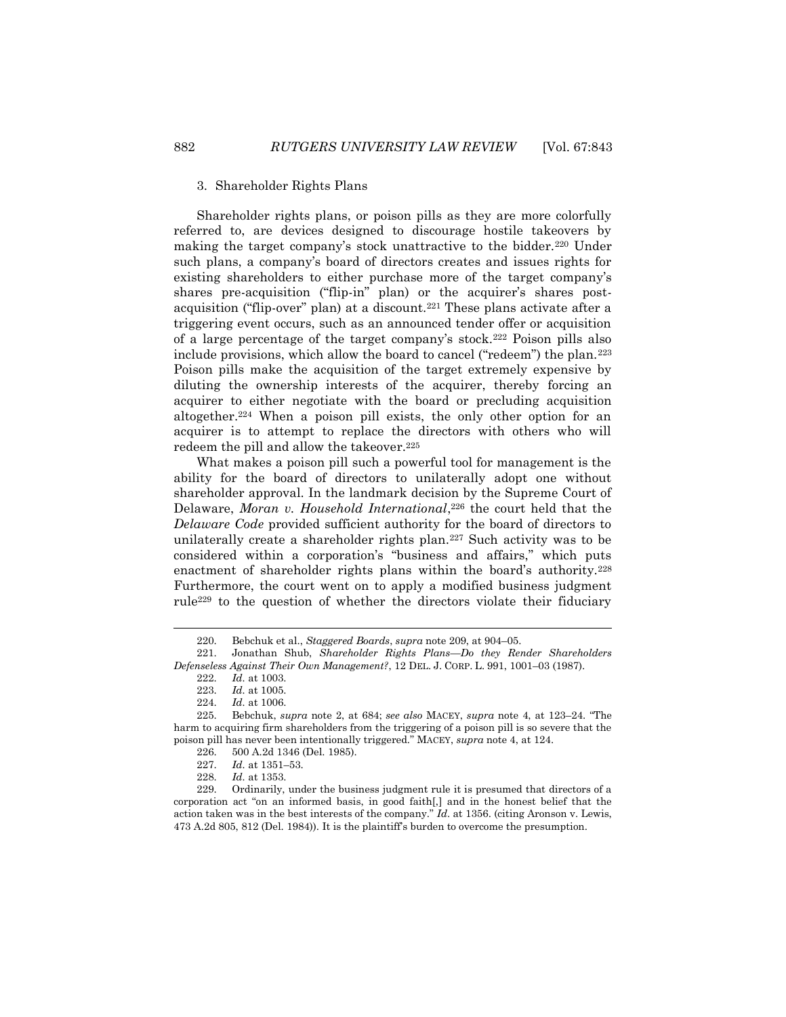#### 3. Shareholder Rights Plans

Shareholder rights plans, or poison pills as they are more colorfully referred to, are devices designed to discourage hostile takeovers by making the target company's stock unattractive to the bidder.<sup>220</sup> Under such plans, a company's board of directors creates and issues rights for existing shareholders to either purchase more of the target company's shares pre-acquisition ("flip-in" plan) or the acquirer's shares postacquisition ("flip-over" plan) at a discount.<sup>221</sup> These plans activate after a triggering event occurs, such as an announced tender offer or acquisition of a large percentage of the target company's stock.<sup>222</sup> Poison pills also include provisions, which allow the board to cancel ("redeem") the plan.<sup>223</sup> Poison pills make the acquisition of the target extremely expensive by diluting the ownership interests of the acquirer, thereby forcing an acquirer to either negotiate with the board or precluding acquisition altogether.<sup>224</sup> When a poison pill exists, the only other option for an acquirer is to attempt to replace the directors with others who will redeem the pill and allow the takeover.<sup>225</sup>

What makes a poison pill such a powerful tool for management is the ability for the board of directors to unilaterally adopt one without shareholder approval. In the landmark decision by the Supreme Court of Delaware, *Moran v. Household International*, <sup>226</sup> the court held that the *Delaware Code* provided sufficient authority for the board of directors to unilaterally create a shareholder rights plan.<sup>227</sup> Such activity was to be considered within a corporation's "business and affairs," which puts enactment of shareholder rights plans within the board's authority.<sup>228</sup> Furthermore, the court went on to apply a modified business judgment rule<sup>229</sup> to the question of whether the directors violate their fiduciary

l

228. *Id.* at 1353.

229. Ordinarily, under the business judgment rule it is presumed that directors of a corporation act "on an informed basis, in good faith[,] and in the honest belief that the action taken was in the best interests of the company." *Id*. at 1356. (citing Aronson v. Lewis, 473 A.2d 805, 812 (Del. 1984)). It is the plaintiff's burden to overcome the presumption.

<sup>220.</sup> Bebchuk et al., *Staggered Boards*, *supra* note 209, at 904–05.

<sup>221.</sup> Jonathan Shub, *Shareholder Rights Plans—Do they Render Shareholders Defenseless Against Their Own Management?*, 12 DEL. J. CORP. L. 991, 1001–03 (1987).

<sup>222.</sup> *Id.* at 1003.

<sup>223.</sup> *Id.* at 1005.

<sup>224.</sup> *Id.* at 1006.

<sup>225.</sup> Bebchuk, *supra* note 2, at 684; *see also* MACEY, *supra* note 4, at 123–24. "The harm to acquiring firm shareholders from the triggering of a poison pill is so severe that the poison pill has never been intentionally triggered." MACEY, *supra* note 4, at 124.

<sup>226.</sup> 500 A.2d 1346 (Del. 1985).

<sup>227.</sup> *Id.* at 1351–53.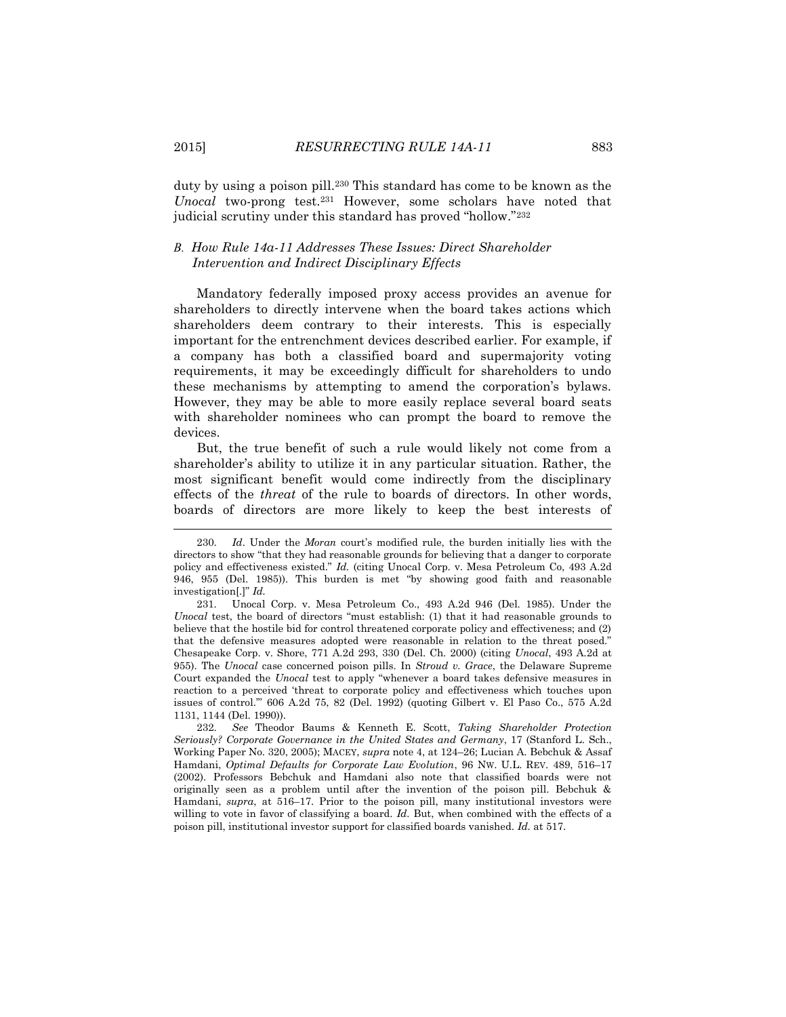duty by using a poison pill.<sup>230</sup> This standard has come to be known as the *Unocal* two-prong test.<sup>231</sup> However, some scholars have noted that judicial scrutiny under this standard has proved "hollow."<sup>232</sup>

## *B. How Rule 14a-11 Addresses These Issues: Direct Shareholder Intervention and Indirect Disciplinary Effects*

Mandatory federally imposed proxy access provides an avenue for shareholders to directly intervene when the board takes actions which shareholders deem contrary to their interests. This is especially important for the entrenchment devices described earlier. For example, if a company has both a classified board and supermajority voting requirements, it may be exceedingly difficult for shareholders to undo these mechanisms by attempting to amend the corporation's bylaws. However, they may be able to more easily replace several board seats with shareholder nominees who can prompt the board to remove the devices.

But, the true benefit of such a rule would likely not come from a shareholder's ability to utilize it in any particular situation. Rather, the most significant benefit would come indirectly from the disciplinary effects of the *threat* of the rule to boards of directors. In other words, boards of directors are more likely to keep the best interests of

<sup>230.</sup> *Id*. Under the *Moran* court's modified rule, the burden initially lies with the directors to show "that they had reasonable grounds for believing that a danger to corporate policy and effectiveness existed." *Id.* (citing Unocal Corp. v. Mesa Petroleum Co, 493 A.2d 946, 955 (Del. 1985)). This burden is met "by showing good faith and reasonable investigation[.]" *Id.*

<sup>231.</sup> Unocal Corp. v. Mesa Petroleum Co., 493 A.2d 946 (Del. 1985). Under the *Unocal* test, the board of directors "must establish: (1) that it had reasonable grounds to believe that the hostile bid for control threatened corporate policy and effectiveness; and (2) that the defensive measures adopted were reasonable in relation to the threat posed." Chesapeake Corp. v. Shore, 771 A.2d 293, 330 (Del. Ch. 2000) (citing *Unocal*, 493 A.2d at 955). The *Unocal* case concerned poison pills. In *Stroud v. Grace*, the Delaware Supreme Court expanded the *Unocal* test to apply "whenever a board takes defensive measures in reaction to a perceived 'threat to corporate policy and effectiveness which touches upon issues of control.'" 606 A.2d 75, 82 (Del. 1992) (quoting Gilbert v. El Paso Co., 575 A.2d 1131, 1144 (Del. 1990)).

<sup>232.</sup> *See* Theodor Baums & Kenneth E. Scott, *Taking Shareholder Protection Seriously? Corporate Governance in the United States and Germany*, 17 (Stanford L. Sch., Working Paper No. 320, 2005); MACEY, *supra* note 4, at 124–26; Lucian A. Bebchuk & Assaf Hamdani, *Optimal Defaults for Corporate Law Evolution*, 96 NW. U.L. REV. 489, 516–17 (2002). Professors Bebchuk and Hamdani also note that classified boards were not originally seen as a problem until after the invention of the poison pill. Bebchuk & Hamdani, *supra*, at 516–17. Prior to the poison pill, many institutional investors were willing to vote in favor of classifying a board. *Id.* But, when combined with the effects of a poison pill, institutional investor support for classified boards vanished. *Id.* at 517.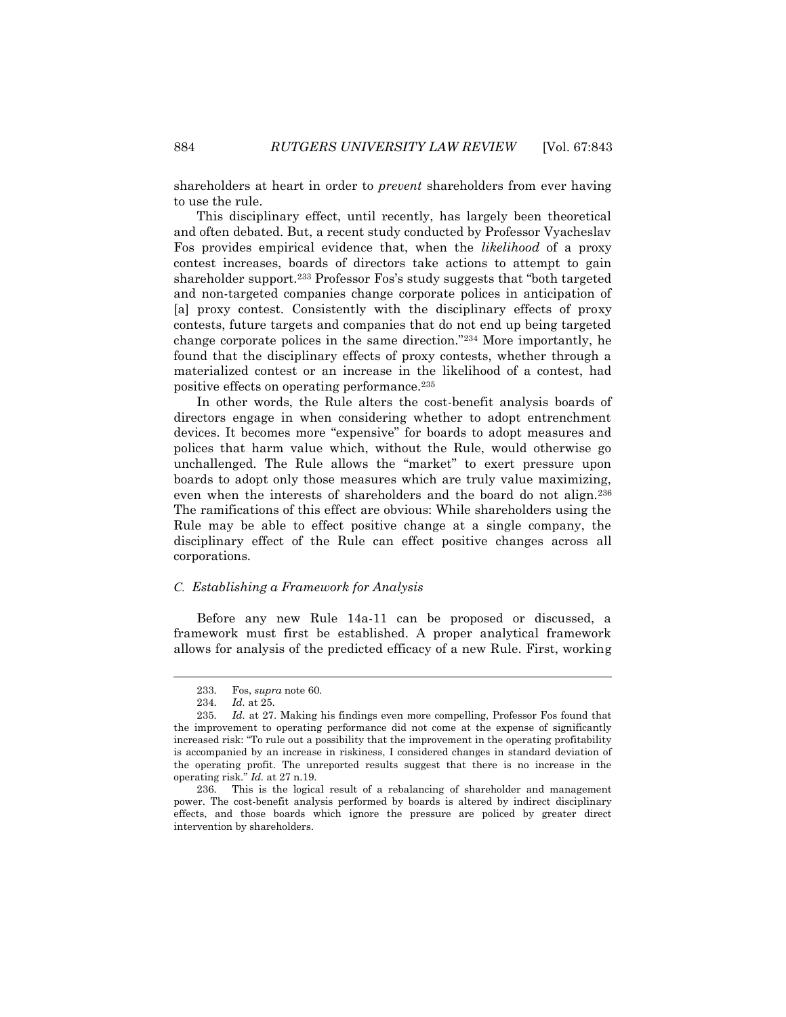shareholders at heart in order to *prevent* shareholders from ever having to use the rule.

This disciplinary effect, until recently, has largely been theoretical and often debated. But, a recent study conducted by Professor Vyacheslav Fos provides empirical evidence that, when the *likelihood* of a proxy contest increases, boards of directors take actions to attempt to gain shareholder support.<sup>233</sup> Professor Fos's study suggests that "both targeted and non-targeted companies change corporate polices in anticipation of [a] proxy contest. Consistently with the disciplinary effects of proxy contests, future targets and companies that do not end up being targeted change corporate polices in the same direction."<sup>234</sup> More importantly, he found that the disciplinary effects of proxy contests, whether through a materialized contest or an increase in the likelihood of a contest, had positive effects on operating performance.<sup>235</sup>

In other words, the Rule alters the cost-benefit analysis boards of directors engage in when considering whether to adopt entrenchment devices. It becomes more "expensive" for boards to adopt measures and polices that harm value which, without the Rule, would otherwise go unchallenged. The Rule allows the "market" to exert pressure upon boards to adopt only those measures which are truly value maximizing, even when the interests of shareholders and the board do not align.<sup>236</sup> The ramifications of this effect are obvious: While shareholders using the Rule may be able to effect positive change at a single company, the disciplinary effect of the Rule can effect positive changes across all corporations.

## *C. Establishing a Framework for Analysis*

Before any new Rule 14a-11 can be proposed or discussed, a framework must first be established. A proper analytical framework allows for analysis of the predicted efficacy of a new Rule. First, working

 $\overline{a}$ 

<sup>233.</sup> Fos, *supra* note 60.

<sup>234.</sup> *Id.* at 25.

<sup>235.</sup> *Id.* at 27. Making his findings even more compelling, Professor Fos found that the improvement to operating performance did not come at the expense of significantly increased risk: "To rule out a possibility that the improvement in the operating profitability is accompanied by an increase in riskiness, I considered changes in standard deviation of the operating profit. The unreported results suggest that there is no increase in the operating risk." *Id.* at 27 n.19.

<sup>236.</sup> This is the logical result of a rebalancing of shareholder and management power. The cost-benefit analysis performed by boards is altered by indirect disciplinary effects, and those boards which ignore the pressure are policed by greater direct intervention by shareholders.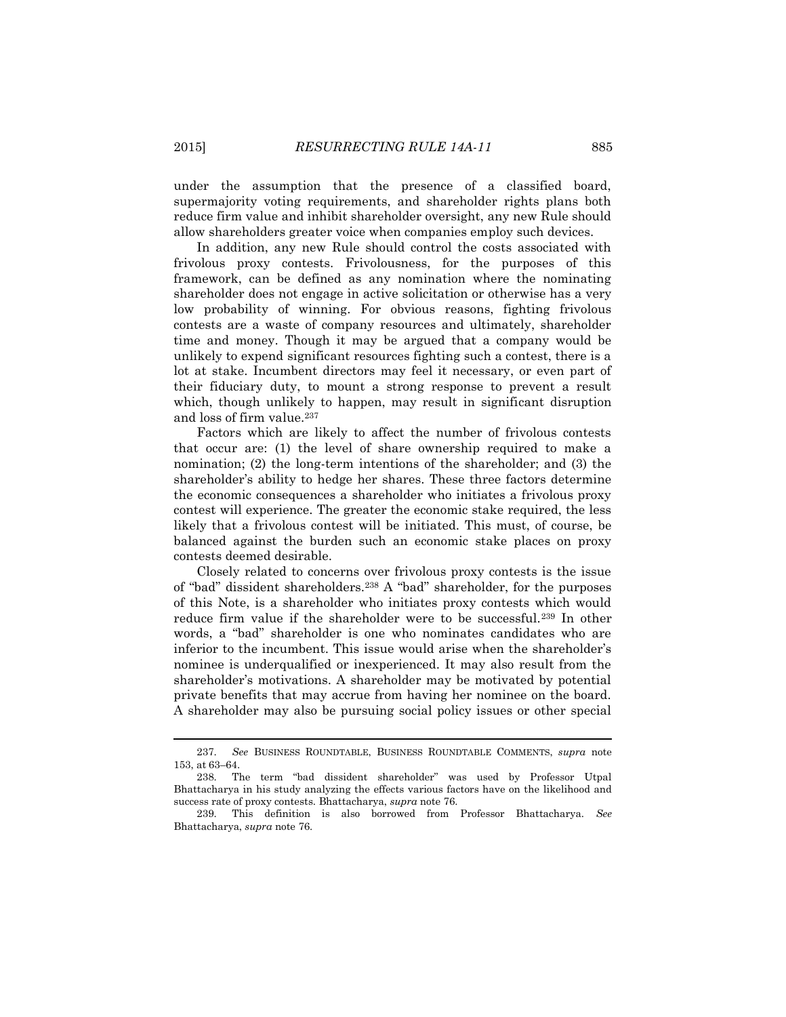under the assumption that the presence of a classified board, supermajority voting requirements, and shareholder rights plans both reduce firm value and inhibit shareholder oversight, any new Rule should allow shareholders greater voice when companies employ such devices.

In addition, any new Rule should control the costs associated with frivolous proxy contests. Frivolousness, for the purposes of this framework, can be defined as any nomination where the nominating shareholder does not engage in active solicitation or otherwise has a very low probability of winning. For obvious reasons, fighting frivolous contests are a waste of company resources and ultimately, shareholder time and money. Though it may be argued that a company would be unlikely to expend significant resources fighting such a contest, there is a lot at stake. Incumbent directors may feel it necessary, or even part of their fiduciary duty, to mount a strong response to prevent a result which, though unlikely to happen, may result in significant disruption and loss of firm value.<sup>237</sup>

Factors which are likely to affect the number of frivolous contests that occur are: (1) the level of share ownership required to make a nomination; (2) the long-term intentions of the shareholder; and (3) the shareholder's ability to hedge her shares. These three factors determine the economic consequences a shareholder who initiates a frivolous proxy contest will experience. The greater the economic stake required, the less likely that a frivolous contest will be initiated. This must, of course, be balanced against the burden such an economic stake places on proxy contests deemed desirable.

Closely related to concerns over frivolous proxy contests is the issue of "bad" dissident shareholders.<sup>238</sup> A "bad" shareholder, for the purposes of this Note, is a shareholder who initiates proxy contests which would reduce firm value if the shareholder were to be successful.<sup>239</sup> In other words, a "bad" shareholder is one who nominates candidates who are inferior to the incumbent. This issue would arise when the shareholder's nominee is underqualified or inexperienced. It may also result from the shareholder's motivations. A shareholder may be motivated by potential private benefits that may accrue from having her nominee on the board. A shareholder may also be pursuing social policy issues or other special

<sup>237.</sup> *See* BUSINESS ROUNDTABLE, BUSINESS ROUNDTABLE COMMENTS, *supra* note 153, at 63–64.

<sup>238.</sup> The term "bad dissident shareholder" was used by Professor Utpal Bhattacharya in his study analyzing the effects various factors have on the likelihood and success rate of proxy contests. Bhattacharya, *supra* note 76.

<sup>239.</sup> This definition is also borrowed from Professor Bhattacharya. *See*  Bhattacharya, *supra* note 76.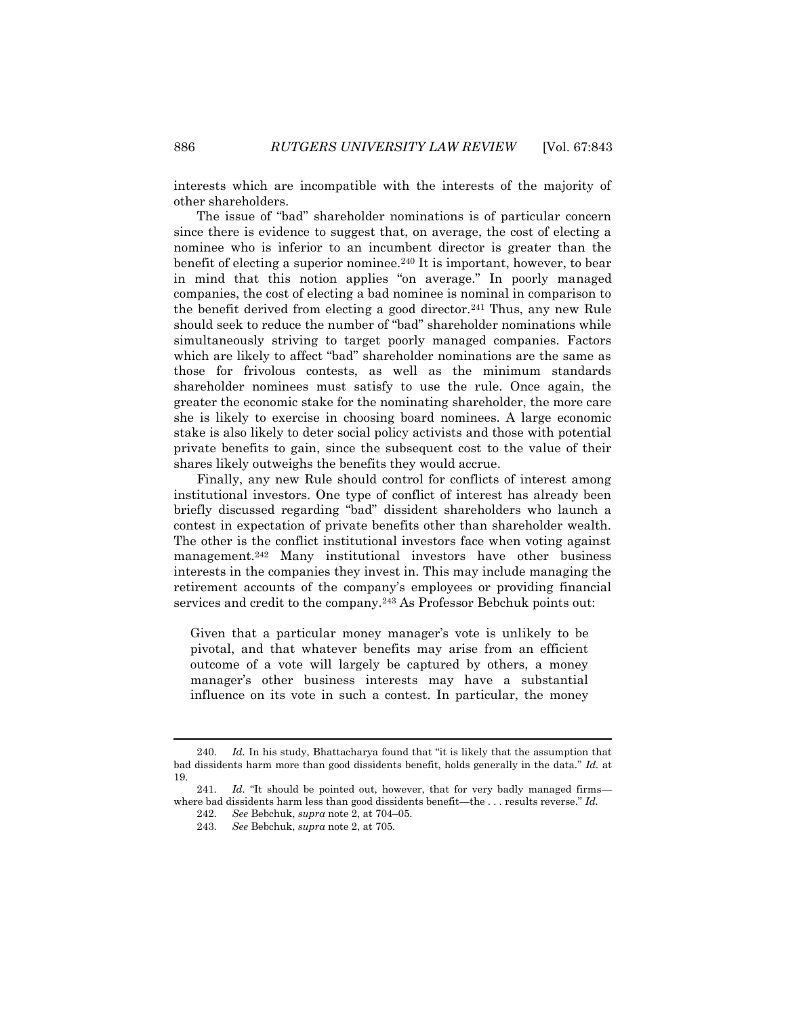interests which are incompatible with the interests of the majority of other shareholders.

The issue of "bad" shareholder nominations is of particular concern since there is evidence to suggest that, on average, the cost of electing a nominee who is inferior to an incumbent director is greater than the benefit of electing a superior nominee.<sup>240</sup> It is important, however, to bear in mind that this notion applies "on average." In poorly managed companies, the cost of electing a bad nominee is nominal in comparison to the benefit derived from electing a good director.<sup>241</sup> Thus, any new Rule should seek to reduce the number of "bad" shareholder nominations while simultaneously striving to target poorly managed companies. Factors which are likely to affect "bad" shareholder nominations are the same as those for frivolous contests, as well as the minimum standards shareholder nominees must satisfy to use the rule. Once again, the greater the economic stake for the nominating shareholder, the more care she is likely to exercise in choosing board nominees. A large economic stake is also likely to deter social policy activists and those with potential private benefits to gain, since the subsequent cost to the value of their shares likely outweighs the benefits they would accrue.

Finally, any new Rule should control for conflicts of interest among institutional investors. One type of conflict of interest has already been briefly discussed regarding "bad" dissident shareholders who launch a contest in expectation of private benefits other than shareholder wealth. The other is the conflict institutional investors face when voting against management.<sup>242</sup> Many institutional investors have other business interests in the companies they invest in. This may include managing the retirement accounts of the company's employees or providing financial services and credit to the company.<sup>243</sup> As Professor Bebchuk points out:

Given that a particular money manager's vote is unlikely to be pivotal, and that whatever benefits may arise from an efficient outcome of a vote will largely be captured by others, a money manager's other business interests may have a substantial influence on its vote in such a contest. In particular, the money

<sup>240.</sup> *Id.* In his study, Bhattacharya found that "it is likely that the assumption that bad dissidents harm more than good dissidents benefit, holds generally in the data." *Id.* at 19.

<sup>241.</sup> *Id.* "It should be pointed out, however, that for very badly managed firms where bad dissidents harm less than good dissidents benefit—the . . . results reverse." *Id.*

<sup>242.</sup> *See* Bebchuk, *supra* note 2, at 704–05.

<sup>243.</sup> *See* Bebchuk, *supra* note 2, at 705.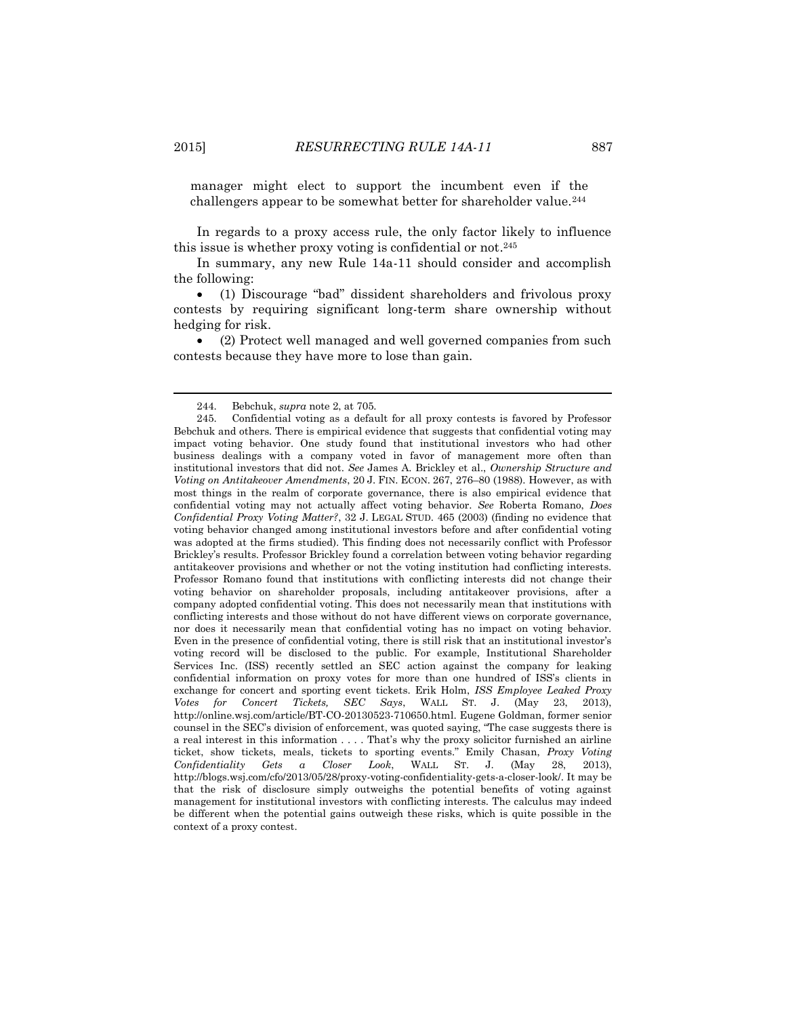manager might elect to support the incumbent even if the challengers appear to be somewhat better for shareholder value.<sup>244</sup>

In regards to a proxy access rule, the only factor likely to influence this issue is whether proxy voting is confidential or not. 245

In summary, any new Rule 14a-11 should consider and accomplish the following:

 (1) Discourage "bad" dissident shareholders and frivolous proxy contests by requiring significant long-term share ownership without hedging for risk.

 (2) Protect well managed and well governed companies from such contests because they have more to lose than gain.

<sup>244.</sup> Bebchuk, *supra* note 2, at 705.

<sup>245.</sup> Confidential voting as a default for all proxy contests is favored by Professor Bebchuk and others. There is empirical evidence that suggests that confidential voting may impact voting behavior. One study found that institutional investors who had other business dealings with a company voted in favor of management more often than institutional investors that did not. *See* James A. Brickley et al., *Ownership Structure and Voting on Antitakeover Amendments*, 20 J. FIN. ECON. 267, 276–80 (1988). However, as with most things in the realm of corporate governance, there is also empirical evidence that confidential voting may not actually affect voting behavior. *See* Roberta Romano, *Does Confidential Proxy Voting Matter?*, 32 J. LEGAL STUD. 465 (2003) (finding no evidence that voting behavior changed among institutional investors before and after confidential voting was adopted at the firms studied). This finding does not necessarily conflict with Professor Brickley's results. Professor Brickley found a correlation between voting behavior regarding antitakeover provisions and whether or not the voting institution had conflicting interests. Professor Romano found that institutions with conflicting interests did not change their voting behavior on shareholder proposals, including antitakeover provisions, after a company adopted confidential voting. This does not necessarily mean that institutions with conflicting interests and those without do not have different views on corporate governance, nor does it necessarily mean that confidential voting has no impact on voting behavior. Even in the presence of confidential voting, there is still risk that an institutional investor's voting record will be disclosed to the public. For example, Institutional Shareholder Services Inc. (ISS) recently settled an SEC action against the company for leaking confidential information on proxy votes for more than one hundred of ISS's clients in exchange for concert and sporting event tickets. Erik Holm, *ISS Employee Leaked Proxy Votes for Concert Tickets, SEC Says*, WALL ST. J. (May 23, 2013), http://online.wsj.com/article/BT-CO-20130523-710650.html. Eugene Goldman, former senior counsel in the SEC's division of enforcement, was quoted saying, "The case suggests there is a real interest in this information . . . . That's why the proxy solicitor furnished an airline ticket, show tickets, meals, tickets to sporting events." Emily Chasan, *Proxy Voting Confidentiality Gets a Closer Look*, WALL ST. J. (May 28, 2013), http://blogs.wsj.com/cfo/2013/05/28/proxy-voting-confidentiality-gets-a-closer-look/. It may be that the risk of disclosure simply outweighs the potential benefits of voting against management for institutional investors with conflicting interests. The calculus may indeed be different when the potential gains outweigh these risks, which is quite possible in the context of a proxy contest.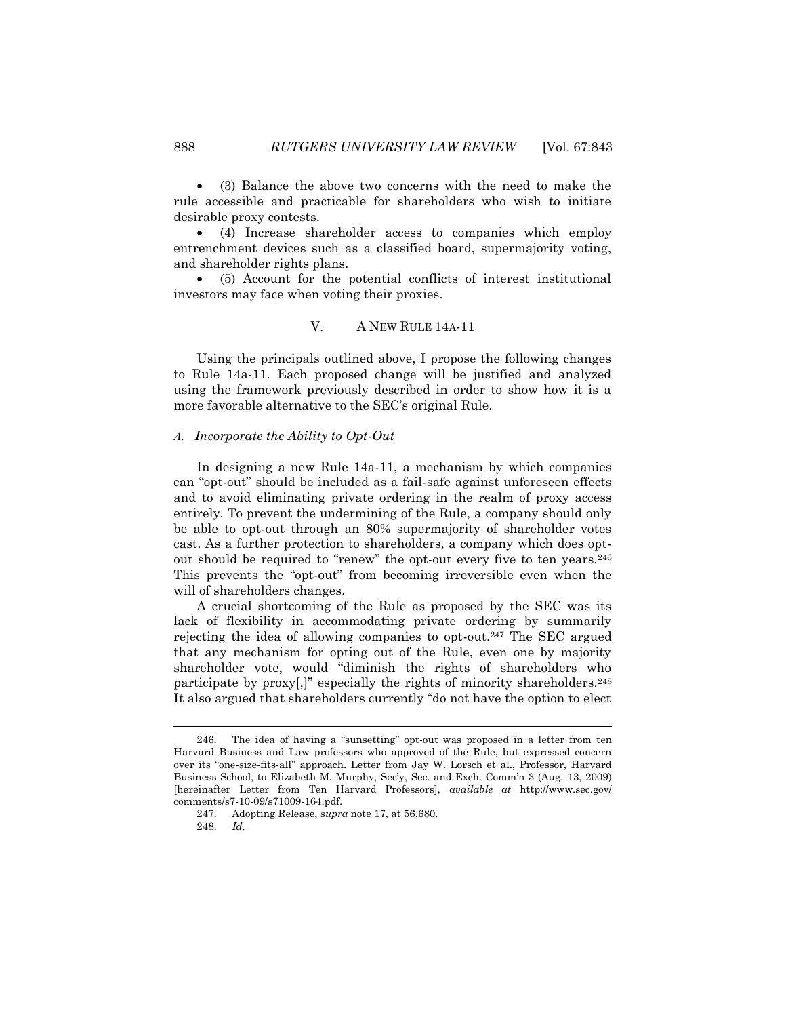(3) Balance the above two concerns with the need to make the rule accessible and practicable for shareholders who wish to initiate desirable proxy contests.

 (4) Increase shareholder access to companies which employ entrenchment devices such as a classified board, supermajority voting, and shareholder rights plans.

 (5) Account for the potential conflicts of interest institutional investors may face when voting their proxies.

## V. A NEW RULE 14A-11

Using the principals outlined above, I propose the following changes to Rule 14a-11. Each proposed change will be justified and analyzed using the framework previously described in order to show how it is a more favorable alternative to the SEC's original Rule.

#### *A. Incorporate the Ability to Opt-Out*

In designing a new Rule 14a-11, a mechanism by which companies can "opt-out" should be included as a fail-safe against unforeseen effects and to avoid eliminating private ordering in the realm of proxy access entirely. To prevent the undermining of the Rule, a company should only be able to opt-out through an 80% supermajority of shareholder votes cast. As a further protection to shareholders, a company which does optout should be required to "renew" the opt-out every five to ten years.<sup>246</sup> This prevents the "opt-out" from becoming irreversible even when the will of shareholders changes.

A crucial shortcoming of the Rule as proposed by the SEC was its lack of flexibility in accommodating private ordering by summarily rejecting the idea of allowing companies to opt-out.<sup>247</sup> The SEC argued that any mechanism for opting out of the Rule, even one by majority shareholder vote, would "diminish the rights of shareholders who participate by proxy[,]" especially the rights of minority shareholders.<sup>248</sup> It also argued that shareholders currently "do not have the option to elect

<sup>246.</sup> The idea of having a "sunsetting" opt-out was proposed in a letter from ten Harvard Business and Law professors who approved of the Rule, but expressed concern over its "one-size-fits-all" approach. Letter from Jay W. Lorsch et al., Professor, Harvard Business School, to Elizabeth M. Murphy, Sec'y, Sec. and Exch. Comm'n 3 (Aug. 13, 2009) [hereinafter Letter from Ten Harvard Professors], *available at* http://www.sec.gov/ comments/s7-10-09/s71009-164.pdf.

<sup>247.</sup> Adopting Release, s*upra* note 17, at 56,680.

<sup>248.</sup> *Id.*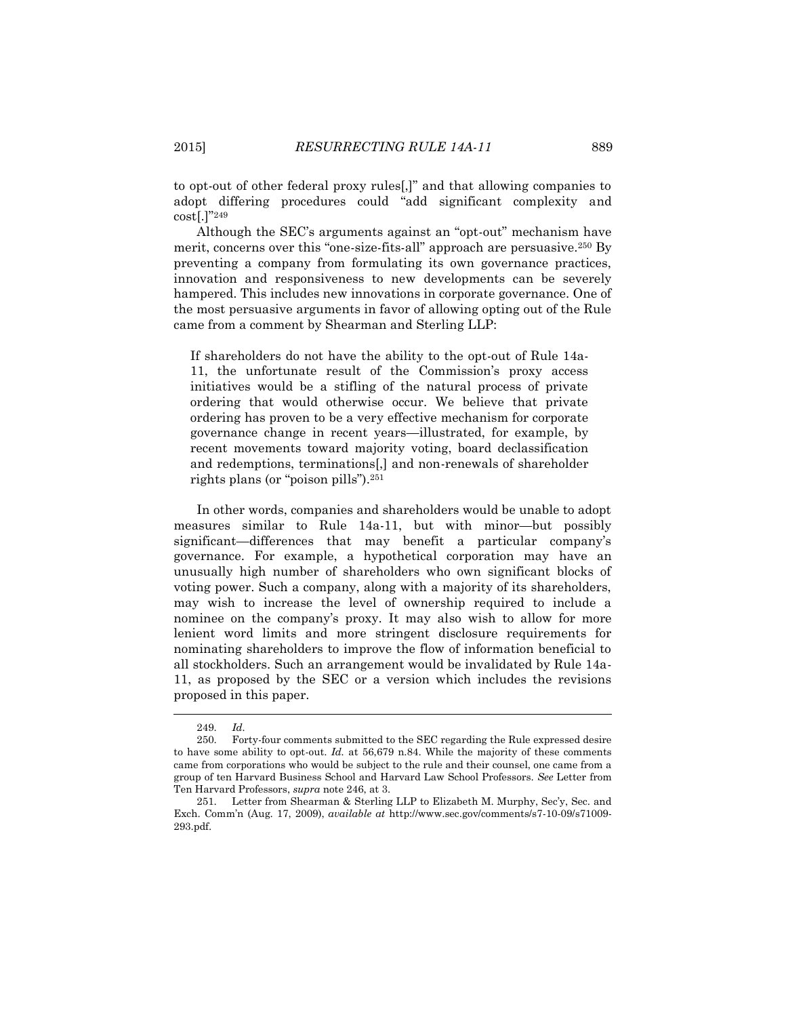to opt-out of other federal proxy rules[,]" and that allowing companies to adopt differing procedures could "add significant complexity and cost[.]"<sup>249</sup>

Although the SEC's arguments against an "opt-out" mechanism have merit, concerns over this "one-size-fits-all" approach are persuasive.<sup>250</sup> By preventing a company from formulating its own governance practices, innovation and responsiveness to new developments can be severely hampered. This includes new innovations in corporate governance. One of the most persuasive arguments in favor of allowing opting out of the Rule came from a comment by Shearman and Sterling LLP:

If shareholders do not have the ability to the opt-out of Rule 14a-11, the unfortunate result of the Commission's proxy access initiatives would be a stifling of the natural process of private ordering that would otherwise occur. We believe that private ordering has proven to be a very effective mechanism for corporate governance change in recent years—illustrated, for example, by recent movements toward majority voting, board declassification and redemptions, terminations[,] and non-renewals of shareholder rights plans (or "poison pills").<sup>251</sup>

In other words, companies and shareholders would be unable to adopt measures similar to Rule 14a-11, but with minor—but possibly significant—differences that may benefit a particular company's governance. For example, a hypothetical corporation may have an unusually high number of shareholders who own significant blocks of voting power. Such a company, along with a majority of its shareholders, may wish to increase the level of ownership required to include a nominee on the company's proxy. It may also wish to allow for more lenient word limits and more stringent disclosure requirements for nominating shareholders to improve the flow of information beneficial to all stockholders. Such an arrangement would be invalidated by Rule 14a-11, as proposed by the SEC or a version which includes the revisions proposed in this paper.

<sup>249.</sup> *Id.*

<sup>250.</sup> Forty-four comments submitted to the SEC regarding the Rule expressed desire to have some ability to opt-out. *Id.* at 56,679 n.84. While the majority of these comments came from corporations who would be subject to the rule and their counsel, one came from a group of ten Harvard Business School and Harvard Law School Professors. *See* Letter from Ten Harvard Professors, *supra* note 246, at 3.

<sup>251.</sup> Letter from Shearman & Sterling LLP to Elizabeth M. Murphy, Sec'y, Sec. and Exch. Comm'n (Aug. 17, 2009), *available at* http://www.sec.gov/comments/s7-10-09/s71009- 293.pdf.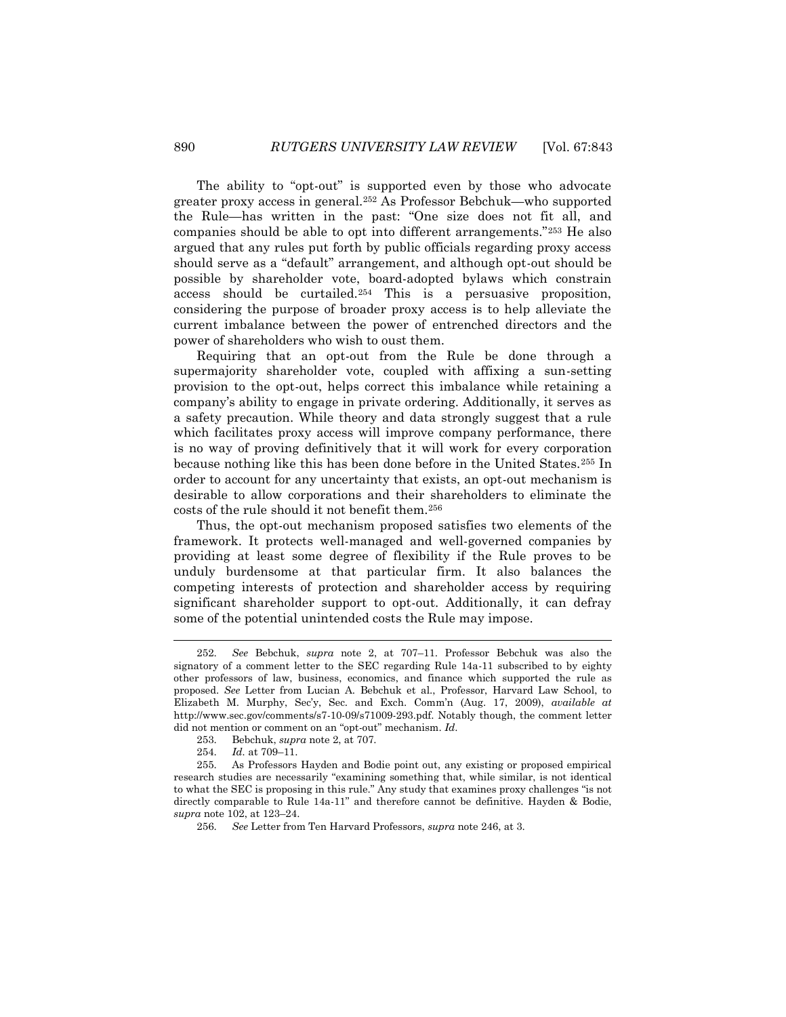The ability to "opt-out" is supported even by those who advocate greater proxy access in general.<sup>252</sup> As Professor Bebchuk—who supported the Rule—has written in the past: "One size does not fit all, and companies should be able to opt into different arrangements."<sup>253</sup> He also argued that any rules put forth by public officials regarding proxy access should serve as a "default" arrangement, and although opt-out should be possible by shareholder vote, board-adopted bylaws which constrain access should be curtailed.<sup>254</sup> This is a persuasive proposition, considering the purpose of broader proxy access is to help alleviate the current imbalance between the power of entrenched directors and the power of shareholders who wish to oust them.

Requiring that an opt-out from the Rule be done through a supermajority shareholder vote, coupled with affixing a sun-setting provision to the opt-out, helps correct this imbalance while retaining a company's ability to engage in private ordering. Additionally, it serves as a safety precaution. While theory and data strongly suggest that a rule which facilitates proxy access will improve company performance, there is no way of proving definitively that it will work for every corporation because nothing like this has been done before in the United States.<sup>255</sup> In order to account for any uncertainty that exists, an opt-out mechanism is desirable to allow corporations and their shareholders to eliminate the costs of the rule should it not benefit them.<sup>256</sup>

Thus, the opt-out mechanism proposed satisfies two elements of the framework. It protects well-managed and well-governed companies by providing at least some degree of flexibility if the Rule proves to be unduly burdensome at that particular firm. It also balances the competing interests of protection and shareholder access by requiring significant shareholder support to opt-out. Additionally, it can defray some of the potential unintended costs the Rule may impose.

253. Bebchuk, *supra* note 2, at 707.

<sup>252.</sup> *See* Bebchuk, *supra* note 2, at 707–11. Professor Bebchuk was also the signatory of a comment letter to the SEC regarding Rule 14a-11 subscribed to by eighty other professors of law, business, economics, and finance which supported the rule as proposed. *See* Letter from Lucian A. Bebchuk et al., Professor, Harvard Law School, to Elizabeth M. Murphy, Sec'y, Sec. and Exch. Comm'n (Aug. 17, 2009), *available at* http://www.sec.gov/comments/s7-10-09/s71009-293.pdf. Notably though, the comment letter did not mention or comment on an "opt-out" mechanism. *Id*.

<sup>254.</sup> *Id.* at 709–11.

<sup>255.</sup> As Professors Hayden and Bodie point out, any existing or proposed empirical research studies are necessarily "examining something that, while similar, is not identical to what the SEC is proposing in this rule." Any study that examines proxy challenges "is not directly comparable to Rule 14a-11" and therefore cannot be definitive. Hayden & Bodie, *supra* note 102, at 123–24.

<sup>256.</sup> *See* Letter from Ten Harvard Professors, *supra* note 246, at 3.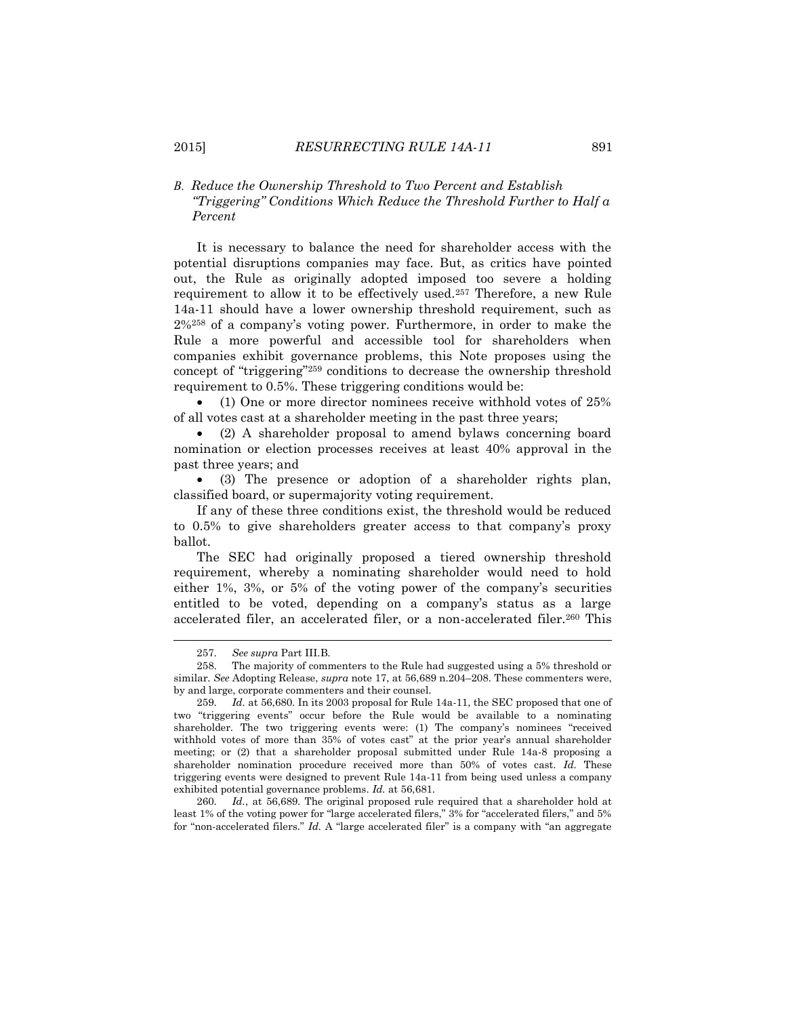## *B. Reduce the Ownership Threshold to Two Percent and Establish "Triggering" Conditions Which Reduce the Threshold Further to Half a Percent*

It is necessary to balance the need for shareholder access with the potential disruptions companies may face. But, as critics have pointed out, the Rule as originally adopted imposed too severe a holding requirement to allow it to be effectively used.<sup>257</sup> Therefore, a new Rule 14a-11 should have a lower ownership threshold requirement, such as 2%<sup>258</sup> of a company's voting power. Furthermore, in order to make the Rule a more powerful and accessible tool for shareholders when companies exhibit governance problems, this Note proposes using the concept of "triggering"<sup>259</sup> conditions to decrease the ownership threshold requirement to 0.5%. These triggering conditions would be:

 (1) One or more director nominees receive withhold votes of 25% of all votes cast at a shareholder meeting in the past three years;

 (2) A shareholder proposal to amend bylaws concerning board nomination or election processes receives at least 40% approval in the past three years; and

 (3) The presence or adoption of a shareholder rights plan, classified board, or supermajority voting requirement.

If any of these three conditions exist, the threshold would be reduced to 0.5% to give shareholders greater access to that company's proxy ballot.

The SEC had originally proposed a tiered ownership threshold requirement, whereby a nominating shareholder would need to hold either 1%, 3%, or 5% of the voting power of the company's securities entitled to be voted, depending on a company's status as a large accelerated filer, an accelerated filer, or a non-accelerated filer.<sup>260</sup> This

 $\overline{\phantom{a}}$ 

260. *Id.*, at 56,689. The original proposed rule required that a shareholder hold at least 1% of the voting power for "large accelerated filers," 3% for "accelerated filers," and 5% for "non-accelerated filers." *Id.* A "large accelerated filer" is a company with "an aggregate

<sup>257.</sup> *See supra* Part III.B.

<sup>258.</sup> The majority of commenters to the Rule had suggested using a 5% threshold or similar. *See* Adopting Release, *supra* note 17, at 56,689 n.204–208. These commenters were, by and large, corporate commenters and their counsel.

<sup>259.</sup> *Id.* at 56,680. In its 2003 proposal for Rule 14a-11, the SEC proposed that one of two "triggering events" occur before the Rule would be available to a nominating shareholder. The two triggering events were: (1) The company's nominees "received withhold votes of more than 35% of votes cast" at the prior year's annual shareholder meeting; or (2) that a shareholder proposal submitted under Rule 14a-8 proposing a shareholder nomination procedure received more than 50% of votes cast. *Id.* These triggering events were designed to prevent Rule 14a-11 from being used unless a company exhibited potential governance problems. *Id.* at 56,681.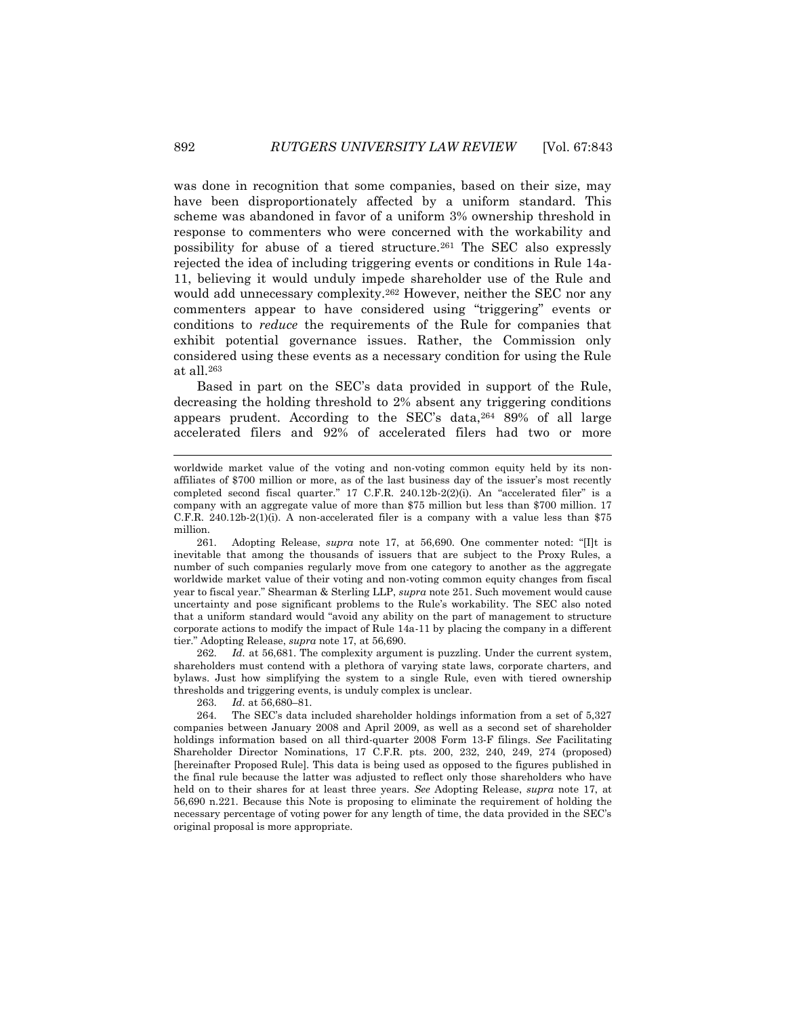was done in recognition that some companies, based on their size, may have been disproportionately affected by a uniform standard. This scheme was abandoned in favor of a uniform 3% ownership threshold in response to commenters who were concerned with the workability and possibility for abuse of a tiered structure.<sup>261</sup> The SEC also expressly rejected the idea of including triggering events or conditions in Rule 14a-11, believing it would unduly impede shareholder use of the Rule and would add unnecessary complexity.<sup>262</sup> However, neither the SEC nor any commenters appear to have considered using "triggering" events or conditions to *reduce* the requirements of the Rule for companies that exhibit potential governance issues. Rather, the Commission only considered using these events as a necessary condition for using the Rule at all.<sup>263</sup>

Based in part on the SEC's data provided in support of the Rule, decreasing the holding threshold to 2% absent any triggering conditions appears prudent. According to the SEC's data,<sup>264</sup> 89% of all large accelerated filers and 92% of accelerated filers had two or more

262. *Id.* at 56,681. The complexity argument is puzzling. Under the current system, shareholders must contend with a plethora of varying state laws, corporate charters, and bylaws. Just how simplifying the system to a single Rule, even with tiered ownership thresholds and triggering events, is unduly complex is unclear.

263. *Id.* at 56,680–81.

worldwide market value of the voting and non-voting common equity held by its nonaffiliates of \$700 million or more, as of the last business day of the issuer's most recently completed second fiscal quarter." 17 C.F.R. 240.12b-2(2)(i). An "accelerated filer" is a company with an aggregate value of more than \$75 million but less than \$700 million. 17 C.F.R. 240.12b-2(1)(i). A non-accelerated filer is a company with a value less than  $$75$ million.

<sup>261.</sup> Adopting Release, *supra* note 17, at 56,690. One commenter noted: "[I]t is inevitable that among the thousands of issuers that are subject to the Proxy Rules, a number of such companies regularly move from one category to another as the aggregate worldwide market value of their voting and non-voting common equity changes from fiscal year to fiscal year." Shearman & Sterling LLP, *supra* note 251. Such movement would cause uncertainty and pose significant problems to the Rule's workability. The SEC also noted that a uniform standard would "avoid any ability on the part of management to structure corporate actions to modify the impact of Rule 14a-11 by placing the company in a different tier." Adopting Release, *supra* note 17, at 56,690.

<sup>264.</sup> The SEC's data included shareholder holdings information from a set of 5,327 companies between January 2008 and April 2009, as well as a second set of shareholder holdings information based on all third-quarter 2008 Form 13-F filings. *See* Facilitating Shareholder Director Nominations, 17 C.F.R. pts. 200, 232, 240, 249, 274 (proposed) [hereinafter Proposed Rule]. This data is being used as opposed to the figures published in the final rule because the latter was adjusted to reflect only those shareholders who have held on to their shares for at least three years. *See* Adopting Release, *supra* note 17, at 56,690 n.221. Because this Note is proposing to eliminate the requirement of holding the necessary percentage of voting power for any length of time, the data provided in the SEC's original proposal is more appropriate.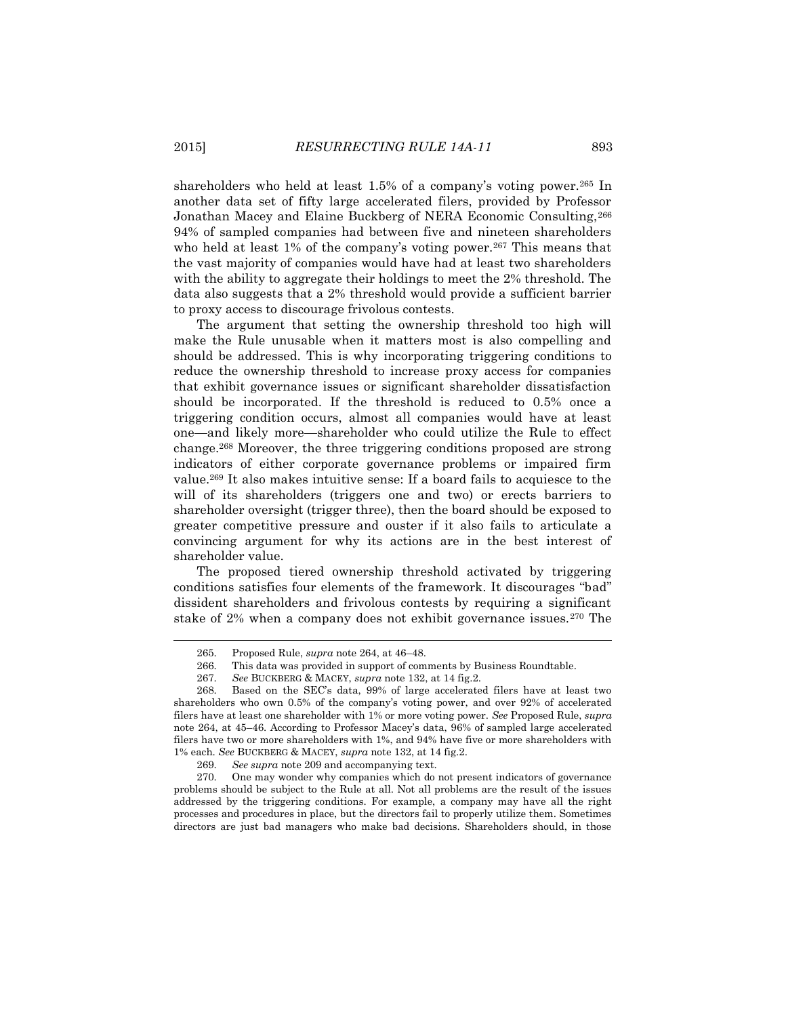shareholders who held at least 1.5% of a company's voting power.<sup>265</sup> In another data set of fifty large accelerated filers, provided by Professor Jonathan Macey and Elaine Buckberg of NERA Economic Consulting,<sup>266</sup> 94% of sampled companies had between five and nineteen shareholders who held at least 1% of the company's voting power.<sup>267</sup> This means that the vast majority of companies would have had at least two shareholders with the ability to aggregate their holdings to meet the 2% threshold. The data also suggests that a 2% threshold would provide a sufficient barrier to proxy access to discourage frivolous contests.

The argument that setting the ownership threshold too high will make the Rule unusable when it matters most is also compelling and should be addressed. This is why incorporating triggering conditions to reduce the ownership threshold to increase proxy access for companies that exhibit governance issues or significant shareholder dissatisfaction should be incorporated. If the threshold is reduced to 0.5% once a triggering condition occurs, almost all companies would have at least one—and likely more—shareholder who could utilize the Rule to effect change.<sup>268</sup> Moreover, the three triggering conditions proposed are strong indicators of either corporate governance problems or impaired firm value.<sup>269</sup> It also makes intuitive sense: If a board fails to acquiesce to the will of its shareholders (triggers one and two) or erects barriers to shareholder oversight (trigger three), then the board should be exposed to greater competitive pressure and ouster if it also fails to articulate a convincing argument for why its actions are in the best interest of shareholder value.

The proposed tiered ownership threshold activated by triggering conditions satisfies four elements of the framework. It discourages "bad" dissident shareholders and frivolous contests by requiring a significant stake of 2% when a company does not exhibit governance issues.<sup>270</sup> The

<sup>265.</sup> Proposed Rule, *supra* note 264, at 46–48.

<sup>266.</sup> This data was provided in support of comments by Business Roundtable.

<sup>267.</sup> *See* BUCKBERG & MACEY, *supra* note 132, at 14 fig.2.

<sup>268.</sup> Based on the SEC's data, 99% of large accelerated filers have at least two shareholders who own 0.5% of the company's voting power, and over 92% of accelerated filers have at least one shareholder with 1% or more voting power. *See* Proposed Rule, *supra* note 264, at 45–46. According to Professor Macey's data, 96% of sampled large accelerated filers have two or more shareholders with 1%, and 94% have five or more shareholders with 1% each. *See* BUCKBERG & MACEY, *supra* note 132, at 14 fig.2.

<sup>269.</sup> *See supra* note 209 and accompanying text.

<sup>270.</sup> One may wonder why companies which do not present indicators of governance problems should be subject to the Rule at all. Not all problems are the result of the issues addressed by the triggering conditions. For example, a company may have all the right processes and procedures in place, but the directors fail to properly utilize them. Sometimes directors are just bad managers who make bad decisions. Shareholders should, in those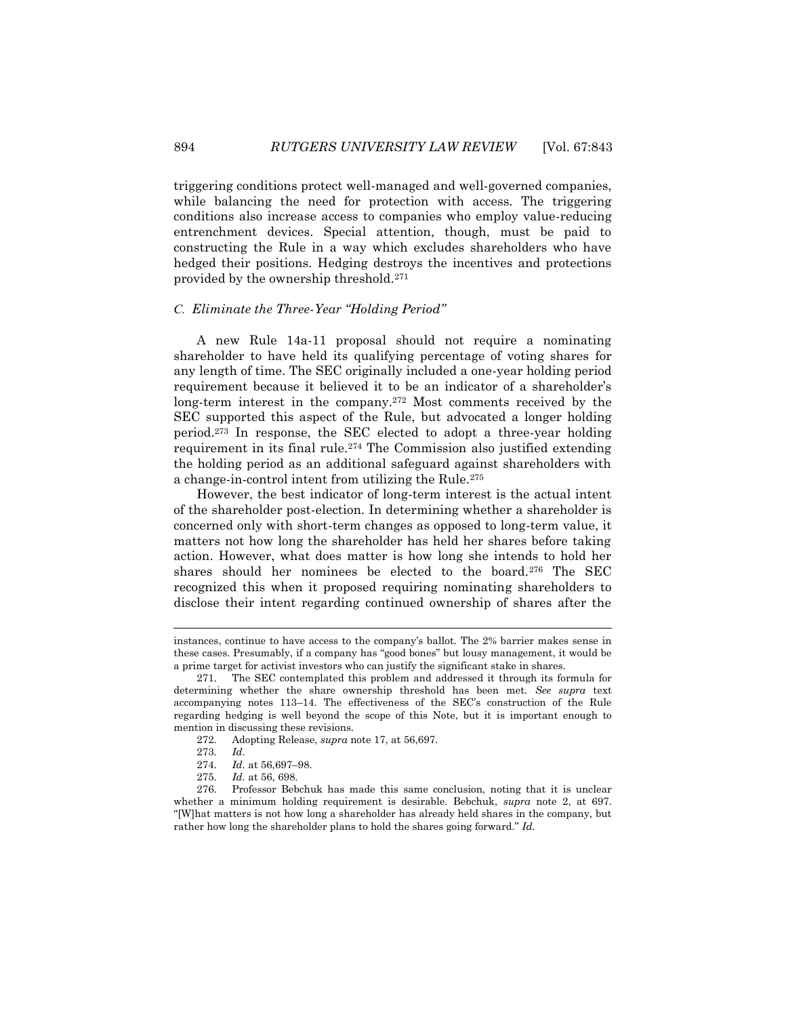triggering conditions protect well-managed and well-governed companies, while balancing the need for protection with access. The triggering conditions also increase access to companies who employ value-reducing entrenchment devices. Special attention, though, must be paid to constructing the Rule in a way which excludes shareholders who have hedged their positions. Hedging destroys the incentives and protections provided by the ownership threshold.<sup>271</sup>

### *C. Eliminate the Three-Year "Holding Period"*

A new Rule 14a-11 proposal should not require a nominating shareholder to have held its qualifying percentage of voting shares for any length of time. The SEC originally included a one-year holding period requirement because it believed it to be an indicator of a shareholder's long-term interest in the company.<sup>272</sup> Most comments received by the SEC supported this aspect of the Rule, but advocated a longer holding period.<sup>273</sup> In response, the SEC elected to adopt a three-year holding requirement in its final rule.<sup>274</sup> The Commission also justified extending the holding period as an additional safeguard against shareholders with a change-in-control intent from utilizing the Rule.<sup>275</sup>

However, the best indicator of long-term interest is the actual intent of the shareholder post-election. In determining whether a shareholder is concerned only with short-term changes as opposed to long-term value, it matters not how long the shareholder has held her shares before taking action. However, what does matter is how long she intends to hold her shares should her nominees be elected to the board.<sup>276</sup> The SEC recognized this when it proposed requiring nominating shareholders to disclose their intent regarding continued ownership of shares after the

instances, continue to have access to the company's ballot. The 2% barrier makes sense in these cases. Presumably, if a company has "good bones" but lousy management, it would be a prime target for activist investors who can justify the significant stake in shares.

<sup>271.</sup> The SEC contemplated this problem and addressed it through its formula for determining whether the share ownership threshold has been met. *See supra* text accompanying notes 113–14. The effectiveness of the SEC's construction of the Rule regarding hedging is well beyond the scope of this Note, but it is important enough to mention in discussing these revisions.

<sup>272.</sup> Adopting Release, *supra* note 17, at 56,697.

<sup>273.</sup> *Id.*

<sup>274.</sup> *Id.* at 56,697–98.

<sup>275.</sup> *Id.* at 56, 698.

<sup>276.</sup> Professor Bebchuk has made this same conclusion, noting that it is unclear whether a minimum holding requirement is desirable. Bebchuk, *supra* note 2, at 697. "[W]hat matters is not how long a shareholder has already held shares in the company, but rather how long the shareholder plans to hold the shares going forward." *Id.*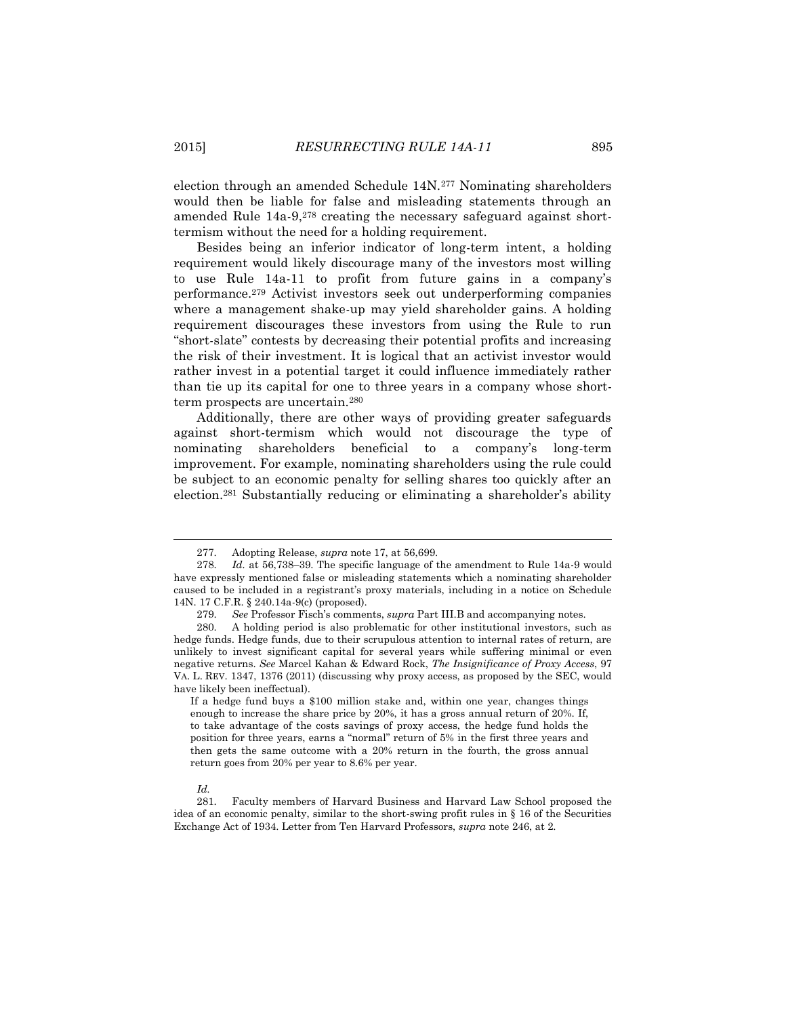election through an amended Schedule 14N.<sup>277</sup> Nominating shareholders would then be liable for false and misleading statements through an amended Rule  $14a-9$ ,  $278$  creating the necessary safeguard against shorttermism without the need for a holding requirement.

Besides being an inferior indicator of long-term intent, a holding requirement would likely discourage many of the investors most willing to use Rule 14a-11 to profit from future gains in a company's performance.<sup>279</sup> Activist investors seek out underperforming companies where a management shake-up may yield shareholder gains. A holding requirement discourages these investors from using the Rule to run "short-slate" contests by decreasing their potential profits and increasing the risk of their investment. It is logical that an activist investor would rather invest in a potential target it could influence immediately rather than tie up its capital for one to three years in a company whose shortterm prospects are uncertain.<sup>280</sup>

Additionally, there are other ways of providing greater safeguards against short-termism which would not discourage the type of nominating shareholders beneficial to a company's long-term improvement. For example, nominating shareholders using the rule could be subject to an economic penalty for selling shares too quickly after an election.<sup>281</sup> Substantially reducing or eliminating a shareholder's ability

<sup>277.</sup> Adopting Release, *supra* note 17, at 56,699.

<sup>278.</sup> *Id.* at 56,738–39. The specific language of the amendment to Rule 14a-9 would have expressly mentioned false or misleading statements which a nominating shareholder caused to be included in a registrant's proxy materials, including in a notice on Schedule 14N. 17 C.F.R. § 240.14a-9(c) (proposed).

<sup>279.</sup> *See* Professor Fisch's comments, *supra* Part III.B and accompanying notes.

<sup>280.</sup> A holding period is also problematic for other institutional investors, such as hedge funds. Hedge funds, due to their scrupulous attention to internal rates of return, are unlikely to invest significant capital for several years while suffering minimal or even negative returns. *See* Marcel Kahan & Edward Rock, *The Insignificance of Proxy Access*, 97 VA. L. REV. 1347, 1376 (2011) (discussing why proxy access, as proposed by the SEC, would have likely been ineffectual).

If a hedge fund buys a \$100 million stake and, within one year, changes things enough to increase the share price by 20%, it has a gross annual return of 20%. If, to take advantage of the costs savings of proxy access, the hedge fund holds the position for three years, earns a "normal" return of 5% in the first three years and then gets the same outcome with a 20% return in the fourth, the gross annual return goes from 20% per year to 8.6% per year.

*Id.*

<sup>281.</sup> Faculty members of Harvard Business and Harvard Law School proposed the idea of an economic penalty, similar to the short-swing profit rules in § 16 of the Securities Exchange Act of 1934. Letter from Ten Harvard Professors, *supra* note 246, at 2.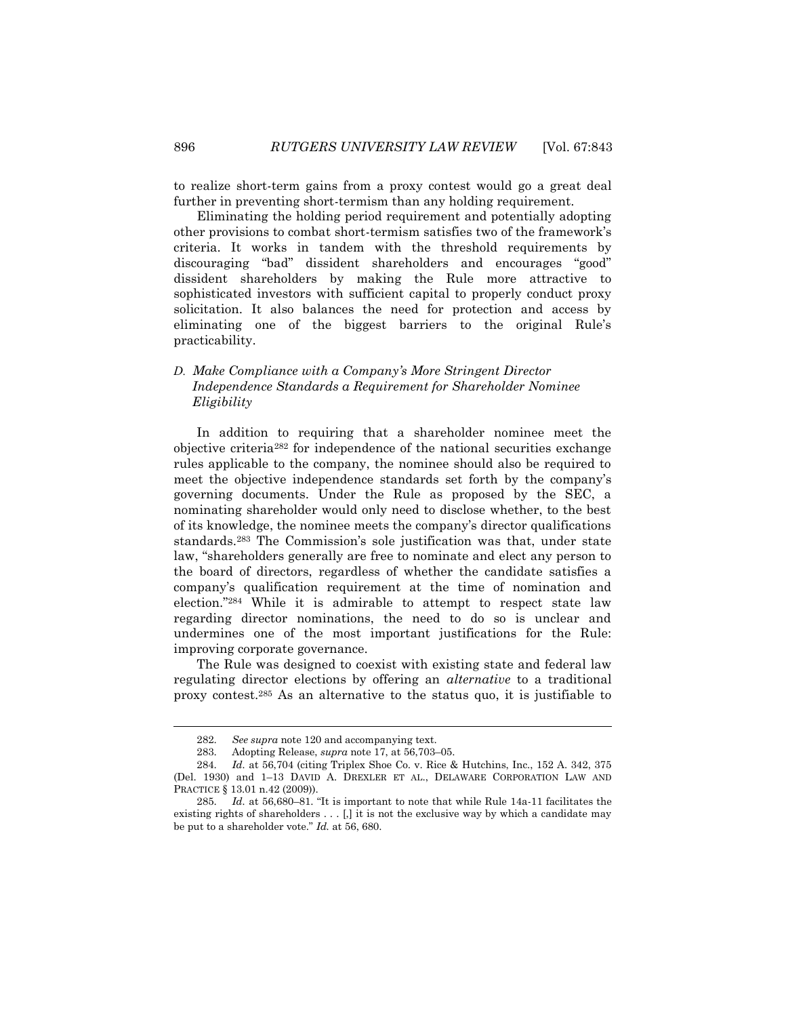to realize short-term gains from a proxy contest would go a great deal further in preventing short-termism than any holding requirement.

Eliminating the holding period requirement and potentially adopting other provisions to combat short-termism satisfies two of the framework's criteria. It works in tandem with the threshold requirements by discouraging "bad" dissident shareholders and encourages "good" dissident shareholders by making the Rule more attractive to sophisticated investors with sufficient capital to properly conduct proxy solicitation. It also balances the need for protection and access by eliminating one of the biggest barriers to the original Rule's practicability.

## *D. Make Compliance with a Company's More Stringent Director Independence Standards a Requirement for Shareholder Nominee Eligibility*

In addition to requiring that a shareholder nominee meet the objective criteria<sup>282</sup> for independence of the national securities exchange rules applicable to the company, the nominee should also be required to meet the objective independence standards set forth by the company's governing documents. Under the Rule as proposed by the SEC, a nominating shareholder would only need to disclose whether, to the best of its knowledge, the nominee meets the company's director qualifications standards.<sup>283</sup> The Commission's sole justification was that, under state law, "shareholders generally are free to nominate and elect any person to the board of directors, regardless of whether the candidate satisfies a company's qualification requirement at the time of nomination and election."<sup>284</sup> While it is admirable to attempt to respect state law regarding director nominations, the need to do so is unclear and undermines one of the most important justifications for the Rule: improving corporate governance.

The Rule was designed to coexist with existing state and federal law regulating director elections by offering an *alternative* to a traditional proxy contest.<sup>285</sup> As an alternative to the status quo, it is justifiable to

<sup>282.</sup> *See supra* note 120 and accompanying text.

<sup>283.</sup> Adopting Release, *supra* note 17, at 56,703–05.

<sup>284.</sup> *Id.* at 56,704 (citing Triplex Shoe Co. v. Rice & Hutchins, Inc., 152 A. 342, 375 (Del. 1930) and 1–13 DAVID A. DREXLER ET AL., DELAWARE CORPORATION LAW AND PRACTICE § 13.01 n.42 (2009)).

<sup>285.</sup> *Id.* at 56,680–81. "It is important to note that while Rule 14a-11 facilitates the existing rights of shareholders  $\dots$  [,] it is not the exclusive way by which a candidate may be put to a shareholder vote." *Id.* at 56, 680.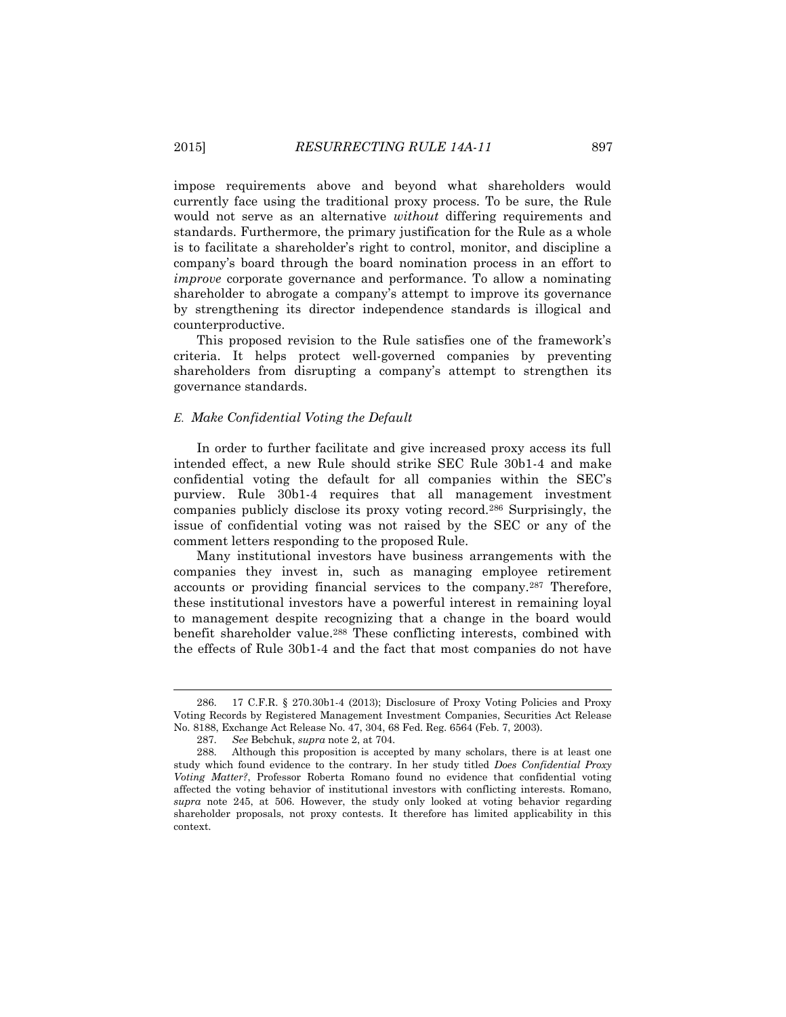impose requirements above and beyond what shareholders would currently face using the traditional proxy process. To be sure, the Rule would not serve as an alternative *without* differing requirements and standards. Furthermore, the primary justification for the Rule as a whole is to facilitate a shareholder's right to control, monitor, and discipline a company's board through the board nomination process in an effort to *improve* corporate governance and performance. To allow a nominating shareholder to abrogate a company's attempt to improve its governance by strengthening its director independence standards is illogical and counterproductive.

This proposed revision to the Rule satisfies one of the framework's criteria. It helps protect well-governed companies by preventing shareholders from disrupting a company's attempt to strengthen its governance standards.

### *E. Make Confidential Voting the Default*

In order to further facilitate and give increased proxy access its full intended effect, a new Rule should strike SEC Rule 30b1-4 and make confidential voting the default for all companies within the SEC's purview. Rule 30b1-4 requires that all management investment companies publicly disclose its proxy voting record.<sup>286</sup> Surprisingly, the issue of confidential voting was not raised by the SEC or any of the comment letters responding to the proposed Rule.

Many institutional investors have business arrangements with the companies they invest in, such as managing employee retirement accounts or providing financial services to the company.<sup>287</sup> Therefore, these institutional investors have a powerful interest in remaining loyal to management despite recognizing that a change in the board would benefit shareholder value.<sup>288</sup> These conflicting interests, combined with the effects of Rule 30b1-4 and the fact that most companies do not have

<sup>286.</sup> 17 C.F.R. § 270.30b1-4 (2013); Disclosure of Proxy Voting Policies and Proxy Voting Records by Registered Management Investment Companies, Securities Act Release No. 8188, Exchange Act Release No. 47, 304, 68 Fed. Reg. 6564 (Feb. 7, 2003).

<sup>287.</sup> *See* Bebchuk, *supra* note 2, at 704.

<sup>288.</sup> Although this proposition is accepted by many scholars, there is at least one study which found evidence to the contrary. In her study titled *Does Confidential Proxy Voting Matter?*, Professor Roberta Romano found no evidence that confidential voting affected the voting behavior of institutional investors with conflicting interests. Romano, *supra* note 245, at 506. However, the study only looked at voting behavior regarding shareholder proposals, not proxy contests. It therefore has limited applicability in this context.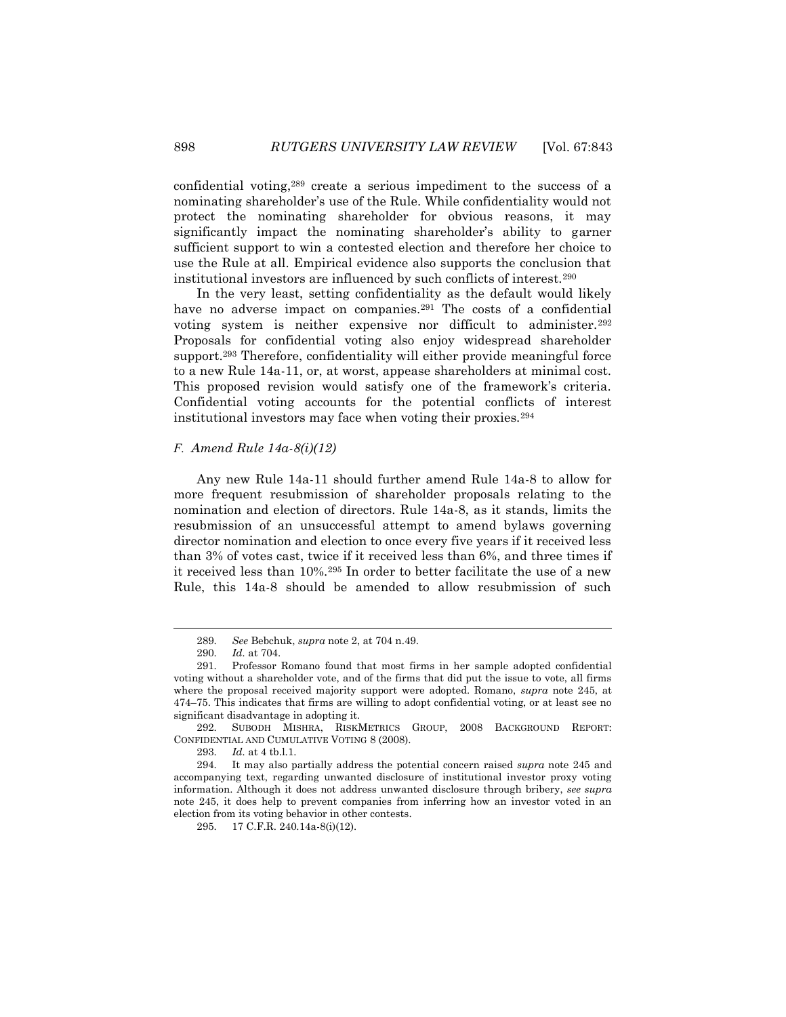confidential voting,<sup>289</sup> create a serious impediment to the success of a nominating shareholder's use of the Rule. While confidentiality would not protect the nominating shareholder for obvious reasons, it may significantly impact the nominating shareholder's ability to garner sufficient support to win a contested election and therefore her choice to use the Rule at all. Empirical evidence also supports the conclusion that institutional investors are influenced by such conflicts of interest.<sup>290</sup>

In the very least, setting confidentiality as the default would likely have no adverse impact on companies.<sup>291</sup> The costs of a confidential voting system is neither expensive nor difficult to administer.<sup>292</sup> Proposals for confidential voting also enjoy widespread shareholder support.<sup>293</sup> Therefore, confidentiality will either provide meaningful force to a new Rule 14a-11, or, at worst, appease shareholders at minimal cost. This proposed revision would satisfy one of the framework's criteria. Confidential voting accounts for the potential conflicts of interest institutional investors may face when voting their proxies.<sup>294</sup>

#### *F. Amend Rule 14a-8(i)(12)*

Any new Rule 14a-11 should further amend Rule 14a-8 to allow for more frequent resubmission of shareholder proposals relating to the nomination and election of directors. Rule 14a-8, as it stands, limits the resubmission of an unsuccessful attempt to amend bylaws governing director nomination and election to once every five years if it received less than 3% of votes cast, twice if it received less than 6%, and three times if it received less than 10%.<sup>295</sup> In order to better facilitate the use of a new Rule, this 14a-8 should be amended to allow resubmission of such

<sup>289.</sup> *See* Bebchuk, *supra* note 2, at 704 n.49.

<sup>290.</sup> *Id.* at 704.

<sup>291.</sup> Professor Romano found that most firms in her sample adopted confidential voting without a shareholder vote, and of the firms that did put the issue to vote, all firms where the proposal received majority support were adopted. Romano, *supra* note 245, at 474–75. This indicates that firms are willing to adopt confidential voting, or at least see no significant disadvantage in adopting it.

<sup>292.</sup> SUBODH MISHRA, RISKMETRICS GROUP, 2008 BACKGROUND REPORT: CONFIDENTIAL AND CUMULATIVE VOTING 8 (2008).

<sup>293.</sup> *Id.* at 4 tb.l.1.

<sup>294.</sup> It may also partially address the potential concern raised *supra* note 245 and accompanying text, regarding unwanted disclosure of institutional investor proxy voting information. Although it does not address unwanted disclosure through bribery, *see supra* note 245, it does help to prevent companies from inferring how an investor voted in an election from its voting behavior in other contests.

<sup>295.</sup> 17 C.F.R. 240.14a-8(i)(12).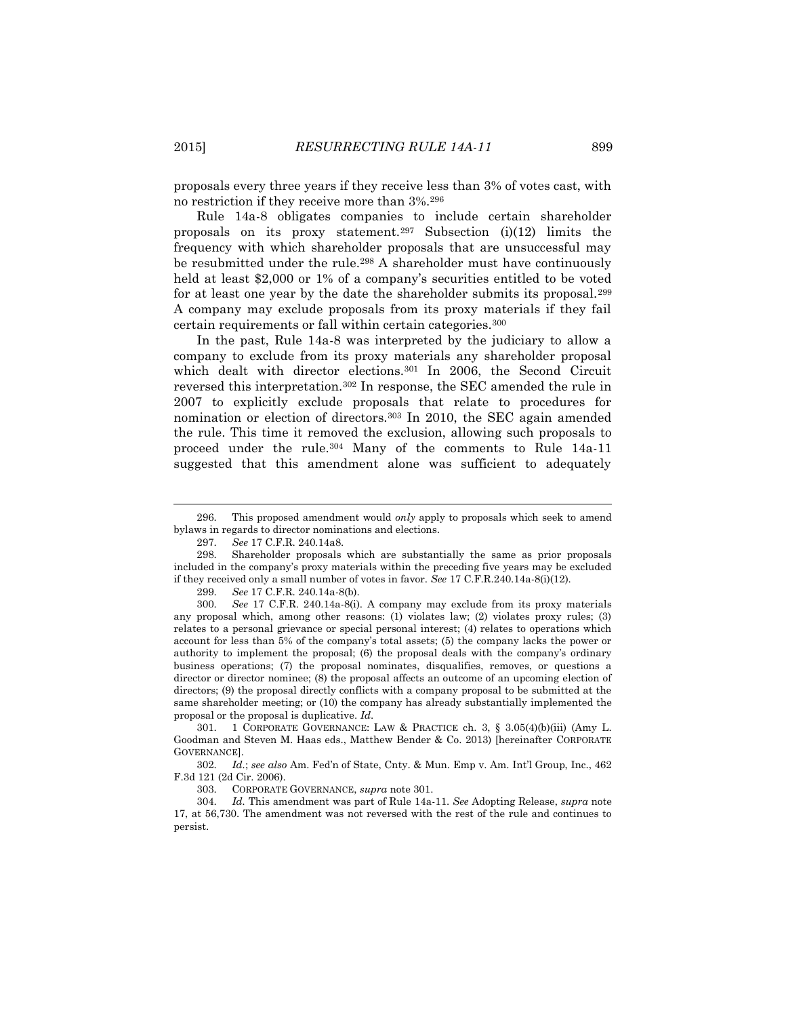proposals every three years if they receive less than 3% of votes cast, with no restriction if they receive more than 3%.<sup>296</sup>

Rule 14a-8 obligates companies to include certain shareholder proposals on its proxy statement.<sup>297</sup> Subsection (i)(12) limits the frequency with which shareholder proposals that are unsuccessful may be resubmitted under the rule.<sup>298</sup> A shareholder must have continuously held at least \$2,000 or 1% of a company's securities entitled to be voted for at least one year by the date the shareholder submits its proposal.<sup>299</sup> A company may exclude proposals from its proxy materials if they fail certain requirements or fall within certain categories.<sup>300</sup>

In the past, Rule 14a-8 was interpreted by the judiciary to allow a company to exclude from its proxy materials any shareholder proposal which dealt with director elections.<sup>301</sup> In 2006, the Second Circuit reversed this interpretation.<sup>302</sup> In response, the SEC amended the rule in 2007 to explicitly exclude proposals that relate to procedures for nomination or election of directors.<sup>303</sup> In 2010, the SEC again amended the rule. This time it removed the exclusion, allowing such proposals to proceed under the rule.<sup>304</sup> Many of the comments to Rule 14a-11 suggested that this amendment alone was sufficient to adequately

301. 1 CORPORATE GOVERNANCE: LAW & PRACTICE ch. 3, § 3.05(4)(b)(iii) (Amy L. Goodman and Steven M. Haas eds., Matthew Bender & Co. 2013) [hereinafter CORPORATE GOVERNANCE].

302. *Id.*; *see also* Am. Fed'n of State, Cnty. & Mun. Emp v. Am. Int'l Group, Inc., 462 F.3d 121 (2d Cir. 2006).

303. CORPORATE GOVERNANCE, *supra* note 301.

304. *Id.* This amendment was part of Rule 14a-11. *See* Adopting Release, *supra* note 17, at 56,730. The amendment was not reversed with the rest of the rule and continues to persist.

<sup>296.</sup> This proposed amendment would *only* apply to proposals which seek to amend bylaws in regards to director nominations and elections.

<sup>297.</sup> *See* 17 C.F.R. 240.14a8.

<sup>298.</sup> Shareholder proposals which are substantially the same as prior proposals included in the company's proxy materials within the preceding five years may be excluded if they received only a small number of votes in favor. *See* 17 C.F.R.240.14a-8(i)(12).

<sup>299.</sup> *See* 17 C.F.R. 240.14a-8(b).

<sup>300.</sup> *See* 17 C.F.R. 240.14a-8(i). A company may exclude from its proxy materials any proposal which, among other reasons: (1) violates law; (2) violates proxy rules; (3) relates to a personal grievance or special personal interest; (4) relates to operations which account for less than 5% of the company's total assets; (5) the company lacks the power or authority to implement the proposal; (6) the proposal deals with the company's ordinary business operations; (7) the proposal nominates, disqualifies, removes, or questions a director or director nominee; (8) the proposal affects an outcome of an upcoming election of directors; (9) the proposal directly conflicts with a company proposal to be submitted at the same shareholder meeting; or (10) the company has already substantially implemented the proposal or the proposal is duplicative. *Id*.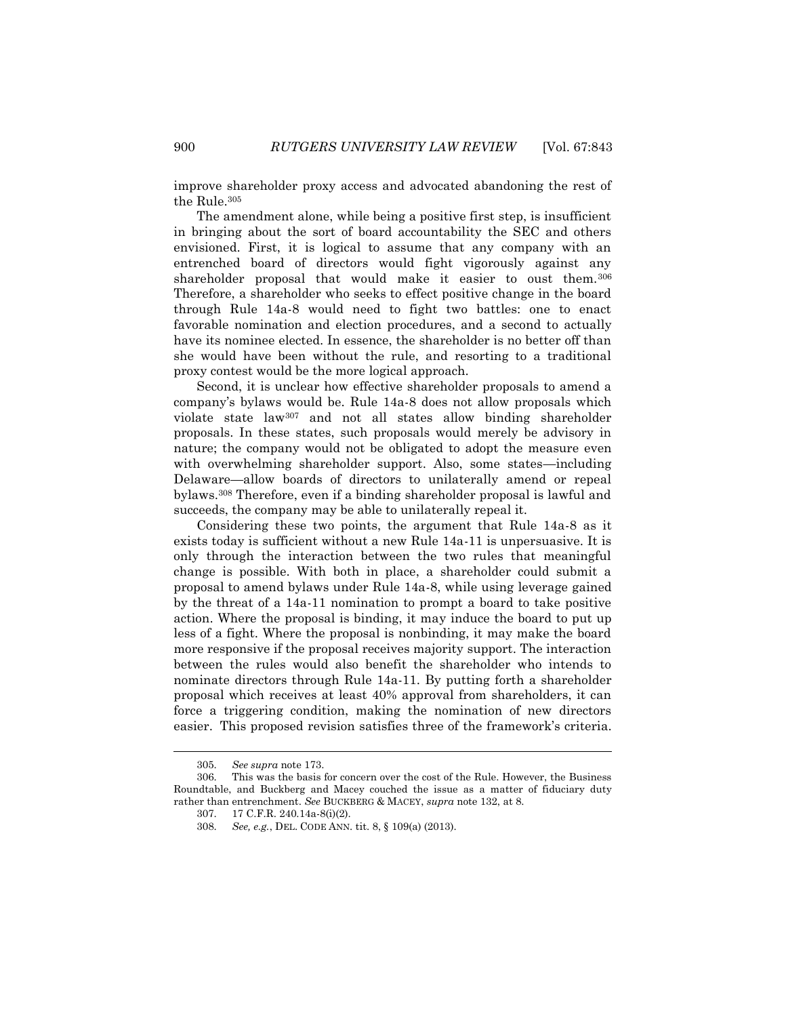improve shareholder proxy access and advocated abandoning the rest of the Rule.<sup>305</sup>

The amendment alone, while being a positive first step, is insufficient in bringing about the sort of board accountability the SEC and others envisioned. First, it is logical to assume that any company with an entrenched board of directors would fight vigorously against any shareholder proposal that would make it easier to oust them.<sup>306</sup> Therefore, a shareholder who seeks to effect positive change in the board through Rule 14a-8 would need to fight two battles: one to enact favorable nomination and election procedures, and a second to actually have its nominee elected. In essence, the shareholder is no better off than she would have been without the rule, and resorting to a traditional proxy contest would be the more logical approach.

Second, it is unclear how effective shareholder proposals to amend a company's bylaws would be. Rule 14a-8 does not allow proposals which violate state law<sup>307</sup> and not all states allow binding shareholder proposals. In these states, such proposals would merely be advisory in nature; the company would not be obligated to adopt the measure even with overwhelming shareholder support. Also, some states—including Delaware—allow boards of directors to unilaterally amend or repeal bylaws.<sup>308</sup> Therefore, even if a binding shareholder proposal is lawful and succeeds, the company may be able to unilaterally repeal it.

Considering these two points, the argument that Rule 14a-8 as it exists today is sufficient without a new Rule 14a-11 is unpersuasive. It is only through the interaction between the two rules that meaningful change is possible. With both in place, a shareholder could submit a proposal to amend bylaws under Rule 14a-8, while using leverage gained by the threat of a 14a-11 nomination to prompt a board to take positive action. Where the proposal is binding, it may induce the board to put up less of a fight. Where the proposal is nonbinding, it may make the board more responsive if the proposal receives majority support. The interaction between the rules would also benefit the shareholder who intends to nominate directors through Rule 14a-11. By putting forth a shareholder proposal which receives at least 40% approval from shareholders, it can force a triggering condition, making the nomination of new directors easier. This proposed revision satisfies three of the framework's criteria.

 $\overline{a}$ 

<sup>305.</sup> *See supra* note 173.

<sup>306.</sup> This was the basis for concern over the cost of the Rule. However, the Business Roundtable, and Buckberg and Macey couched the issue as a matter of fiduciary duty rather than entrenchment. *See* BUCKBERG & MACEY, *supra* note 132, at 8.

<sup>307.</sup> 17 C.F.R. 240.14a-8(i)(2).

<sup>308.</sup> *See, e.g.*, DEL. CODE ANN. tit. 8, § 109(a) (2013).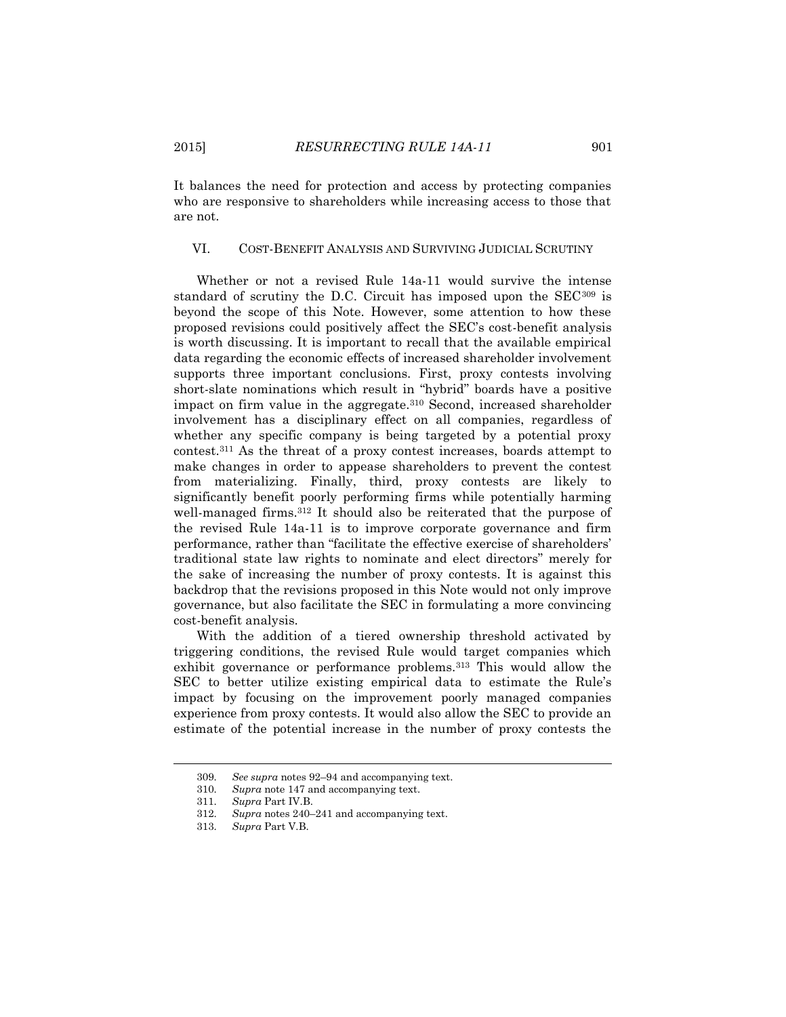It balances the need for protection and access by protecting companies who are responsive to shareholders while increasing access to those that are not.

### VI. COST-BENEFIT ANALYSIS AND SURVIVING JUDICIAL SCRUTINY

Whether or not a revised Rule 14a-11 would survive the intense standard of scrutiny the D.C. Circuit has imposed upon the SEC<sup>309</sup> is beyond the scope of this Note. However, some attention to how these proposed revisions could positively affect the SEC's cost-benefit analysis is worth discussing. It is important to recall that the available empirical data regarding the economic effects of increased shareholder involvement supports three important conclusions. First, proxy contests involving short-slate nominations which result in "hybrid" boards have a positive impact on firm value in the aggregate.<sup>310</sup> Second, increased shareholder involvement has a disciplinary effect on all companies, regardless of whether any specific company is being targeted by a potential proxy contest.<sup>311</sup> As the threat of a proxy contest increases, boards attempt to make changes in order to appease shareholders to prevent the contest from materializing. Finally, third, proxy contests are likely to significantly benefit poorly performing firms while potentially harming well-managed firms.<sup>312</sup> It should also be reiterated that the purpose of the revised Rule 14a-11 is to improve corporate governance and firm performance, rather than "facilitate the effective exercise of shareholders' traditional state law rights to nominate and elect directors" merely for the sake of increasing the number of proxy contests. It is against this backdrop that the revisions proposed in this Note would not only improve governance, but also facilitate the SEC in formulating a more convincing cost-benefit analysis.

With the addition of a tiered ownership threshold activated by triggering conditions, the revised Rule would target companies which exhibit governance or performance problems.<sup>313</sup> This would allow the SEC to better utilize existing empirical data to estimate the Rule's impact by focusing on the improvement poorly managed companies experience from proxy contests. It would also allow the SEC to provide an estimate of the potential increase in the number of proxy contests the

<sup>309.</sup> *See supra* notes 92–94 and accompanying text.

<sup>310.</sup> *Supra* note 147 and accompanying text.

<sup>311.</sup> *Supra* Part IV.B.

<sup>312.</sup> *Supra* notes 240–241 and accompanying text.

<sup>313.</sup> *Supra* Part V.B.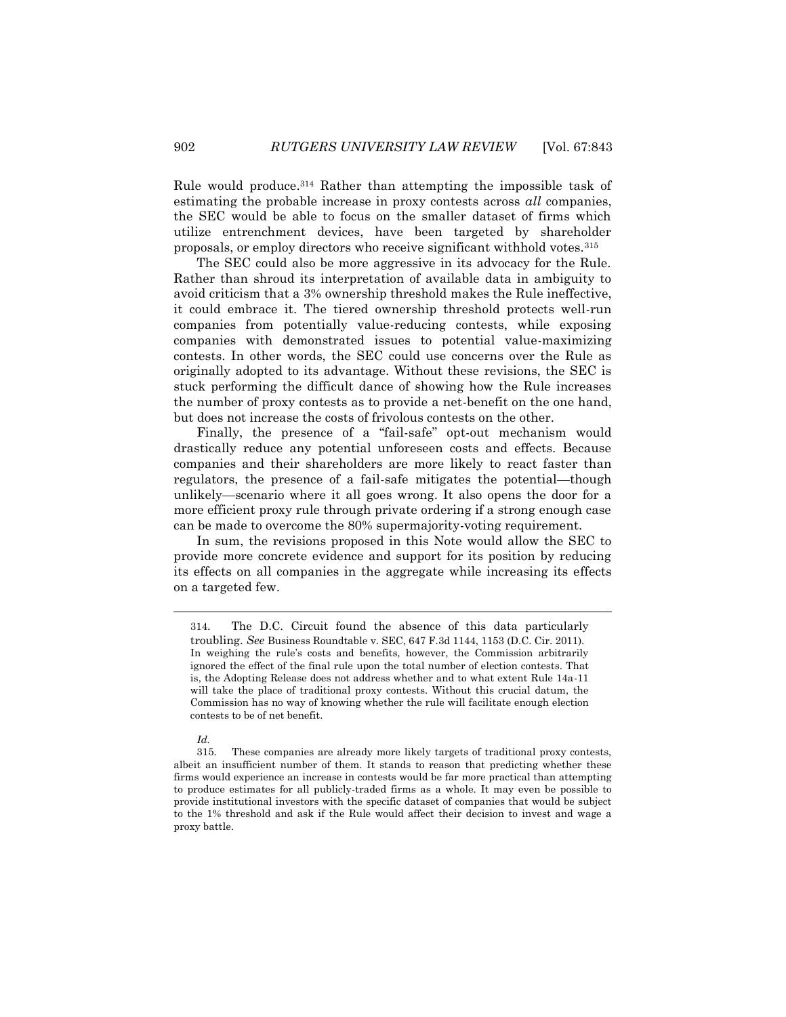Rule would produce.<sup>314</sup> Rather than attempting the impossible task of estimating the probable increase in proxy contests across *all* companies, the SEC would be able to focus on the smaller dataset of firms which utilize entrenchment devices, have been targeted by shareholder proposals, or employ directors who receive significant withhold votes.<sup>315</sup>

The SEC could also be more aggressive in its advocacy for the Rule. Rather than shroud its interpretation of available data in ambiguity to avoid criticism that a 3% ownership threshold makes the Rule ineffective, it could embrace it. The tiered ownership threshold protects well-run companies from potentially value-reducing contests, while exposing companies with demonstrated issues to potential value-maximizing contests. In other words, the SEC could use concerns over the Rule as originally adopted to its advantage. Without these revisions, the SEC is stuck performing the difficult dance of showing how the Rule increases the number of proxy contests as to provide a net-benefit on the one hand, but does not increase the costs of frivolous contests on the other.

Finally, the presence of a "fail-safe" opt-out mechanism would drastically reduce any potential unforeseen costs and effects. Because companies and their shareholders are more likely to react faster than regulators, the presence of a fail-safe mitigates the potential—though unlikely—scenario where it all goes wrong. It also opens the door for a more efficient proxy rule through private ordering if a strong enough case can be made to overcome the 80% supermajority-voting requirement.

In sum, the revisions proposed in this Note would allow the SEC to provide more concrete evidence and support for its position by reducing its effects on all companies in the aggregate while increasing its effects on a targeted few.

*Id.*

<sup>314</sup>. The D.C. Circuit found the absence of this data particularly troubling. *See* Business Roundtable v. SEC, 647 F.3d 1144, 1153 (D.C. Cir. 2011). In weighing the rule's costs and benefits, however, the Commission arbitrarily ignored the effect of the final rule upon the total number of election contests. That is, the Adopting Release does not address whether and to what extent Rule 14a-11 will take the place of traditional proxy contests. Without this crucial datum, the Commission has no way of knowing whether the rule will facilitate enough election contests to be of net benefit.

<sup>315.</sup> These companies are already more likely targets of traditional proxy contests, albeit an insufficient number of them. It stands to reason that predicting whether these firms would experience an increase in contests would be far more practical than attempting to produce estimates for all publicly-traded firms as a whole. It may even be possible to provide institutional investors with the specific dataset of companies that would be subject to the 1% threshold and ask if the Rule would affect their decision to invest and wage a proxy battle.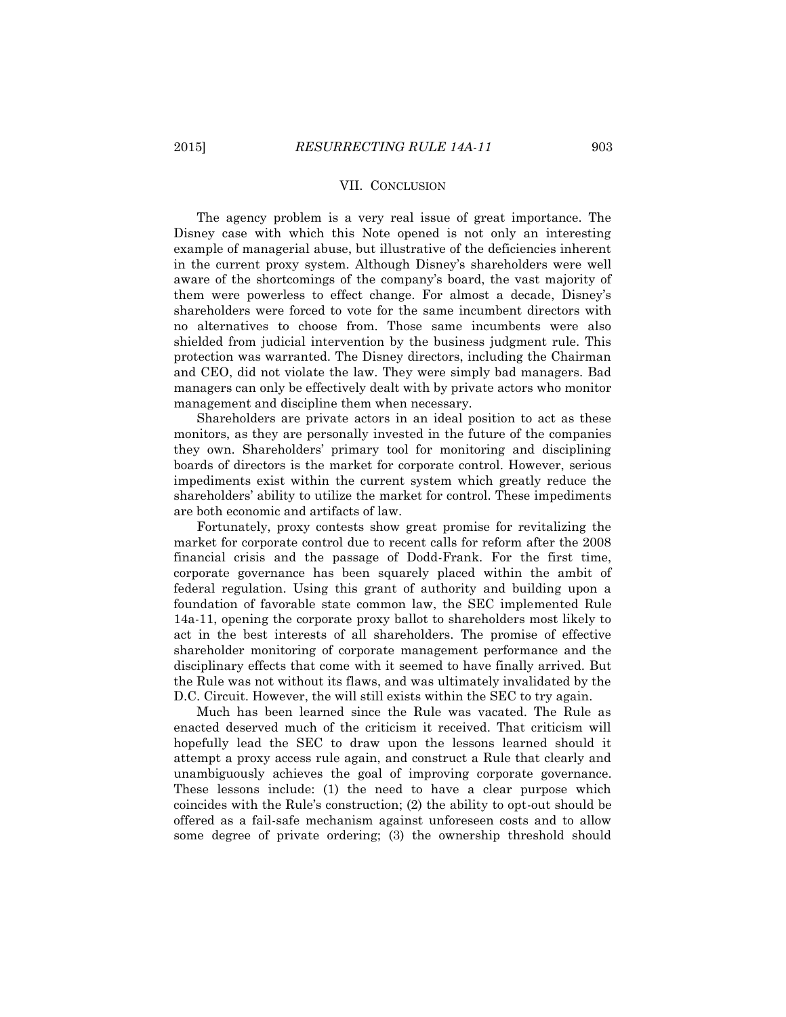#### VII. CONCLUSION

The agency problem is a very real issue of great importance. The Disney case with which this Note opened is not only an interesting example of managerial abuse, but illustrative of the deficiencies inherent in the current proxy system. Although Disney's shareholders were well aware of the shortcomings of the company's board, the vast majority of them were powerless to effect change. For almost a decade, Disney's shareholders were forced to vote for the same incumbent directors with no alternatives to choose from. Those same incumbents were also shielded from judicial intervention by the business judgment rule. This protection was warranted. The Disney directors, including the Chairman and CEO, did not violate the law. They were simply bad managers. Bad managers can only be effectively dealt with by private actors who monitor management and discipline them when necessary.

Shareholders are private actors in an ideal position to act as these monitors, as they are personally invested in the future of the companies they own. Shareholders' primary tool for monitoring and disciplining boards of directors is the market for corporate control. However, serious impediments exist within the current system which greatly reduce the shareholders' ability to utilize the market for control. These impediments are both economic and artifacts of law.

Fortunately, proxy contests show great promise for revitalizing the market for corporate control due to recent calls for reform after the 2008 financial crisis and the passage of Dodd-Frank. For the first time, corporate governance has been squarely placed within the ambit of federal regulation. Using this grant of authority and building upon a foundation of favorable state common law, the SEC implemented Rule 14a-11, opening the corporate proxy ballot to shareholders most likely to act in the best interests of all shareholders. The promise of effective shareholder monitoring of corporate management performance and the disciplinary effects that come with it seemed to have finally arrived. But the Rule was not without its flaws, and was ultimately invalidated by the D.C. Circuit. However, the will still exists within the SEC to try again.

Much has been learned since the Rule was vacated. The Rule as enacted deserved much of the criticism it received. That criticism will hopefully lead the SEC to draw upon the lessons learned should it attempt a proxy access rule again, and construct a Rule that clearly and unambiguously achieves the goal of improving corporate governance. These lessons include: (1) the need to have a clear purpose which coincides with the Rule's construction; (2) the ability to opt-out should be offered as a fail-safe mechanism against unforeseen costs and to allow some degree of private ordering; (3) the ownership threshold should